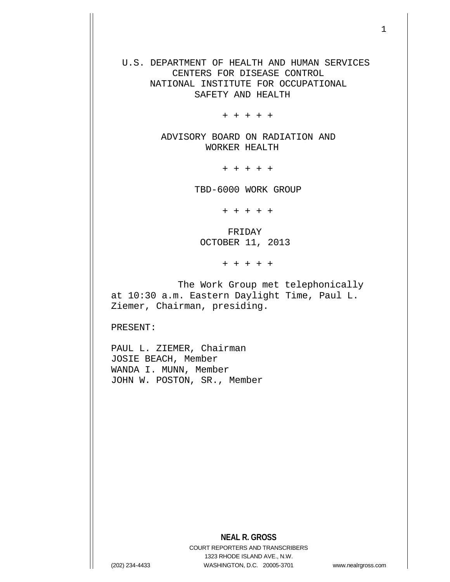U.S. DEPARTMENT OF HEALTH AND HUMAN SERVICES CENTERS FOR DISEASE CONTROL NATIONAL INSTITUTE FOR OCCUPATIONAL SAFETY AND HEALTH

+ + + + +

 ADVISORY BOARD ON RADIATION AND WORKER HEALTH

+ + + + +

TBD-6000 WORK GROUP

+ + + + +

 FRIDAY OCTOBER 11, 2013

+ + + + +

 The Work Group met telephonically at 10:30 a.m. Eastern Daylight Time, Paul L. Ziemer, Chairman, presiding.

PRESENT:

PAUL L. ZIEMER, Chairman JOSIE BEACH, Member WANDA I. MUNN, Member JOHN W. POSTON, SR., Member

**NEAL R. GROSS**

COURT REPORTERS AND TRANSCRIBERS 1323 RHODE ISLAND AVE., N.W. (202) 234-4433 WASHINGTON, D.C. 20005-3701 www.nealrgross.com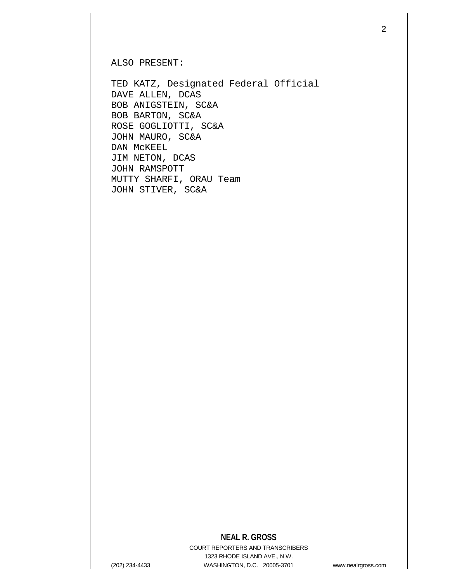ALSO PRESENT:

TED KATZ, Designated Federal Official DAVE ALLEN, DCAS BOB ANIGSTEIN, SC&A BOB BARTON, SC&A ROSE GOGLIOTTI, SC&A JOHN MAURO, SC&A DAN McKEEL JIM NETON, DCAS JOHN RAMSPOTT MUTTY SHARFI, ORAU Team JOHN STIVER, SC&A

## **NEAL R. GROSS**

COURT REPORTERS AND TRANSCRIBERS 1323 RHODE ISLAND AVE., N.W. (202) 234-4433 WASHINGTON, D.C. 20005-3701 www.nealrgross.com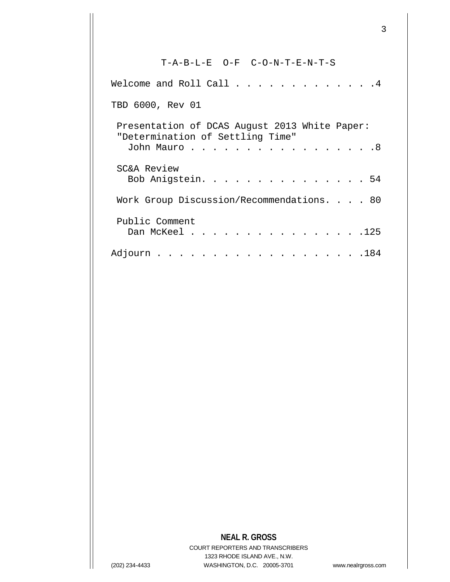T-A-B-L-E O-F C-O-N-T-E-N-T-S Welcome and Roll Call . . . . . . . . . . . . 4 TBD 6000, Rev 01 Presentation of DCAS August 2013 White Paper: "Determination of Settling Time" John Mauro . . . . . . . . . . . . . . . . . 8 SC&A Review Bob Anigstein. . . . . . . . . . . . . . . 54 Work Group Discussion/Recommendations. . . . 80 Public Comment Dan McKeel . . . . . . . . . . . . . . . 125 Adjourn . . . . . . . . . . . . . . . . . . .184

## **NEAL R. GROSS**

COURT REPORTERS AND TRANSCRIBERS 1323 RHODE ISLAND AVE., N.W. (202) 234-4433 WASHINGTON, D.C. 20005-3701 www.nealrgross.com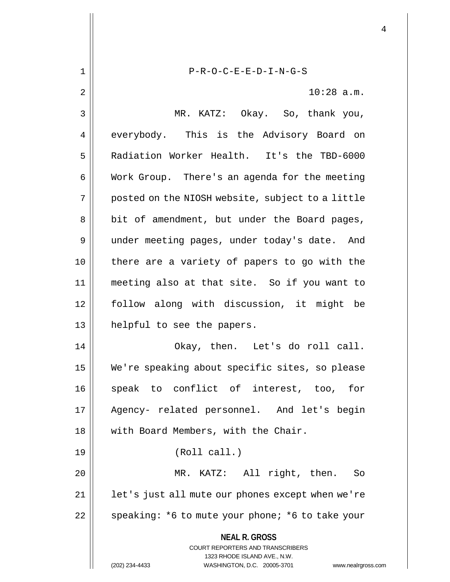**NEAL R. GROSS** COURT REPORTERS AND TRANSCRIBERS 1323 RHODE ISLAND AVE., N.W. (202) 234-4433 WASHINGTON, D.C. 20005-3701 www.nealrgross.com 1 P-R-O-C-E-E-D-I-N-G-S 2 10:28 a.m. 3 MR. KATZ: Okay. So, thank you, 4 everybody. This is the Advisory Board on 5 Radiation Worker Health. It's the TBD-6000 6 | Work Group. There's an agenda for the meeting  $7 \parallel$  posted on the NIOSH website, subject to a little 8 || bit of amendment, but under the Board pages, 9 | under meeting pages, under today's date. And 10 || there are a variety of papers to go with the 11 meeting also at that site. So if you want to 12 follow along with discussion, it might be 13 helpful to see the papers. 14 Okay, then. Let's do roll call. 15 We're speaking about specific sites, so please 16 || speak to conflict of interest, too, for 17 Agency- related personnel. And let's begin 18 || with Board Members, with the Chair. 19 (Roll call.) 20 MR. KATZ: All right, then. So 21 || let's just all mute our phones except when we're 22  $\parallel$  speaking: \*6 to mute your phone; \*6 to take your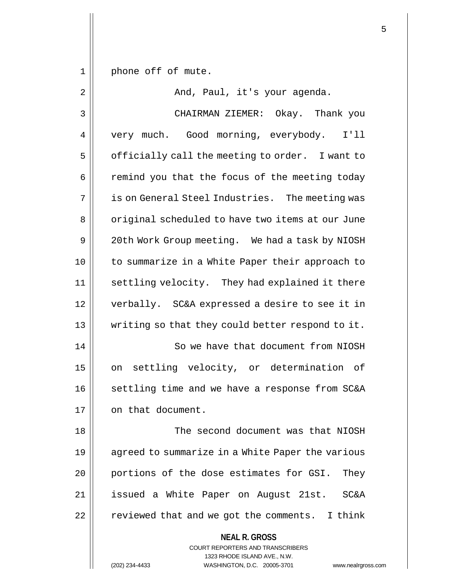1 || phone off of mute.

**NEAL R. GROSS** COURT REPORTERS AND TRANSCRIBERS 1323 RHODE ISLAND AVE., N.W. 2 And, Paul, it's your agenda. 3 CHAIRMAN ZIEMER: Okay. Thank you 4 | very much. Good morning, everybody. I'll  $5 \parallel$  officially call the meeting to order. I want to  $6$   $\parallel$  remind you that the focus of the meeting today 7 || is on General Steel Industries. The meeting was 8 | original scheduled to have two items at our June 9 | 20th Work Group meeting. We had a task by NIOSH 10 to summarize in a White Paper their approach to 11 || settling velocity. They had explained it there 12 verbally. SC&A expressed a desire to see it in 13 writing so that they could better respond to it. 14 || So we have that document from NIOSH 15 || on settling velocity, or determination of 16 || settling time and we have a response from SC&A 17 || on that document. 18 The second document was that NIOSH 19 agreed to summarize in a White Paper the various 20 || portions of the dose estimates for GSI. They 21 issued a White Paper on August 21st. SC&A 22 | reviewed that and we got the comments. I think

(202) 234-4433 WASHINGTON, D.C. 20005-3701 www.nealrgross.com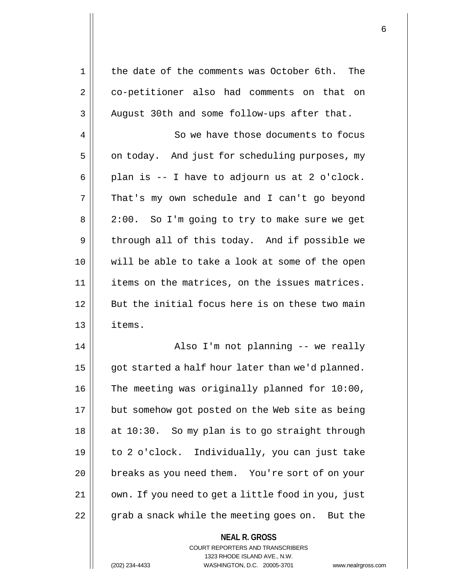| 1  | the date of the comments was October 6th.<br>The   |
|----|----------------------------------------------------|
| 2  | co-petitioner also had comments on that on         |
| 3  | August 30th and some follow-ups after that.        |
| 4  | So we have those documents to focus                |
| 5  | on today. And just for scheduling purposes, my     |
| 6  | plan is -- I have to adjourn us at 2 o'clock.      |
| 7  | That's my own schedule and I can't go beyond       |
| 8  | 2:00. So I'm going to try to make sure we get      |
| 9  | through all of this today. And if possible we      |
| 10 | will be able to take a look at some of the open    |
| 11 | items on the matrices, on the issues matrices.     |
| 12 | But the initial focus here is on these two main    |
| 13 | items.                                             |
| 14 | Also I'm not planning -- we really                 |
| 15 | got started a half hour later than we'd planned.   |
| 16 | The meeting was originally planned for 10:00,      |
| 17 | but somehow got posted on the Web site as being    |
| 18 | at 10:30. So my plan is to go straight through     |
| 19 | to 2 o'clock. Individually, you can just take      |
| 20 | breaks as you need them. You're sort of on your    |
| 21 | own. If you need to get a little food in you, just |
| 22 | grab a snack while the meeting goes on. But the    |
|    |                                                    |

**NEAL R. GROSS** COURT REPORTERS AND TRANSCRIBERS 1323 RHODE ISLAND AVE., N.W.

(202) 234-4433 WASHINGTON, D.C. 20005-3701 www.nealrgross.com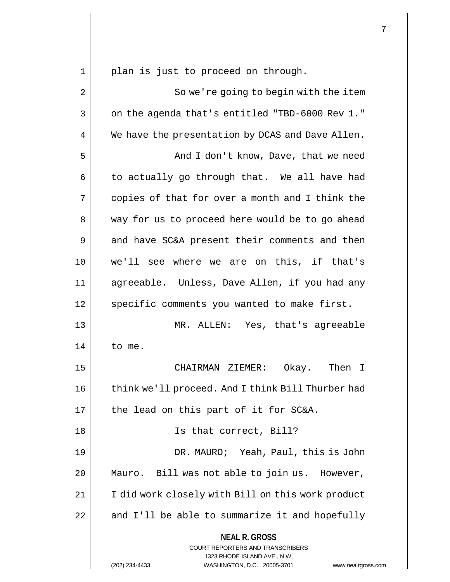1 || plan is just to proceed on through.

**NEAL R. GROSS** COURT REPORTERS AND TRANSCRIBERS 1323 RHODE ISLAND AVE., N.W. 2 || So we're going to begin with the item  $3 \parallel$  on the agenda that's entitled "TBD-6000 Rev 1." 4 | We have the presentation by DCAS and Dave Allen. 5 And I don't know, Dave, that we need  $6 \parallel$  to actually go through that. We all have had  $7 \parallel$  copies of that for over a month and I think the 8 || way for us to proceed here would be to go ahead  $9 \parallel$  and have SC&A present their comments and then 10 we'll see where we are on this, if that's 11 agreeable. Unless, Dave Allen, if you had any 12 || specific comments you wanted to make first. 13 MR. ALLEN: Yes, that's agreeable  $14$  | to me. 15 CHAIRMAN ZIEMER: Okay. Then I 16 | think we'll proceed. And I think Bill Thurber had  $17$  || the lead on this part of it for SC&A. 18 || Is that correct, Bill? 19 DR. MAURO; Yeah, Paul, this is John 20 Mauro. Bill was not able to join us. However, 21 | I did work closely with Bill on this work product  $22$  | and I'll be able to summarize it and hopefully

(202) 234-4433 WASHINGTON, D.C. 20005-3701 www.nealrgross.com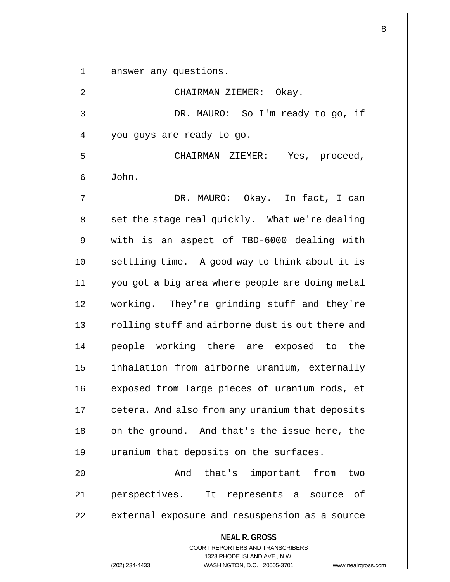1 answer any questions.

**NEAL R. GROSS** COURT REPORTERS AND TRANSCRIBERS 1323 RHODE ISLAND AVE., N.W. 2 | CHAIRMAN ZIEMER: Okay. 3 DR. MAURO: So I'm ready to go, if 4 | you guys are ready to go. 5 CHAIRMAN ZIEMER: Yes, proceed,  $6 \parallel$  John. 7 DR. MAURO: Okay. In fact, I can 8 || set the stage real quickly. What we're dealing 9 Weith is an aspect of TBD-6000 dealing with 10 settling time. A good way to think about it is 11 you got a big area where people are doing metal 12 working. They're grinding stuff and they're 13 || rolling stuff and airborne dust is out there and 14 people working there are exposed to the 15 | inhalation from airborne uranium, externally 16 || exposed from large pieces of uranium rods, et 17 | cetera. And also from any uranium that deposits  $18$  | on the ground. And that's the issue here, the 19 uranium that deposits on the surfaces. 20 And that's important from two 21 perspectives. It represents a source of 22 | external exposure and resuspension as a source

(202) 234-4433 WASHINGTON, D.C. 20005-3701 www.nealrgross.com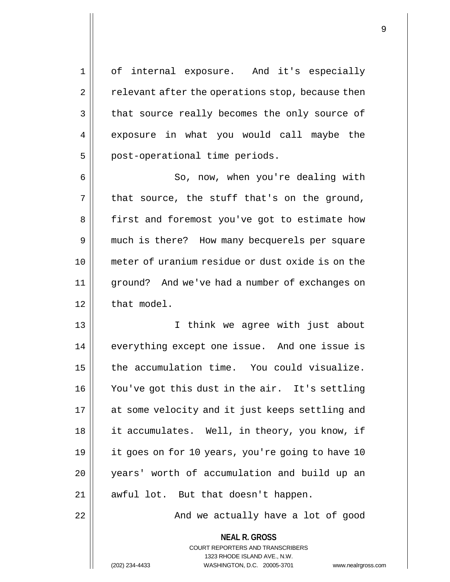1 of internal exposure. And it's especially  $2 \parallel$  relevant after the operations stop, because then 3 | that source really becomes the only source of 4 exposure in what you would call maybe the  $5$  | post-operational time periods.

6 So, now, when you're dealing with  $7 \parallel$  that source, the stuff that's on the ground, 8 | first and foremost you've got to estimate how 9 || much is there? How many becquerels per square 10 meter of uranium residue or dust oxide is on the 11 ground? And we've had a number of exchanges on  $12$  | that model.

 I think we agree with just about everything except one issue. And one issue is the accumulation time. You could visualize. You've got this dust in the air. It's settling 17 || at some velocity and it just keeps settling and 18 || it accumulates. Well, in theory, you know, if it goes on for 10 years, you're going to have 10 years' worth of accumulation and build up an 21 || awful lot. But that doesn't happen.

22 || And we actually have a lot of good

**NEAL R. GROSS** COURT REPORTERS AND TRANSCRIBERS 1323 RHODE ISLAND AVE., N.W. (202) 234-4433 WASHINGTON, D.C. 20005-3701 www.nealrgross.com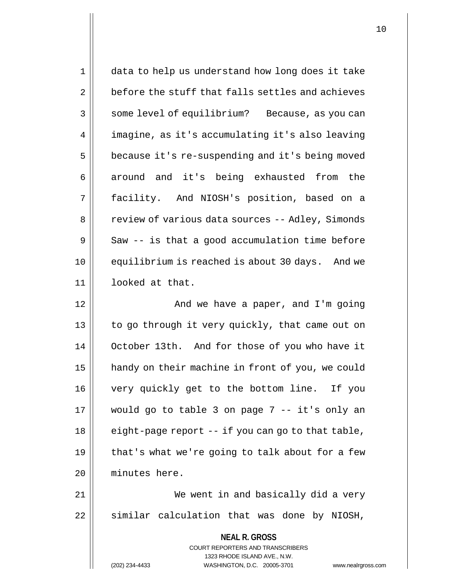| 1  | data to help us understand how long does it take                                         |
|----|------------------------------------------------------------------------------------------|
| 2  | before the stuff that falls settles and achieves                                         |
| 3  | some level of equilibrium? Because, as you can                                           |
| 4  | imagine, as it's accumulating it's also leaving                                          |
| 5  | because it's re-suspending and it's being moved                                          |
| 6  | around and it's being exhausted from the                                                 |
| 7  | facility. And NIOSH's position, based on a                                               |
| 8  | review of various data sources -- Adley, Simonds                                         |
| 9  | Saw -- is that a good accumulation time before                                           |
| 10 | equilibrium is reached is about 30 days. And we                                          |
| 11 | looked at that.                                                                          |
| 12 | And we have a paper, and I'm going                                                       |
| 13 | to go through it very quickly, that came out on                                          |
| 14 | October 13th. And for those of you who have it                                           |
| 15 | handy on their machine in front of you, we could                                         |
| 16 | very quickly get to the bottom line. If you                                              |
| 17 | would go to table 3 on page 7 -- it's only an                                            |
| 18 | eight-page report -- if you can go to that table,                                        |
| 19 | that's what we're going to talk about for a few                                          |
| 20 | minutes here.                                                                            |
| 21 | We went in and basically did a very                                                      |
| 22 | similar calculation that was done by NIOSH,                                              |
|    | <b>NEAL R. GROSS</b><br>COURT REPORTERS AND TRANSCRIBERS<br>1323 RHODE ISLAND AVE., N.W. |
|    | WASHINGTON, D.C. 20005-3701<br>(202) 234-4433<br>www.nealrgros                           |

(202) 234-4433 WASHINGTON, D.C. 20005-3701 www.nealrgross.com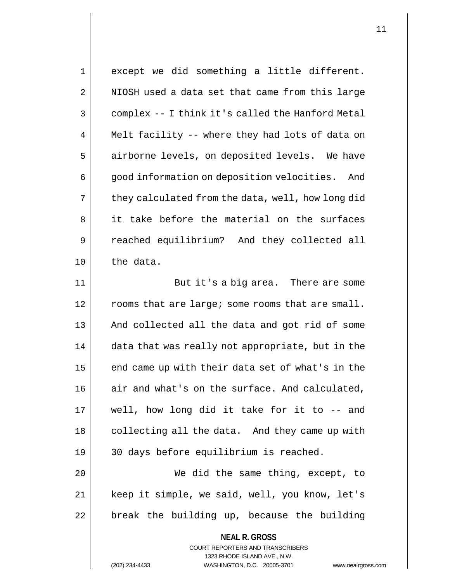1 || except we did something a little different. 2 || NIOSH used a data set that came from this large 3 | complex -- I think it's called the Hanford Metal 4 || Melt facility -- where they had lots of data on 5 | airborne levels, on deposited levels. We have 6 | good information on deposition velocities. And  $7 \parallel$  they calculated from the data, well, how long did 8 || it take before the material on the surfaces 9 reached equilibrium? And they collected all  $10$  the data. 11 || But it's a big area. There are some

 $12$   $\parallel$  rooms that are large; some rooms that are small. 13 || And collected all the data and got rid of some 14 | data that was really not appropriate, but in the  $15$  | end came up with their data set of what's in the 16 | air and what's on the surface. And calculated, 17 well, how long did it take for it to -- and 18 || collecting all the data. And they came up with 19 30 days before equilibrium is reached.

20 We did the same thing, except, to 21 || keep it simple, we said, well, you know, let's  $22$  | break the building up, because the building

> **NEAL R. GROSS** COURT REPORTERS AND TRANSCRIBERS 1323 RHODE ISLAND AVE., N.W.

(202) 234-4433 WASHINGTON, D.C. 20005-3701 www.nealrgross.com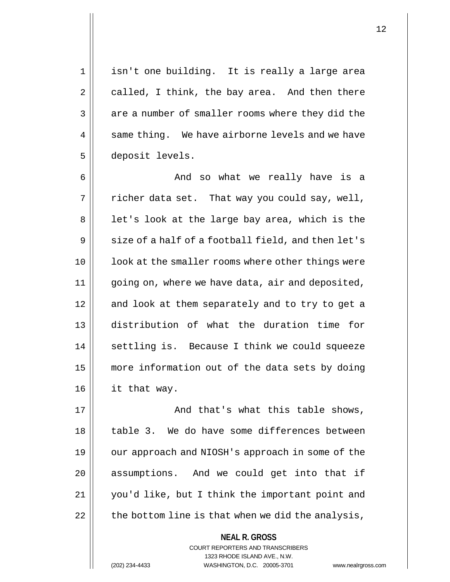1 || isn't one building. It is really a large area  $2 \parallel$  called, I think, the bay area. And then there 3 || are a number of smaller rooms where they did the  $4 \parallel$  same thing. We have airborne levels and we have 5 deposit levels.

6 And so what we really have is a  $7 \parallel$  richer data set. That way you could say, well,  $8 \parallel$  let's look at the large bay area, which is the  $9 \parallel$  size of a half of a football field, and then let's 10 || look at the smaller rooms where other things were 11 | going on, where we have data, air and deposited, 12 || and look at them separately and to try to get a 13 distribution of what the duration time for 14 || settling is. Because I think we could squeeze 15 | more information out of the data sets by doing 16 it that way.

17 || And that's what this table shows, 18 || table 3. We do have some differences between 19 || our approach and NIOSH's approach in some of the 20 || assumptions. And we could get into that if 21 you'd like, but I think the important point and  $22$  | the bottom line is that when we did the analysis,

> **NEAL R. GROSS** COURT REPORTERS AND TRANSCRIBERS 1323 RHODE ISLAND AVE., N.W.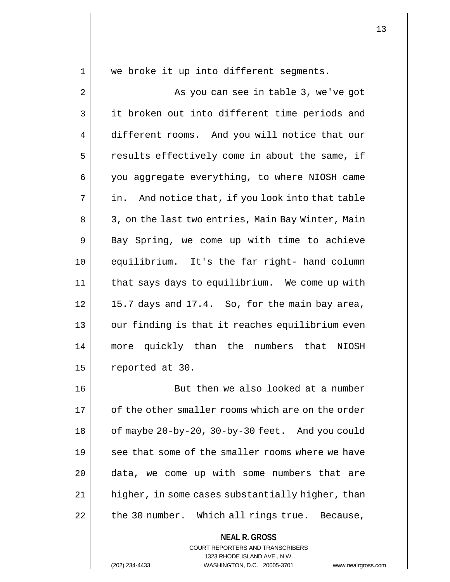1 || we broke it up into different segments.

2 || As you can see in table 3, we've got 3 || it broken out into different time periods and 4 different rooms. And you will notice that our  $5$  | results effectively come in about the same, if 6 | you aggregate everything, to where NIOSH came  $7 ||$  in. And notice that, if you look into that table 8 | 3, on the last two entries, Main Bay Winter, Main  $9 \parallel$  Bay Spring, we come up with time to achieve 10 equilibrium. It's the far right- hand column 11 that says days to equilibrium. We come up with  $12 \parallel 15.7$  days and  $17.4$ . So, for the main bay area, 13 || our finding is that it reaches equilibrium even 14 more quickly than the numbers that NIOSH 15 | reported at 30.

 But then we also looked at a number  $\parallel$  of the other smaller rooms which are on the order | of maybe 20-by-20, 30-by-30 feet. And you could 19 || see that some of the smaller rooms where we have data, we come up with some numbers that are 21 | higher, in some cases substantially higher, than | the 30 number. Which all rings true. Because,

## **NEAL R. GROSS** COURT REPORTERS AND TRANSCRIBERS

1323 RHODE ISLAND AVE., N.W. (202) 234-4433 WASHINGTON, D.C. 20005-3701 www.nealrgross.com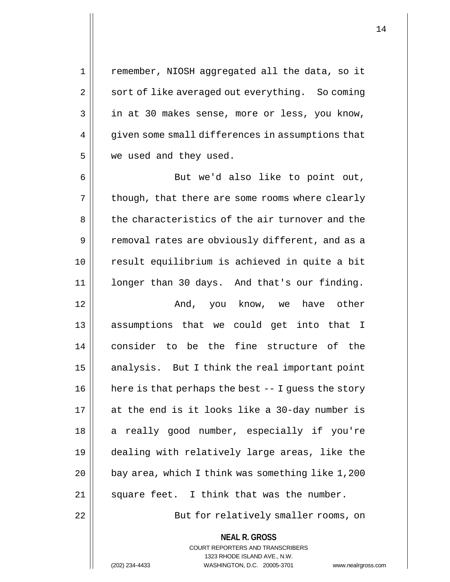1 || remember, NIOSH aggregated all the data, so it 2 | sort of like averaged out everything. So coming 3 || in at 30 makes sense, more or less, you know,  $4 \parallel$  qiven some small differences in assumptions that 5 | we used and they used.

6 || But we'd also like to point out,  $7 \parallel$  though, that there are some rooms where clearly 8 the characteristics of the air turnover and the 9 || removal rates are obviously different, and as a 10 result equilibrium is achieved in quite a bit 11 longer than 30 days. And that's our finding. 12 And, you know, we have other

 assumptions that we could get into that I consider to be the fine structure of the analysis. But I think the real important point here is that perhaps the best  $-1$  quess the story at the end is it looks like a 30-day number is 18 || a really good number, especially if you're dealing with relatively large areas, like the | bay area, which I think was something like 1,200 || square feet. I think that was the number.

22 || But for relatively smaller rooms, on

**NEAL R. GROSS** COURT REPORTERS AND TRANSCRIBERS

1323 RHODE ISLAND AVE., N.W. (202) 234-4433 WASHINGTON, D.C. 20005-3701 www.nealrgross.com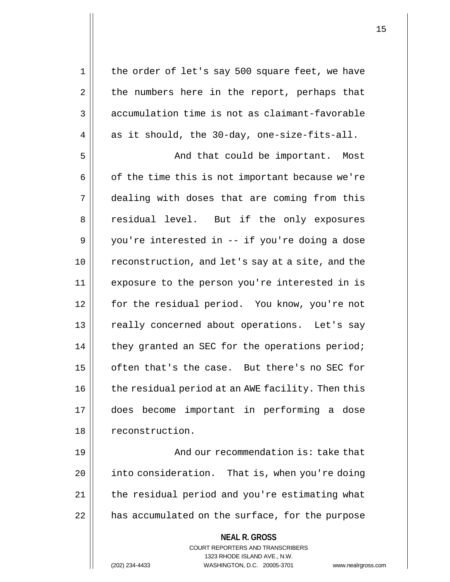**NEAL R. GROSS** COURT REPORTERS AND TRANSCRIBERS 1 || the order of let's say 500 square feet, we have  $2 \parallel$  the numbers here in the report, perhaps that  $3 \parallel$  accumulation time is not as claimant-favorable  $4 \parallel$  as it should, the 30-day, one-size-fits-all. 5 And that could be important. Most  $6 \parallel$  of the time this is not important because we're 7 dealing with doses that are coming from this 8 || residual level. But if the only exposures  $9 \parallel$  you're interested in -- if you're doing a dose 10 || reconstruction, and let's say at a site, and the 11 || exposure to the person you're interested in is 12 for the residual period. You know, you're not 13 || really concerned about operations. Let's say 14 || they granted an SEC for the operations period; 15 || often that's the case. But there's no SEC for 16 | the residual period at an AWE facility. Then this 17 does become important in performing a dose 18 | reconstruction. 19 || And our recommendation is: take that 20 | into consideration. That is, when you're doing 21 || the residual period and you're estimating what 22 | has accumulated on the surface, for the purpose

1323 RHODE ISLAND AVE., N.W.

(202) 234-4433 WASHINGTON, D.C. 20005-3701 www.nealrgross.com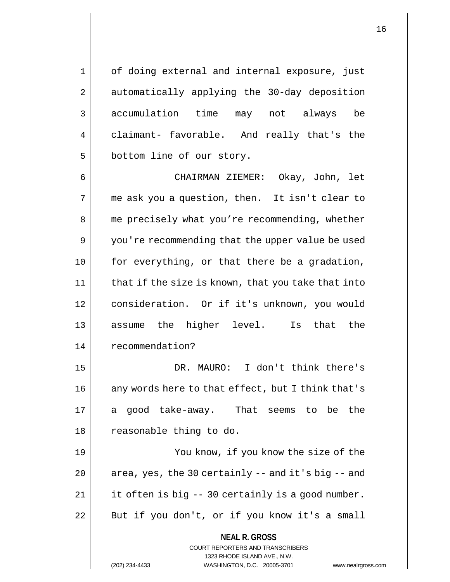1 || of doing external and internal exposure, just 2 | automatically applying the 30-day deposition 3 accumulation time may not always be 4 claimant- favorable. And really that's the 5 | bottom line of our story.

 CHAIRMAN ZIEMER: Okay, John, let me ask you a question, then. It isn't clear to 8 || me precisely what you're recommending, whether 9 | you're recommending that the upper value be used | for everything, or that there be a gradation, | that if the size is known, that you take that into consideration. Or if it's unknown, you would assume the higher level. Is that the 14 | recommendation?

15 DR. MAURO: I don't think there's 16 || any words here to that effect, but I think that's 17 a good take-away. That seems to be the 18 || reasonable thing to do.

 You know, if you know the size of the |  $\sigma$  area, yes, the 30 certainly -- and it's big -- and | it often is big  $-$  30 certainly is a good number. 22 || But if you don't, or if you know it's a small

> COURT REPORTERS AND TRANSCRIBERS 1323 RHODE ISLAND AVE., N.W.

**NEAL R. GROSS**

(202) 234-4433 WASHINGTON, D.C. 20005-3701 www.nealrgross.com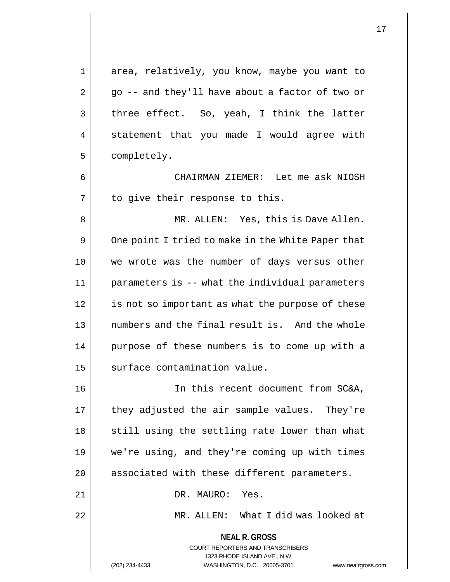1 area, relatively, you know, maybe you want to  $2 \parallel$  go -- and they'll have about a factor of two or  $3 \parallel$  three effect. So, yeah, I think the latter 4 || statement that you made I would agree with 5 | completely. 6 CHAIRMAN ZIEMER: Let me ask NIOSH  $7$  | to give their response to this. 8 MR. ALLEN: Yes, this is Dave Allen. 9 | One point I tried to make in the White Paper that 10 we wrote was the number of days versus other 11 parameters is -- what the individual parameters 12 || is not so important as what the purpose of these 13 || numbers and the final result is. And the whole 14 || purpose of these numbers is to come up with a 15 | surface contamination value. 16 In this recent document from SC&A,  $17$  || they adjusted the air sample values. They're  $18$   $\parallel$  still using the settling rate lower than what 19 we're using, and they're coming up with times

20 || associated with these different parameters.

21 || DR. MAURO: Yes.

22 MR. ALLEN: What I did was looked at

**NEAL R. GROSS** COURT REPORTERS AND TRANSCRIBERS 1323 RHODE ISLAND AVE., N.W.

(202) 234-4433 WASHINGTON, D.C. 20005-3701 www.nealrgross.com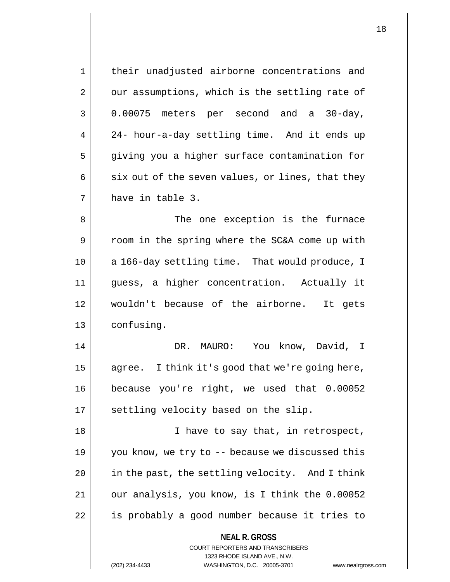| $\mathbf 1$ | their unadjusted airborne concentrations and                                                                                                                           |
|-------------|------------------------------------------------------------------------------------------------------------------------------------------------------------------------|
| 2           | our assumptions, which is the settling rate of                                                                                                                         |
| 3           | 0.00075 meters per second and a 30-day,                                                                                                                                |
| 4           | 24- hour-a-day settling time. And it ends up                                                                                                                           |
| 5           | giving you a higher surface contamination for                                                                                                                          |
| 6           | six out of the seven values, or lines, that they                                                                                                                       |
| 7           | have in table 3.                                                                                                                                                       |
| 8           | The one exception is the furnace                                                                                                                                       |
| 9           | room in the spring where the SC&A come up with                                                                                                                         |
| 10          | a 166-day settling time. That would produce, I                                                                                                                         |
| 11          | guess, a higher concentration. Actually it                                                                                                                             |
| 12          | wouldn't because of the airborne. It gets                                                                                                                              |
| 13          | confusing.                                                                                                                                                             |
| 14          | DR.<br>MAURO: You know, David, I                                                                                                                                       |
| 15          | agree. I think it's good that we're going here,                                                                                                                        |
| 16          | because you're right, we used that 0.00052                                                                                                                             |
| 17          | settling velocity based on the slip.                                                                                                                                   |
| 18          | I have to say that, in retrospect,                                                                                                                                     |
| 19          | you know, we try to -- because we discussed this                                                                                                                       |
| 20          | in the past, the settling velocity. And I think                                                                                                                        |
| 21          | our analysis, you know, is I think the 0.00052                                                                                                                         |
| 22          | is probably a good number because it tries to                                                                                                                          |
|             | <b>NEAL R. GROSS</b><br><b>COURT REPORTERS AND TRANSCRIBERS</b><br>1323 RHODE ISLAND AVE., N.W.<br>(202) 234-4433<br>WASHINGTON, D.C. 20005-3701<br>www.nealrgross.com |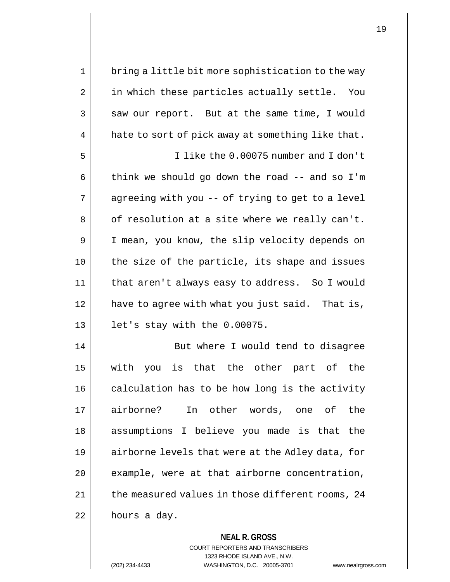1 || bring a little bit more sophistication to the way 2 || in which these particles actually settle. You  $3 \parallel$  saw our report. But at the same time, I would  $4 \parallel$  hate to sort of pick away at something like that. 5 I like the 0.00075 number and I don't 6  $\parallel$  think we should go down the road -- and so I'm  $7 \parallel$  agreeing with you -- of trying to get to a level  $8 \parallel$  of resolution at a site where we really can't. 9 | I mean, you know, the slip velocity depends on 10 the size of the particle, its shape and issues 11 || that aren't always easy to address. So I would 12 | have to agree with what you just said. That is, 13 let's stay with the 0.00075. 14 || But where I would tend to disagree 15 with you is that the other part of the  $16$  calculation has to be how long is the activity 17 airborne? In other words, one of the 18 assumptions I believe you made is that the 19 || airborne levels that were at the Adley data, for  $20$  || example, were at that airborne concentration,  $21$  | the measured values in those different rooms, 24  $22$  | hours a day.

> **NEAL R. GROSS** COURT REPORTERS AND TRANSCRIBERS 1323 RHODE ISLAND AVE., N.W. (202) 234-4433 WASHINGTON, D.C. 20005-3701 www.nealrgross.com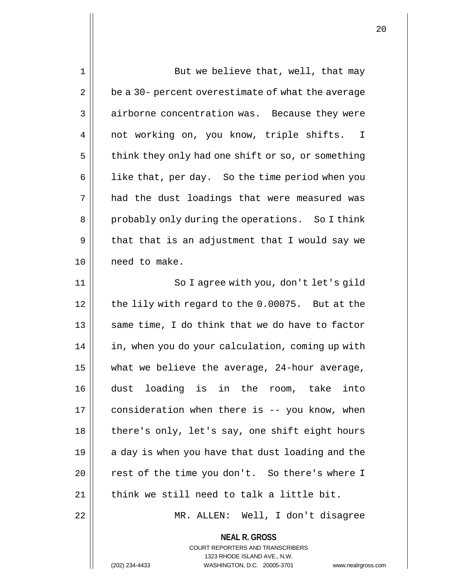| 1  | But we believe that, well, that may                                                             |
|----|-------------------------------------------------------------------------------------------------|
| 2  | be a 30- percent overestimate of what the average                                               |
| 3  | airborne concentration was. Because they were                                                   |
| 4  | not working on, you know, triple shifts. I                                                      |
| 5  | think they only had one shift or so, or something                                               |
| 6  | like that, per day. So the time period when you                                                 |
| 7  | had the dust loadings that were measured was                                                    |
| 8  | probably only during the operations. So I think                                                 |
| 9  | that that is an adjustment that I would say we                                                  |
| 10 | need to make.                                                                                   |
| 11 | So I agree with you, don't let's gild                                                           |
| 12 | the lily with regard to the 0.00075. But at the                                                 |
| 13 | same time, I do think that we do have to factor                                                 |
| 14 | in, when you do your calculation, coming up with                                                |
| 15 | what we believe the average, 24-hour average,                                                   |
| 16 | dust loading is in the room, take into                                                          |
| 17 | consideration when there is -- you know, when                                                   |
| 18 | there's only, let's say, one shift eight hours                                                  |
| 19 | a day is when you have that dust loading and the                                                |
| 20 | rest of the time you don't. So there's where I                                                  |
| 21 | think we still need to talk a little bit.                                                       |
| 22 | MR. ALLEN: Well, I don't disagree                                                               |
|    | <b>NEAL R. GROSS</b><br><b>COURT REPORTERS AND TRANSCRIBERS</b><br>1323 RHODE ISLAND AVE., N.W. |
|    | (202) 234-4433<br>WASHINGTON, D.C. 20005-3701<br>www.nealrgross.com                             |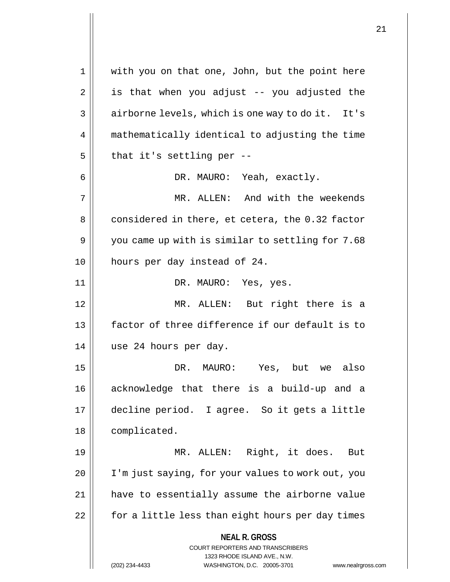**NEAL R. GROSS** COURT REPORTERS AND TRANSCRIBERS 1323 RHODE ISLAND AVE., N.W. 1 || with you on that one, John, but the point here  $2 \parallel$  is that when you adjust -- you adjusted the 3 | airborne levels, which is one way to do it. It's 4 | mathematically identical to adjusting the time  $5$  | that it's settling per --6 DR. MAURO: Yeah, exactly. 7 MR. ALLEN: And with the weekends  $8 \parallel$  considered in there, et cetera, the 0.32 factor  $9 \parallel$  you came up with is similar to settling for 7.68 10 hours per day instead of 24. 11 DR. MAURO: Yes, yes. 12 MR. ALLEN: But right there is a 13 factor of three difference if our default is to 14 use 24 hours per day. 15 DR. MAURO: Yes, but we also 16 acknowledge that there is a build-up and a 17 decline period. I agree. So it gets a little 18 | complicated. 19 MR. ALLEN: Right, it does. But 20 I'm just saying, for your values to work out, you 21 have to essentially assume the airborne value 22 | for a little less than eight hours per day times

(202) 234-4433 WASHINGTON, D.C. 20005-3701 www.nealrgross.com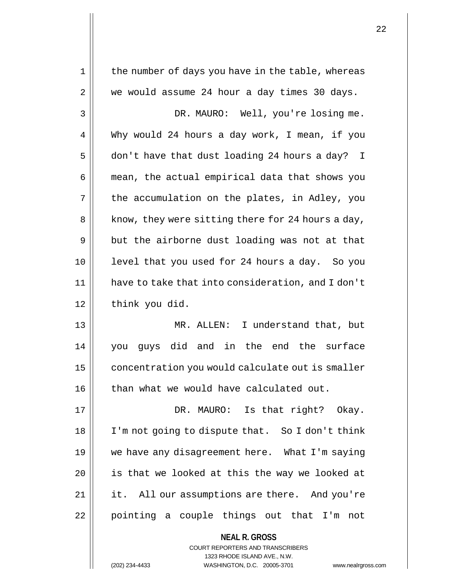| 1  | the number of days you have in the table, whereas        |
|----|----------------------------------------------------------|
| 2  | we would assume 24 hour a day times 30 days.             |
| 3  | DR. MAURO: Well, you're losing me.                       |
| 4  | Why would 24 hours a day work, I mean, if you            |
| 5  | don't have that dust loading 24 hours a day? I           |
| 6  | mean, the actual empirical data that shows you           |
| 7  | the accumulation on the plates, in Adley, you            |
| 8  | know, they were sitting there for 24 hours a day,        |
| 9  | but the airborne dust loading was not at that            |
| 10 | level that you used for 24 hours a day. So you           |
| 11 | have to take that into consideration, and I don't        |
| 12 | think you did.                                           |
| 13 | MR. ALLEN:<br>I understand that, but                     |
| 14 | did and in the end the surface<br>guys<br>you            |
| 15 | concentration you would calculate out is smaller         |
| 16 | than what we would have calculated out.                  |
| 17 | DR. MAURO: Is that right? Okay.                          |
| 18 | I'm not going to dispute that. So I don't think          |
| 19 | we have any disagreement here. What I'm saying           |
| 20 | is that we looked at this the way we looked at           |
| 21 | it. All our assumptions are there. And you're            |
| 22 | pointing a couple things out that I'm not                |
|    | <b>NEAL R. GROSS</b><br>COURT REPORTERS AND TRANSCRIBERS |

1323 RHODE ISLAND AVE., N.W.

 $\prod$ 

(202) 234-4433 WASHINGTON, D.C. 20005-3701 www.nealrgross.com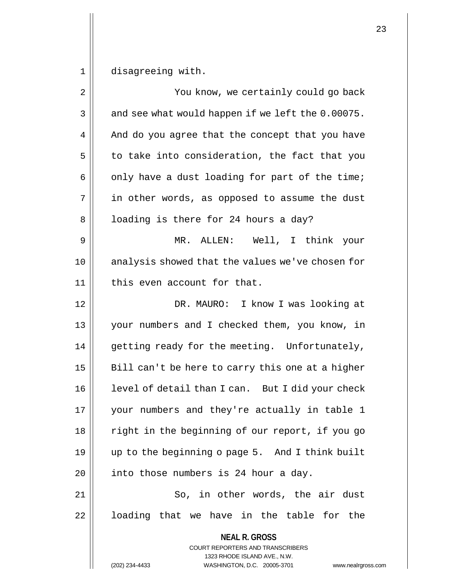1 disagreeing with.

| $\overline{2}$ | You know, we certainly could go back                                                                                                                                   |
|----------------|------------------------------------------------------------------------------------------------------------------------------------------------------------------------|
| $\mathbf{3}$   | and see what would happen if we left the 0.00075.                                                                                                                      |
| 4              | And do you agree that the concept that you have                                                                                                                        |
| 5              | to take into consideration, the fact that you                                                                                                                          |
| 6              | only have a dust loading for part of the time;                                                                                                                         |
| 7              | in other words, as opposed to assume the dust                                                                                                                          |
| 8              | loading is there for 24 hours a day?                                                                                                                                   |
| 9              | MR. ALLEN: Well, I think your                                                                                                                                          |
| 10             | analysis showed that the values we've chosen for                                                                                                                       |
| 11             | this even account for that.                                                                                                                                            |
| 12             | DR. MAURO: I know I was looking at                                                                                                                                     |
| 13             | your numbers and I checked them, you know, in                                                                                                                          |
| 14             | getting ready for the meeting. Unfortunately,                                                                                                                          |
| 15             | Bill can't be here to carry this one at a higher                                                                                                                       |
| 16             | level of detail than I can. But I did your check                                                                                                                       |
| 17             | your numbers and they're actually in table 1                                                                                                                           |
| 18             | right in the beginning of our report, if you go                                                                                                                        |
| 19             | up to the beginning o page 5. And I think built                                                                                                                        |
| 20             | into those numbers is 24 hour a day.                                                                                                                                   |
| 21             | So, in other words, the air dust                                                                                                                                       |
| 22             | loading that we have in the table for the                                                                                                                              |
|                | <b>NEAL R. GROSS</b><br><b>COURT REPORTERS AND TRANSCRIBERS</b><br>1323 RHODE ISLAND AVE., N.W.<br>WASHINGTON, D.C. 20005-3701<br>(202) 234-4433<br>www.nealrgross.com |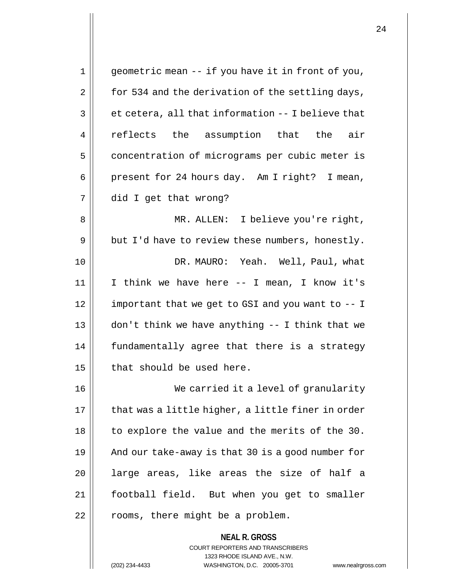| 1  | geometric mean -- if you have it in front of you, |
|----|---------------------------------------------------|
| 2  | for 534 and the derivation of the settling days,  |
| 3  | et cetera, all that information -- I believe that |
| 4  | reflects the assumption that the air              |
| 5  | concentration of micrograms per cubic meter is    |
| 6  | present for 24 hours day. Am I right? I mean,     |
| 7  | did I get that wrong?                             |
| 8  | MR. ALLEN: I believe you're right,                |
| 9  | but I'd have to review these numbers, honestly.   |
| 10 | DR. MAURO: Yeah. Well, Paul, what                 |
| 11 | I think we have here -- I mean, I know it's       |
| 12 | important that we get to GSI and you want to -- I |
| 13 | don't think we have anything -- I think that we   |
| 14 | fundamentally agree that there is a strategy      |
| 15 | that should be used here.                         |
| 16 | We carried it a level of granularity              |
| 17 | that was a little higher, a little finer in order |
| 18 | to explore the value and the merits of the 30.    |
| 19 | And our take-away is that 30 is a good number for |
| 20 | large areas, like areas the size of half a        |
| 21 | football field. But when you get to smaller       |
| 22 | rooms, there might be a problem.                  |
|    | <b>NEAL R. GROSS</b>                              |

COURT REPORTERS AND TRANSCRIBERS 1323 RHODE ISLAND AVE., N.W.

(202) 234-4433 WASHINGTON, D.C. 20005-3701 www.nealrgross.com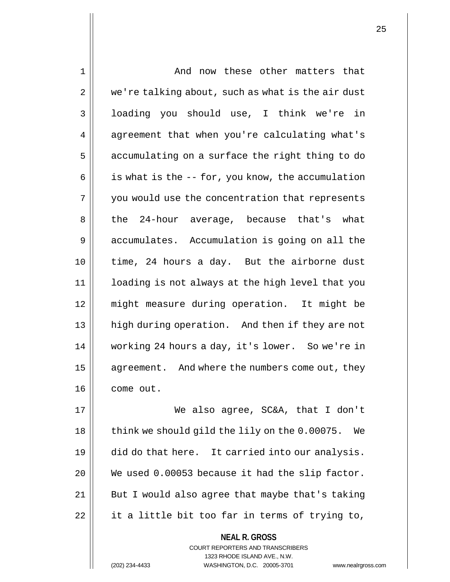| 1  | And now these other matters that                    |
|----|-----------------------------------------------------|
| 2  | we're talking about, such as what is the air dust   |
| 3  | loading you should use, I think we're in            |
| 4  | agreement that when you're calculating what's       |
| 5  | accumulating on a surface the right thing to do     |
| 6  | is what is the -- for, you know, the accumulation   |
| 7  | you would use the concentration that represents     |
| 8  | the 24-hour average, because that's what            |
| 9  | accumulates. Accumulation is going on all the       |
| 10 | time, 24 hours a day. But the airborne dust         |
| 11 | loading is not always at the high level that you    |
| 12 | might measure during operation. It might be         |
| 13 | high during operation. And then if they are not     |
| 14 | working 24 hours a day, it's lower. So we're in     |
| 15 | agreement. And where the numbers come out, they     |
| 16 | come out.                                           |
| 17 | We also agree, SC&A, that I don't                   |
| 18 | think we should gild the lily on the 0.00075.<br>We |
| 19 | did do that here. It carried into our analysis.     |
| 20 | We used 0.00053 because it had the slip factor.     |
| 21 | But I would also agree that maybe that's taking     |
| 22 | it a little bit too far in terms of trying to,      |
|    | <b>NEAL R. GROSS</b>                                |

COURT REPORTERS AND TRANSCRIBERS 1323 RHODE ISLAND AVE., N.W.

(202) 234-4433 WASHINGTON, D.C. 20005-3701 www.nealrgross.com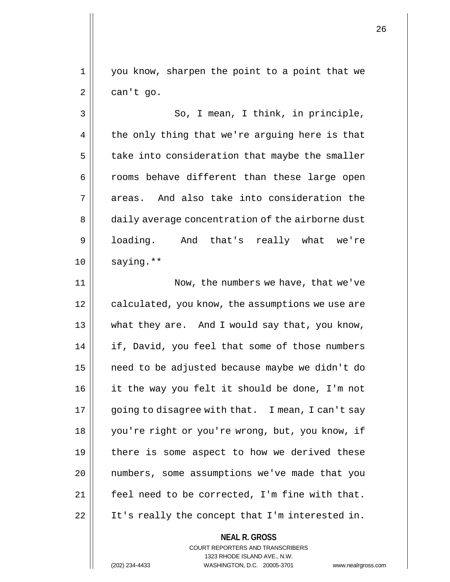1 || you know, sharpen the point to a point that we  $2 \parallel$  can't go.

3 || So, I mean, I think, in principle,  $4 \parallel$  the only thing that we're arguing here is that  $5$  | take into consideration that maybe the smaller 6 || rooms behave different than these large open  $7 \parallel$  areas. And also take into consideration the 8 | daily average concentration of the airborne dust 9 loading. And that's really what we're  $10$  saying.\*\*

11 | Now, the numbers we have, that we've 12 calculated, you know, the assumptions we use are 13 what they are. And I would say that, you know, 14 | if, David, you feel that some of those numbers 15 need to be adjusted because maybe we didn't do 16 it the way you felt it should be done, I'm not 17 || going to disagree with that. I mean, I can't say 18 you're right or you're wrong, but, you know, if  $19$  | there is some aspect to how we derived these 20 || numbers, some assumptions we've made that you 21 | feel need to be corrected, I'm fine with that.  $22$  | It's really the concept that I'm interested in.

> COURT REPORTERS AND TRANSCRIBERS 1323 RHODE ISLAND AVE., N.W. (202) 234-4433 WASHINGTON, D.C. 20005-3701 www.nealrgross.com

**NEAL R. GROSS**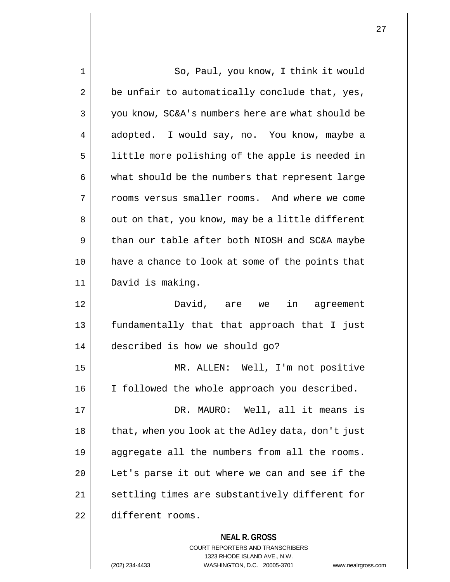| 1  | So, Paul, you know, I think it would              |
|----|---------------------------------------------------|
| 2  | be unfair to automatically conclude that, yes,    |
| 3  | you know, SC&A's numbers here are what should be  |
| 4  | adopted. I would say, no. You know, maybe a       |
| 5  | little more polishing of the apple is needed in   |
| 6  | what should be the numbers that represent large   |
| 7  | rooms versus smaller rooms. And where we come     |
| 8  | out on that, you know, may be a little different  |
| 9  | than our table after both NIOSH and SC&A maybe    |
| 10 | have a chance to look at some of the points that  |
| 11 | David is making.                                  |
| 12 | David, are we<br>in agreement                     |
| 13 | fundamentally that that approach that I just      |
| 14 | described is how we should go?                    |
| 15 | MR. ALLEN: Well, I'm not positive                 |
| 16 | I followed the whole approach you described.      |
| 17 | DR. MAURO: Well, all it means is                  |
| 18 | that, when you look at the Adley data, don't just |
| 19 | aggregate all the numbers from all the rooms.     |
| 20 | Let's parse it out where we can and see if the    |
| 21 | settling times are substantively different for    |
| 22 | different rooms.                                  |
|    | <b>NEAL R. GROSS</b>                              |

COURT REPORTERS AND TRANSCRIBERS 1323 RHODE ISLAND AVE., N.W.

(202) 234-4433 WASHINGTON, D.C. 20005-3701 www.nealrgross.com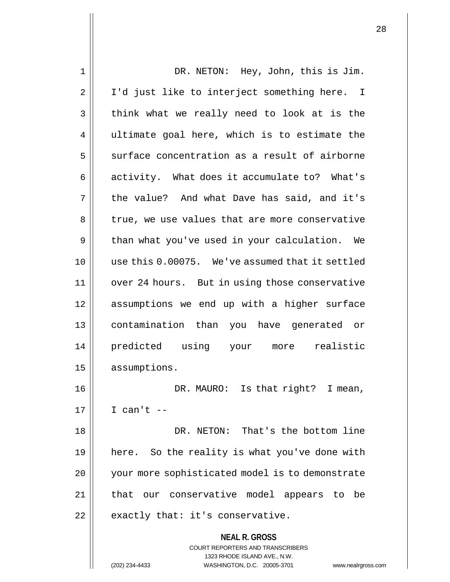| 1              | DR. NETON: Hey, John, this is Jim.                                                                                                                                |
|----------------|-------------------------------------------------------------------------------------------------------------------------------------------------------------------|
| $\overline{2}$ | I'd just like to interject something here. I                                                                                                                      |
| 3              | think what we really need to look at is the                                                                                                                       |
| $\overline{4}$ | ultimate goal here, which is to estimate the                                                                                                                      |
| 5              | surface concentration as a result of airborne                                                                                                                     |
| 6              | activity. What does it accumulate to? What's                                                                                                                      |
| 7              | the value? And what Dave has said, and it's                                                                                                                       |
| 8              | true, we use values that are more conservative                                                                                                                    |
| 9              | than what you've used in your calculation. We                                                                                                                     |
| 10             | use this 0.00075. We've assumed that it settled                                                                                                                   |
| 11             | over 24 hours. But in using those conservative                                                                                                                    |
| 12             | assumptions we end up with a higher surface                                                                                                                       |
| 13             | contamination than you have generated or                                                                                                                          |
| 14             | predicted using your more realistic                                                                                                                               |
| 15             | assumptions.                                                                                                                                                      |
| 16             | DR. MAURO: Is that right? I mean,                                                                                                                                 |
| 17             | I can't $--$                                                                                                                                                      |
| 18             | DR. NETON: That's the bottom line                                                                                                                                 |
| 19             | here. So the reality is what you've done with                                                                                                                     |
| 20             | your more sophisticated model is to demonstrate                                                                                                                   |
| 21             | our conservative model appears to be<br>that                                                                                                                      |
| 22             | exactly that: it's conservative.                                                                                                                                  |
|                | <b>NEAL R. GROSS</b><br><b>COURT REPORTERS AND TRANSCRIBERS</b><br>1323 RHODE ISLAND AVE., N.W.<br>(202) 234-4433<br>WASHINGTON, D.C. 20005-3701<br>www.nealrgros |

(202) 234-4433 WASHINGTON, D.C. 20005-3701 www.nealrgross.com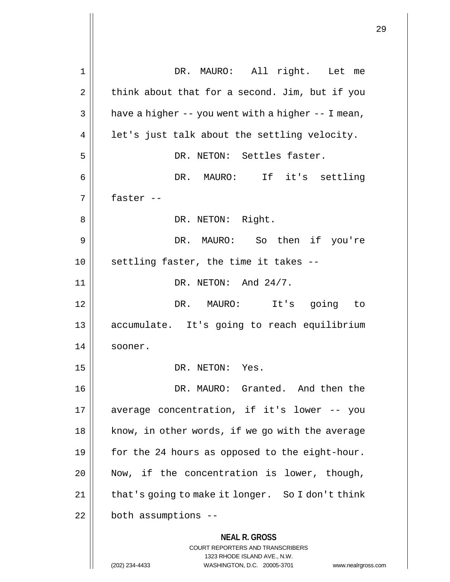**NEAL R. GROSS** COURT REPORTERS AND TRANSCRIBERS 1323 RHODE ISLAND AVE., N.W. (202) 234-4433 WASHINGTON, D.C. 20005-3701 www.nealrgross.com 1 || DR. MAURO: All right. Let me  $2 \parallel$  think about that for a second. Jim, but if you  $3 \parallel$  have a higher -- you went with a higher -- I mean,  $4 \parallel$  let's just talk about the settling velocity. 5 || DR. NETON: Settles faster. 6 DR. MAURO: If it's settling  $7 \parallel$  faster --8 || DR. NETON: Right. 9 DR. MAURO: So then if you're  $10$  || settling faster, the time it takes -- $11$  || DR. NETON: And  $24/7$ . 12 DR. MAURO: It's going to 13 accumulate. It's going to reach equilibrium 14 || sooner. 15 || DR. NETON: Yes. 16 DR. MAURO: Granted. And then the 17 average concentration, if it's lower -- you 18 || know, in other words, if we go with the average 19  $\parallel$  for the 24 hours as opposed to the eight-hour. 20 || Now, if the concentration is lower, though, 21 | that's going to make it longer. So I don't think  $22$  | both assumptions --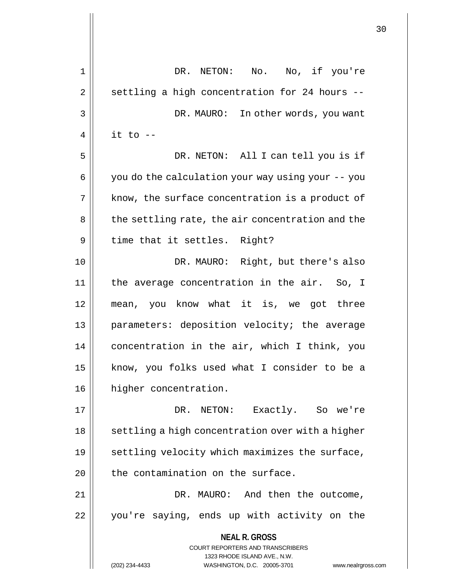|                |                                                                     | 30 |
|----------------|---------------------------------------------------------------------|----|
| 1              | No, if you're<br>DR.<br>No.<br>NETON:                               |    |
| $\overline{2}$ | settling a high concentration for 24 hours --                       |    |
| 3              | DR. MAURO: In other words, you want                                 |    |
| 4              | it to $-$                                                           |    |
| 5              | DR. NETON: All I can tell you is if                                 |    |
| 6              | you do the calculation your way using your -- you                   |    |
| 7              | know, the surface concentration is a product of                     |    |
| 8              | the settling rate, the air concentration and the                    |    |
|                |                                                                     |    |
| 9              | time that it settles. Right?                                        |    |
| 10             | DR. MAURO: Right, but there's also                                  |    |
| 11             | the average concentration in the air. So, I                         |    |
| 12             | mean, you know what it is, we got three                             |    |
| 13             | parameters: deposition velocity; the average                        |    |
| 14             | concentration in the air, which I think, you                        |    |
| 15             | know, you folks used what I consider to be a                        |    |
| 16             | higher concentration.                                               |    |
| 17             | NETON: Exactly. So we're<br>DR.                                     |    |
| 18             | settling a high concentration over with a higher                    |    |
| 19             | settling velocity which maximizes the surface,                      |    |
| 20             | the contamination on the surface.                                   |    |
| 21             | DR. MAURO: And then the outcome,                                    |    |
| 22             | you're saying, ends up with activity on the                         |    |
|                | <b>NEAL R. GROSS</b>                                                |    |
|                | COURT REPORTERS AND TRANSCRIBERS<br>1323 RHODE ISLAND AVE., N.W.    |    |
|                | WASHINGTON, D.C. 20005-3701<br>(202) 234-4433<br>www.nealrgross.com |    |

 $\overline{1}$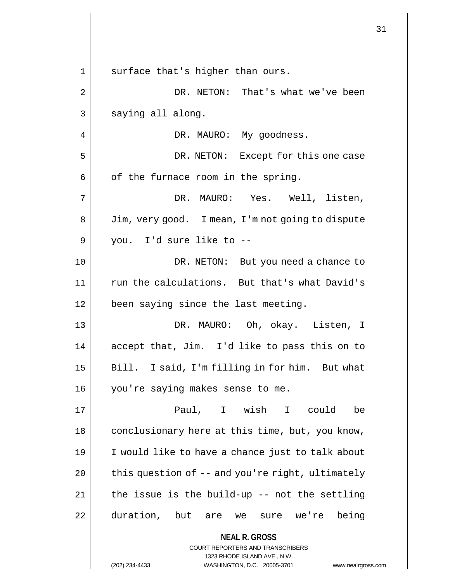**NEAL R. GROSS** COURT REPORTERS AND TRANSCRIBERS 1323 RHODE ISLAND AVE., N.W. 1 || surface that's higher than ours. 2 DR. NETON: That's what we've been  $3 \parallel$  saying all along. 4 || DR. MAURO: My goodness. 5 DR. NETON: Except for this one case  $6 \parallel$  of the furnace room in the spring. 7 DR. MAURO: Yes. Well, listen, 8 | Jim, very good. I mean, I'm not going to dispute 9 you. I'd sure like to -- 10 DR. NETON: But you need a chance to 11 || run the calculations. But that's what David's 12 | been saying since the last meeting. 13 DR. MAURO: Oh, okay. Listen, I 14  $\parallel$  accept that, Jim. I'd like to pass this on to 15 || Bill. I said, I'm filling in for him. But what 16 || you're saying makes sense to me. 17 Paul, I wish I could be 18 | conclusionary here at this time, but, you know, 19 I would like to have a chance just to talk about 20  $\parallel$  this question of -- and you're right, ultimately  $21$  || the issue is the build-up -- not the settling 22 duration, but are we sure we're being

(202) 234-4433 WASHINGTON, D.C. 20005-3701 www.nealrgross.com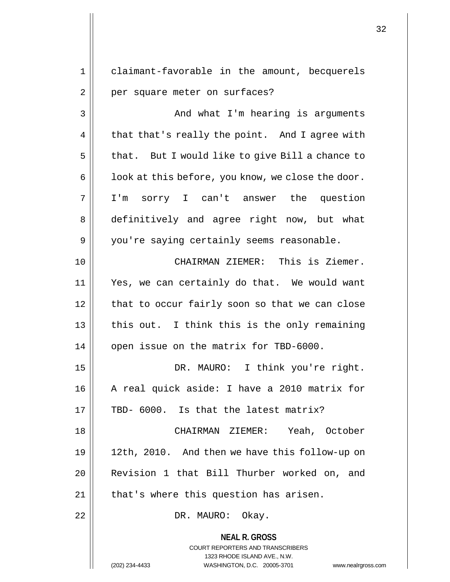**NEAL R. GROSS** COURT REPORTERS AND TRANSCRIBERS 1323 RHODE ISLAND AVE., N.W. 1 claimant-favorable in the amount, becquerels 2 | per square meter on surfaces? 3 | And what I'm hearing is arguments  $4 \parallel$  that that's really the point. And I agree with  $5 \parallel$  that. But I would like to give Bill a chance to  $6 \parallel$  look at this before, you know, we close the door. 7 I'm sorry I can't answer the question 8 definitively and agree right now, but what 9 || you're saying certainly seems reasonable. 10 CHAIRMAN ZIEMER: This is Ziemer. 11 Yes, we can certainly do that. We would want 12 | that to occur fairly soon so that we can close  $13$  | this out. I think this is the only remaining 14 | open issue on the matrix for TBD-6000. 15 || DR. MAURO: I think you're right. 16 || A real quick aside: I have a 2010 matrix for 17  $\parallel$  TBD- 6000. Is that the latest matrix? 18 CHAIRMAN ZIEMER: Yeah, October 19 12th, 2010. And then we have this follow-up on 20 Revision 1 that Bill Thurber worked on, and 21 || that's where this question has arisen. 22 || DR. MAURO: Okay.

(202) 234-4433 WASHINGTON, D.C. 20005-3701 www.nealrgross.com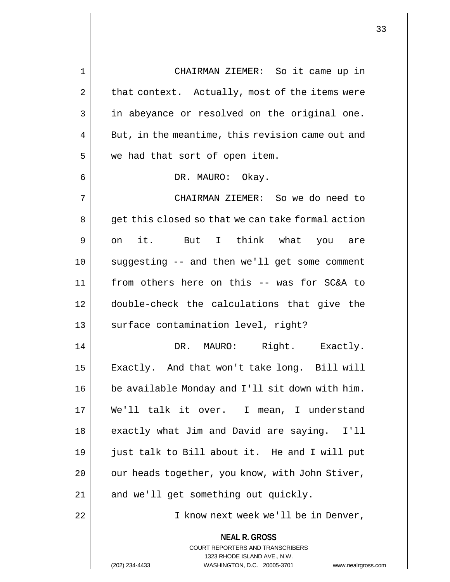**NEAL R. GROSS** COURT REPORTERS AND TRANSCRIBERS 1323 RHODE ISLAND AVE., N.W. 1 CHAIRMAN ZIEMER: So it came up in  $2 \parallel$  that context. Actually, most of the items were 3 || in abeyance or resolved on the original one.  $4 \parallel$  But, in the meantime, this revision came out and 5 | we had that sort of open item. 6 DR. MAURO: Okay. 7 CHAIRMAN ZIEMER: So we do need to 8 || get this closed so that we can take formal action 9|| on it. But I think what you are 10 suggesting -- and then we'll get some comment 11 from others here on this -- was for SC&A to 12 double-check the calculations that give the 13 || surface contamination level, right? 14 DR. MAURO: Right. Exactly. 15 | Exactly. And that won't take long. Bill will 16 be available Monday and I'll sit down with him. 17 We'll talk it over. I mean, I understand 18 || exactly what Jim and David are saying. I'll 19 just talk to Bill about it. He and I will put 20 | | our heads together, you know, with John Stiver,  $21$  || and we'll get something out quickly. 22 || I know next week we'll be in Denver,

(202) 234-4433 WASHINGTON, D.C. 20005-3701 www.nealrgross.com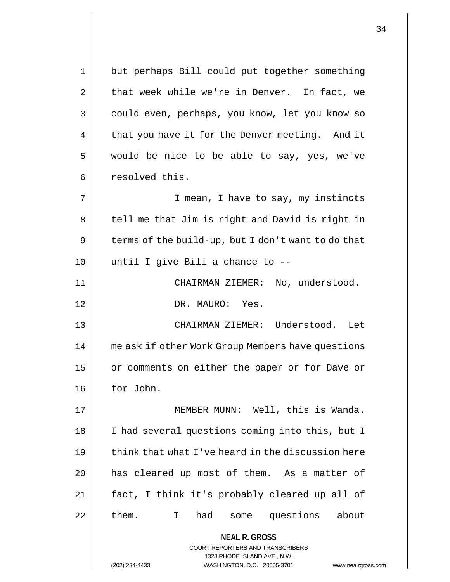**NEAL R. GROSS** COURT REPORTERS AND TRANSCRIBERS 1323 RHODE ISLAND AVE., N.W. (202) 234-4433 WASHINGTON, D.C. 20005-3701 www.nealrgross.com 1 || but perhaps Bill could put together something  $2 \parallel$  that week while we're in Denver. In fact, we 3 could even, perhaps, you know, let you know so 4 | that you have it for the Denver meeting. And it  $5 \parallel$  would be nice to be able to say, yes, we've 6 | resolved this. 7 || T mean, I have to say, my instincts 8 || tell me that Jim is right and David is right in  $9 \parallel$  terms of the build-up, but I don't want to do that  $10$  || until I give Bill a chance to --11 CHAIRMAN ZIEMER: No, understood. 12 DR. MAURO: Yes. 13 CHAIRMAN ZIEMER: Understood. Let 14 me ask if other Work Group Members have questions 15 | or comments on either the paper or for Dave or 16 for John. 17 MEMBER MUNN: Well, this is Wanda. 18 || I had several questions coming into this, but I  $19$   $\parallel$  think that what I've heard in the discussion here 20 || has cleared up most of them. As a matter of 21 fact, I think it's probably cleared up all of  $22$  || them. I had some questions about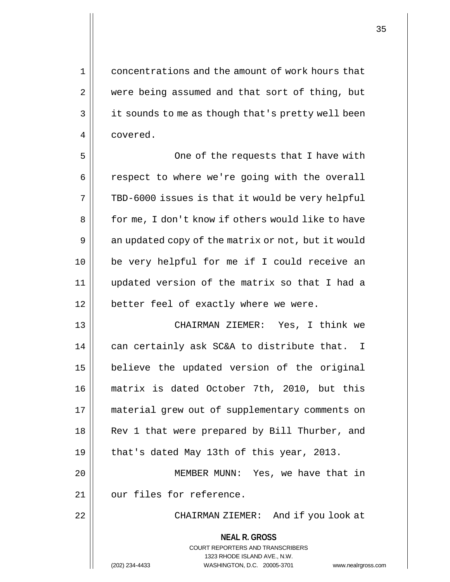1 concentrations and the amount of work hours that 2 | were being assumed and that sort of thing, but 3 | it sounds to me as though that's pretty well been 4 covered.

5 || One of the requests that I have with 6 | respect to where we're going with the overall  $7 \parallel$  TBD-6000 issues is that it would be very helpful 8 | for me, I don't know if others would like to have 9 | an updated copy of the matrix or not, but it would 10 be very helpful for me if I could receive an 11 updated version of the matrix so that I had a 12 || better feel of exactly where we were.

 CHAIRMAN ZIEMER: Yes, I think we  $\parallel$  can certainly ask SC&A to distribute that. I believe the updated version of the original matrix is dated October 7th, 2010, but this material grew out of supplementary comments on 18 || Rev 1 that were prepared by Bill Thurber, and  $\parallel$  that's dated May 13th of this year, 2013. MEMBER MUNN: Yes, we have that in 21 || our files for reference. 22 || CHAIRMAN ZIEMER: And if you look at

## **NEAL R. GROSS** COURT REPORTERS AND TRANSCRIBERS

1323 RHODE ISLAND AVE., N.W. (202) 234-4433 WASHINGTON, D.C. 20005-3701 www.nealrgross.com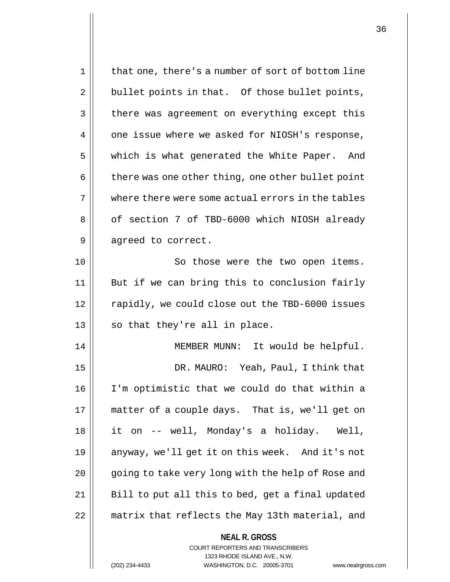| $\mathbf 1$ | that one, there's a number of sort of bottom line |
|-------------|---------------------------------------------------|
| 2           | bullet points in that. Of those bullet points,    |
| 3           | there was agreement on everything except this     |
| 4           | one issue where we asked for NIOSH's response,    |
| 5           | which is what generated the White Paper. And      |
| 6           | there was one other thing, one other bullet point |
| 7           | where there were some actual errors in the tables |
| 8           | of section 7 of TBD-6000 which NIOSH already      |
| 9           | agreed to correct.                                |
| 10          | So those were the two open items.                 |
| 11          | But if we can bring this to conclusion fairly     |
| 12          | rapidly, we could close out the TBD-6000 issues   |
| 13          | so that they're all in place.                     |
| 14          | MEMBER MUNN: It would be helpful.                 |
| 15          | DR. MAURO: Yeah, Paul, I think that               |
| 16          | I'm optimistic that we could do that within a     |
| 17          | matter of a couple days. That is, we'll get on    |
| 18          | it on -- well, Monday's a holiday.<br>Well,       |
| 19          | anyway, we'll get it on this week. And it's not   |
| 20          | going to take very long with the help of Rose and |
| 21          | Bill to put all this to bed, get a final updated  |
| 22          | matrix that reflects the May 13th material, and   |
|             | <b>NEAL R. GROSS</b>                              |

COURT REPORTERS AND TRANSCRIBERS 1323 RHODE ISLAND AVE., N.W.

(202) 234-4433 WASHINGTON, D.C. 20005-3701 www.nealrgross.com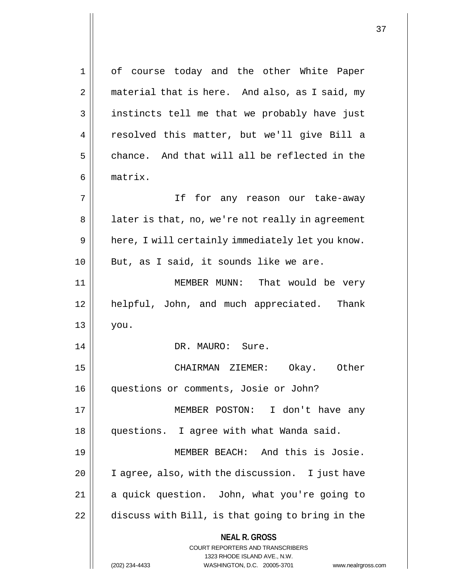**NEAL R. GROSS** COURT REPORTERS AND TRANSCRIBERS 1323 RHODE ISLAND AVE., N.W. 1 || of course today and the other White Paper 2 | material that is here. And also, as I said, my 3 || instincts tell me that we probably have just 4 || resolved this matter, but we'll give Bill a  $5 \parallel$  chance. And that will all be reflected in the 6 matrix. 7 If for any reason our take-away 8 | later is that, no, we're not really in agreement  $9 \parallel$  here, I will certainly immediately let you know.  $10$  | But, as I said, it sounds like we are. 11 || MEMBER MUNN: That would be very 12 || helpful, John, and much appreciated. Thank  $13 \parallel$  you. 14 || DR. MAURO: Sure. 15 CHAIRMAN ZIEMER: Okay. Other 16 questions or comments, Josie or John? 17 MEMBER POSTON: I don't have any 18 questions. I agree with what Wanda said. 19 MEMBER BEACH: And this is Josie. 20 | I agree, also, with the discussion. I just have 21 || a quick question. John, what you're going to  $22$   $\parallel$  discuss with Bill, is that going to bring in the

(202) 234-4433 WASHINGTON, D.C. 20005-3701 www.nealrgross.com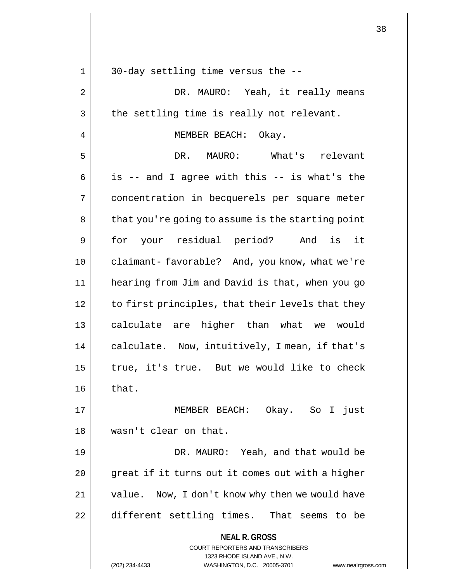| 1  | 30-day settling time versus the --                                                                  |
|----|-----------------------------------------------------------------------------------------------------|
| 2  | DR. MAURO: Yeah, it really means                                                                    |
| 3  | the settling time is really not relevant.                                                           |
| 4  | MEMBER BEACH: Okay.                                                                                 |
| 5  | DR. MAURO: What's relevant                                                                          |
| 6  | is -- and I agree with this -- is what's the                                                        |
| 7  | concentration in becquerels per square meter                                                        |
| 8  | that you're going to assume is the starting point                                                   |
| 9  | for your residual period? And is<br>it                                                              |
| 10 | claimant-favorable? And, you know, what we're                                                       |
| 11 | hearing from Jim and David is that, when you go                                                     |
| 12 | to first principles, that their levels that they                                                    |
| 13 | calculate are higher than what we would                                                             |
| 14 | calculate. Now, intuitively, I mean, if that's                                                      |
| 15 | true, it's true. But we would like to check                                                         |
| 16 | that.                                                                                               |
| 17 | MEMBER BEACH: Okay. So I just                                                                       |
| 18 | wasn't clear on that.                                                                               |
| 19 | DR. MAURO: Yeah, and that would be                                                                  |
| 20 | great if it turns out it comes out with a higher                                                    |
| 21 | value. Now, I don't know why then we would have                                                     |
| 22 | different settling times. That seems to be                                                          |
|    | <b>NEAL R. GROSS</b><br><b>COURT REPORTERS AND TRANSCRIBERS</b>                                     |
|    | 1323 RHODE ISLAND AVE., N.W.<br>(202) 234-4433<br>WASHINGTON, D.C. 20005-3701<br>www.nealrgross.com |

 $\mathsf{I}$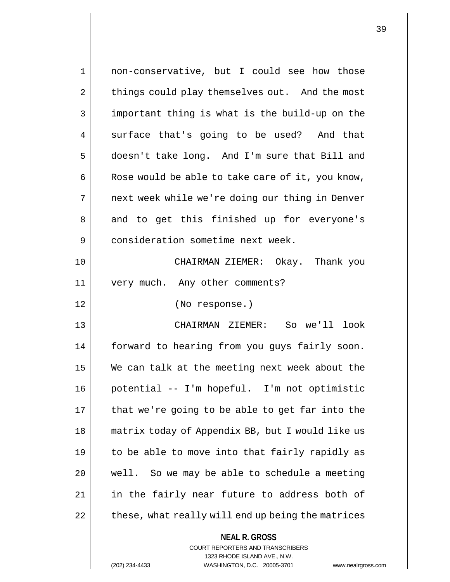**NEAL R. GROSS** 1 non-conservative, but I could see how those 2 | things could play themselves out. And the most  $3 \parallel$  important thing is what is the build-up on the 4 || surface that's going to be used? And that 5 | doesn't take long. And I'm sure that Bill and  $6 \parallel$  Rose would be able to take care of it, you know, 7 || next week while we're doing our thing in Denver 8 || and to get this finished up for everyone's 9 || consideration sometime next week. 10 CHAIRMAN ZIEMER: Okay. Thank you 11 || very much. Any other comments? 12 (No response.) 13 CHAIRMAN ZIEMER: So we'll look 14 forward to hearing from you guys fairly soon. 15 We can talk at the meeting next week about the 16 potential -- I'm hopeful. I'm not optimistic  $17$  | that we're going to be able to get far into the 18 matrix today of Appendix BB, but I would like us 19  $\parallel$  to be able to move into that fairly rapidly as  $20$  || well. So we may be able to schedule a meeting 21 || in the fairly near future to address both of  $22$   $\parallel$  these, what really will end up being the matrices

> COURT REPORTERS AND TRANSCRIBERS 1323 RHODE ISLAND AVE., N.W.

(202) 234-4433 WASHINGTON, D.C. 20005-3701 www.nealrgross.com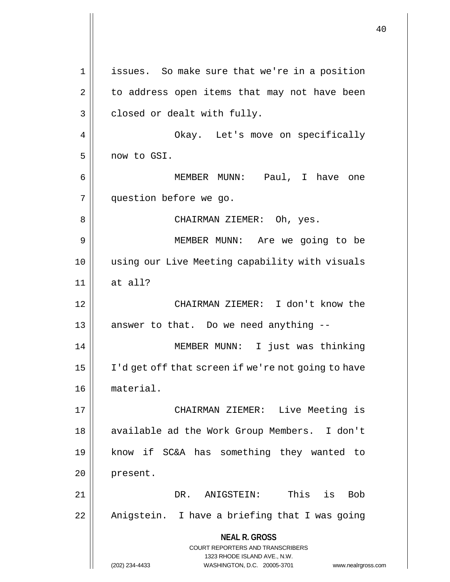**NEAL R. GROSS** COURT REPORTERS AND TRANSCRIBERS 1323 RHODE ISLAND AVE., N.W. (202) 234-4433 WASHINGTON, D.C. 20005-3701 www.nealrgross.com issues. So make sure that we're in a position  $2 \parallel$  to address open items that may not have been  $3 \parallel$  closed or dealt with fully. Okay. Let's move on specifically now to GSI. MEMBER MUNN: Paul, I have one question before we go. CHAIRMAN ZIEMER: Oh, yes. MEMBER MUNN: Are we going to be using our Live Meeting capability with visuals at all? CHAIRMAN ZIEMER: I don't know the || answer to that. Do we need anything  $-$  MEMBER MUNN: I just was thinking 15 | I'd get off that screen if we're not going to have material. CHAIRMAN ZIEMER: Live Meeting is 18 || available ad the Work Group Members. I don't know if SC&A has something they wanted to 20 present. DR. ANIGSTEIN: This is Bob 22 || Anigstein. I have a briefing that I was going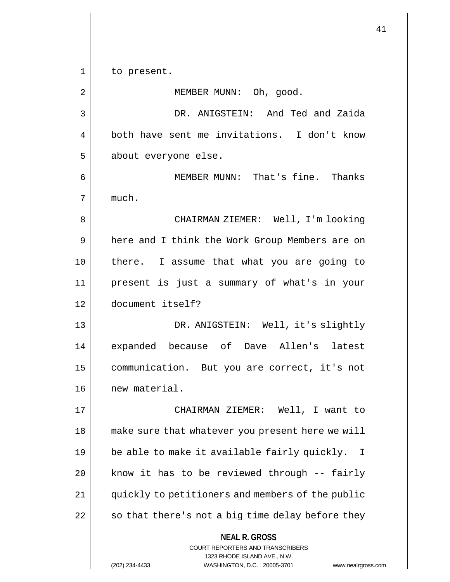1 | to present. 2 | MEMBER MUNN: Oh, good.

 DR. ANIGSTEIN: And Ted and Zaida both have sent me invitations. I don't know 5 || about everyone else.

6 || MEMBER MUNN: That's fine. Thanks much.

 CHAIRMAN ZIEMER: Well, I'm looking 9 | here and I think the Work Group Members are on there. I assume that what you are going to present is just a summary of what's in your document itself?

 DR. ANIGSTEIN: Well, it's slightly 14 || expanded because of Dave Allen's latest communication. But you are correct, it's not new material.

 CHAIRMAN ZIEMER: Well, I want to make sure that whatever you present here we will  $\parallel$  be able to make it available fairly quickly. I  $\parallel$  know it has to be reviewed through -- fairly quickly to petitioners and members of the public | so that there's not a big time delay before they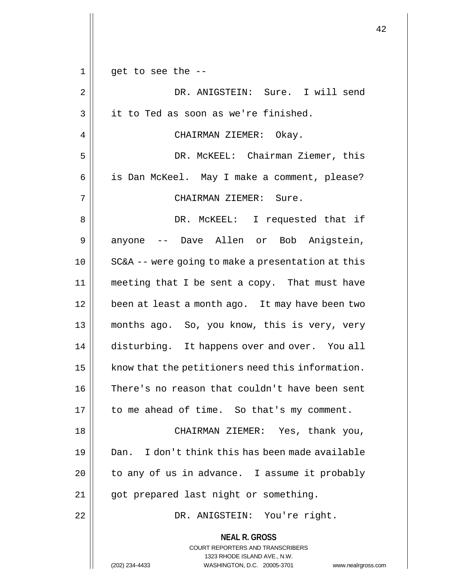|             |                                                                         | 42 |
|-------------|-------------------------------------------------------------------------|----|
|             |                                                                         |    |
| $\mathbf 1$ | get to see the --                                                       |    |
| 2           | DR. ANIGSTEIN: Sure. I will send                                        |    |
| 3           | it to Ted as soon as we're finished.                                    |    |
| 4           | CHAIRMAN ZIEMER: Okay.                                                  |    |
| 5           | DR. MCKEEL: Chairman Ziemer, this                                       |    |
| 6           | is Dan McKeel. May I make a comment, please?                            |    |
| 7           | CHAIRMAN ZIEMER: Sure.                                                  |    |
| 8           | DR. MCKEEL: I requested that if                                         |    |
| 9           | anyone -- Dave Allen or Bob Anigstein,                                  |    |
| 10          | SC&A -- were going to make a presentation at this                       |    |
| 11          | meeting that I be sent a copy. That must have                           |    |
| 12          | been at least a month ago. It may have been two                         |    |
| 13          | months ago. So, you know, this is very, very                            |    |
| 14          | disturbing. It happens over and over. You all                           |    |
| 15          | know that the petitioners need this information.                        |    |
| 16          | There's no reason that couldn't have been sent                          |    |
| 17          | to me ahead of time. So that's my comment.                              |    |
| 18          | CHAIRMAN ZIEMER: Yes, thank you,                                        |    |
| 19          | Dan. I don't think this has been made available                         |    |
| 20          | to any of us in advance. I assume it probably                           |    |
| 21          | got prepared last night or something.                                   |    |
| 22          | DR. ANIGSTEIN: You're right.                                            |    |
|             | <b>NEAL R. GROSS</b>                                                    |    |
|             | <b>COURT REPORTERS AND TRANSCRIBERS</b><br>1323 RHODE ISLAND AVE., N.W. |    |
|             | WASHINGTON, D.C. 20005-3701<br>(202) 234-4433<br>www.nealrgross.com     |    |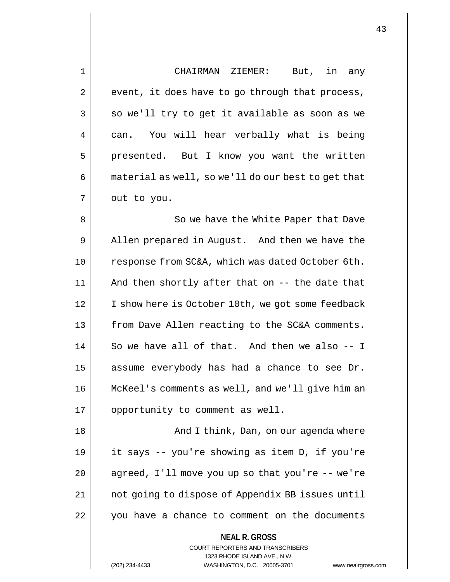| 1  | CHAIRMAN ZIEMER:<br>But, in any                                                                                                                                    |
|----|--------------------------------------------------------------------------------------------------------------------------------------------------------------------|
| 2  | event, it does have to go through that process,                                                                                                                    |
| 3  | so we'll try to get it available as soon as we                                                                                                                     |
| 4  | You will hear verbally what is being<br>can.                                                                                                                       |
| 5  | presented. But I know you want the written                                                                                                                         |
| 6  | material as well, so we'll do our best to get that                                                                                                                 |
| 7  | out to you.                                                                                                                                                        |
| 8  | So we have the White Paper that Dave                                                                                                                               |
| 9  | Allen prepared in August. And then we have the                                                                                                                     |
| 10 | response from SC&A, which was dated October 6th.                                                                                                                   |
| 11 | And then shortly after that on -- the date that                                                                                                                    |
| 12 | I show here is October 10th, we got some feedback                                                                                                                  |
| 13 | from Dave Allen reacting to the SC&A comments.                                                                                                                     |
| 14 | So we have all of that. And then we also -- I                                                                                                                      |
| 15 | assume everybody has had a chance to see Dr.                                                                                                                       |
| 16 | McKeel's comments as well, and we'll give him an                                                                                                                   |
| 17 | opportunity to comment as well.                                                                                                                                    |
| 18 | And I think, Dan, on our agenda where                                                                                                                              |
| 19 | it says -- you're showing as item D, if you're                                                                                                                     |
| 20 | agreed, I'll move you up so that you're -- we're                                                                                                                   |
| 21 | not going to dispose of Appendix BB issues until                                                                                                                   |
| 22 | you have a chance to comment on the documents                                                                                                                      |
|    | <b>NEAL R. GROSS</b><br><b>COURT REPORTERS AND TRANSCRIBERS</b><br>1323 RHODE ISLAND AVE., N.W.<br>(202) 234-4433<br>WASHINGTON, D.C. 20005-3701<br>www.nealrgross |

(202) 234-4433 WASHINGTON, D.C. 20005-3701 www.nealrgross.com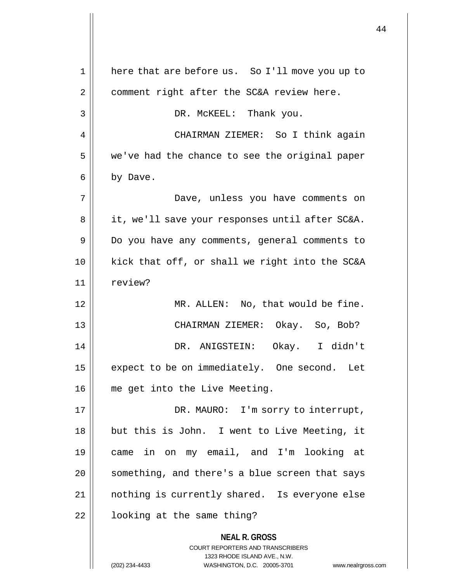**NEAL R. GROSS** COURT REPORTERS AND TRANSCRIBERS 1323 RHODE ISLAND AVE., N.W. 1 || here that are before us. So I'll move you up to  $2 \parallel$  comment right after the SC&A review here. 3 DR. McKEEL: Thank you. 4 | CHAIRMAN ZIEMER: So I think again  $5 \parallel$  we've had the chance to see the original paper 6 | by Dave. 7 Dave, unless you have comments on 8 | it, we'll save your responses until after SC&A. 9 Do you have any comments, general comments to 10 kick that off, or shall we right into the SC&A 11 review? 12 || MR. ALLEN: No, that would be fine. 13 CHAIRMAN ZIEMER: Okay. So, Bob? 14 DR. ANIGSTEIN: Okay. I didn't 15 | expect to be on immediately. One second. Let 16 me get into the Live Meeting. 17 || DR. MAURO: I'm sorry to interrupt, 18 || but this is John. I went to Live Meeting, it 19 came in on my email, and I'm looking at 20 || something, and there's a blue screen that says 21 nothing is currently shared. Is everyone else 22 | looking at the same thing?

<sup>(202) 234-4433</sup> WASHINGTON, D.C. 20005-3701 www.nealrgross.com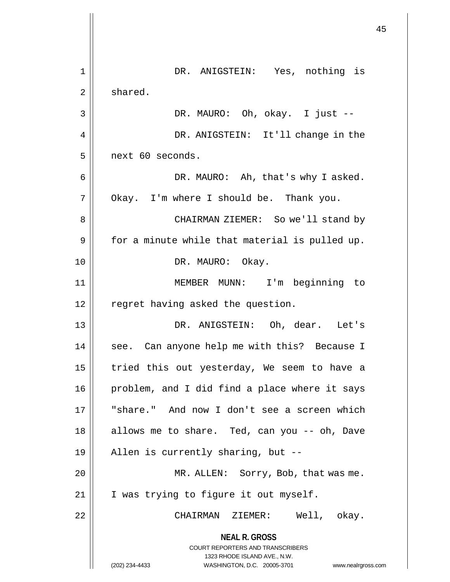|    |                                                                                                                                                                 | 45 |
|----|-----------------------------------------------------------------------------------------------------------------------------------------------------------------|----|
|    |                                                                                                                                                                 |    |
| 1  | DR. ANIGSTEIN: Yes, nothing is                                                                                                                                  |    |
| 2  | shared.                                                                                                                                                         |    |
| 3  | DR. MAURO: Oh, okay. I just --                                                                                                                                  |    |
| 4  | DR. ANIGSTEIN: It'll change in the                                                                                                                              |    |
| 5  | next 60 seconds.                                                                                                                                                |    |
| 6  | DR. MAURO: Ah, that's why I asked.                                                                                                                              |    |
| 7  | Okay. I'm where I should be. Thank you.                                                                                                                         |    |
| 8  | CHAIRMAN ZIEMER: So we'll stand by                                                                                                                              |    |
| 9  | for a minute while that material is pulled up.                                                                                                                  |    |
| 10 | DR. MAURO: Okay.                                                                                                                                                |    |
| 11 | MEMBER MUNN: I'm beginning to                                                                                                                                   |    |
| 12 | regret having asked the question.                                                                                                                               |    |
| 13 | DR. ANIGSTEIN: Oh, dear. Let's                                                                                                                                  |    |
| 14 | see. Can anyone help me with this? Because I                                                                                                                    |    |
| 15 | tried this out yesterday, We seem to have a                                                                                                                     |    |
| 16 | problem, and I did find a place where it says                                                                                                                   |    |
| 17 | "share." And now I don't see a screen which                                                                                                                     |    |
| 18 | allows me to share. Ted, can you -- oh, Dave                                                                                                                    |    |
| 19 | Allen is currently sharing, but --                                                                                                                              |    |
| 20 | MR. ALLEN: Sorry, Bob, that was me.                                                                                                                             |    |
| 21 | I was trying to figure it out myself.                                                                                                                           |    |
| 22 | CHAIRMAN ZIEMER: Well, okay.                                                                                                                                    |    |
|    | <b>NEAL R. GROSS</b><br>COURT REPORTERS AND TRANSCRIBERS<br>1323 RHODE ISLAND AVE., N.W.<br>(202) 234-4433<br>WASHINGTON, D.C. 20005-3701<br>www.nealrgross.com |    |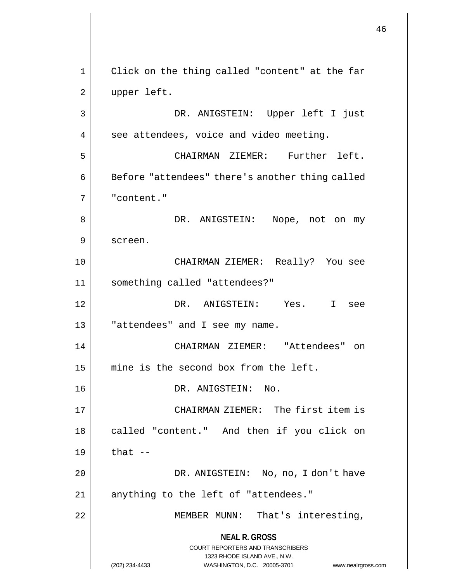**NEAL R. GROSS** COURT REPORTERS AND TRANSCRIBERS 1323 RHODE ISLAND AVE., N.W. (202) 234-4433 WASHINGTON, D.C. 20005-3701 www.nealrgross.com 1 || Click on the thing called "content" at the far 2 || upper left. 3 DR. ANIGSTEIN: Upper left I just  $4 \parallel$  see attendees, voice and video meeting. 5 CHAIRMAN ZIEMER: Further left.  $6 \parallel$  Before "attendees" there's another thing called 7 "content." 8 DR. ANIGSTEIN: Nope, not on my 9 || screen. 10 CHAIRMAN ZIEMER: Really? You see 11 something called "attendees?" 12 DR. ANIGSTEIN: Yes. I see  $13$  || "attendees" and I see my name. 14 CHAIRMAN ZIEMER: "Attendees" on 15 mine is the second box from the left. 16 DR. ANIGSTEIN: No. 17 || CHAIRMAN ZIEMER: The first item is 18 || called "content." And then if you click on  $19 \parallel$  that  $-$ 20 || DR. ANIGSTEIN: No, no, I don't have 21 || anything to the left of "attendees." 22 || MEMBER MUNN: That's interesting,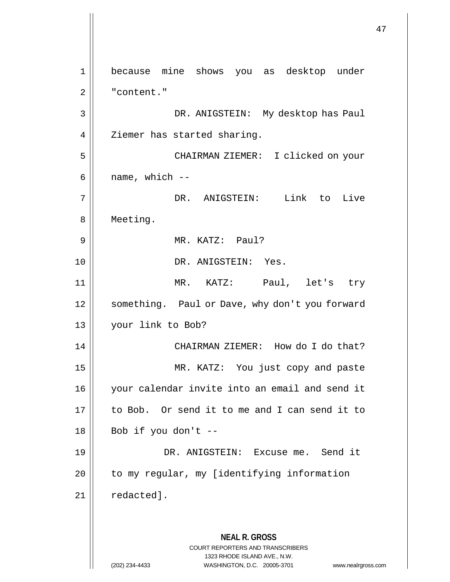**NEAL R. GROSS** COURT REPORTERS AND TRANSCRIBERS 1323 RHODE ISLAND AVE., N.W. (202) 234-4433 WASHINGTON, D.C. 20005-3701 www.nealrgross.com 1 because mine shows you as desktop under 2 | "content." 3 DR. ANIGSTEIN: My desktop has Paul 4 | Ziemer has started sharing. 5 CHAIRMAN ZIEMER: I clicked on your  $6 \parallel$  name, which  $-$ 7 DR. ANIGSTEIN: Link to Live 8 | Meeting. 9 MR. KATZ: Paul? 10 || DR. ANIGSTEIN: Yes. 11 MR. KATZ: Paul, let's try 12 | something. Paul or Dave, why don't you forward 13 your link to Bob? 14 || CHAIRMAN ZIEMER: How do I do that? 15 MR. KATZ: You just copy and paste 16 your calendar invite into an email and send it 17 to Bob. Or send it to me and I can send it to  $18 \parallel$  Bob if you don't --19 DR. ANIGSTEIN: Excuse me. Send it 20 | to my regular, my [identifying information  $21$  | redacted].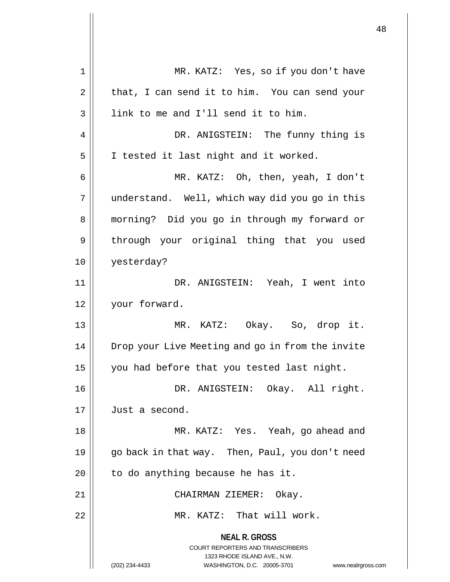**NEAL R. GROSS** COURT REPORTERS AND TRANSCRIBERS 1323 RHODE ISLAND AVE., N.W. (202) 234-4433 WASHINGTON, D.C. 20005-3701 www.nealrgross.com 1 MR. KATZ: Yes, so if you don't have  $2 \parallel$  that, I can send it to him. You can send your 3 || link to me and I'll send it to him. 4 || DR. ANIGSTEIN: The funny thing is 5 | I tested it last night and it worked. 6 MR. KATZ: Oh, then, yeah, I don't 7 understand. Well, which way did you go in this 8 morning? Did you go in through my forward or 9 || through your original thing that you used 10 yesterday? 11 DR. ANIGSTEIN: Yeah, I went into 12 your forward. 13 MR. KATZ: Okay. So, drop it. 14 | Drop your Live Meeting and go in from the invite 15  $\parallel$  you had before that you tested last night. 16 DR. ANIGSTEIN: Okay. All right. 17 Just a second. 18 MR. KATZ: Yes. Yeah, go ahead and 19 || go back in that way. Then, Paul, you don't need 20  $\parallel$  to do anything because he has it. 21 CHAIRMAN ZIEMER: Okay. 22 MR. KATZ: That will work.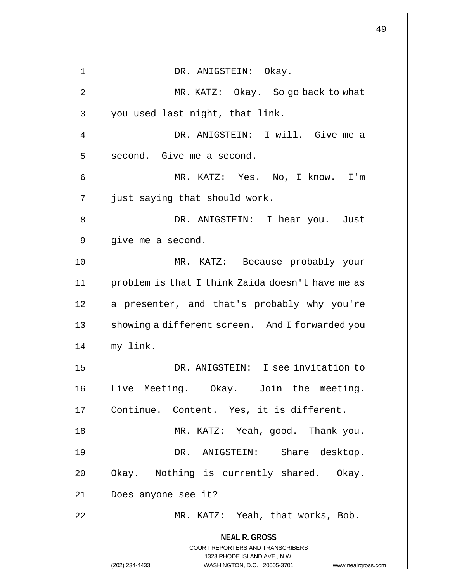|    |                                                                                                                                                                        | 49 |
|----|------------------------------------------------------------------------------------------------------------------------------------------------------------------------|----|
| 1  | DR. ANIGSTEIN: Okay.                                                                                                                                                   |    |
| 2  | MR. KATZ: Okay. So go back to what                                                                                                                                     |    |
| 3  | you used last night, that link.                                                                                                                                        |    |
| 4  | DR. ANIGSTEIN: I will. Give me a                                                                                                                                       |    |
| 5  | second. Give me a second.                                                                                                                                              |    |
| 6  | MR. KATZ: Yes. No, I know. I'm                                                                                                                                         |    |
| 7  | just saying that should work.                                                                                                                                          |    |
| 8  | DR. ANIGSTEIN: I hear you. Just                                                                                                                                        |    |
| 9  | give me a second.                                                                                                                                                      |    |
| 10 | MR. KATZ: Because probably your                                                                                                                                        |    |
| 11 | problem is that I think Zaida doesn't have me as                                                                                                                       |    |
| 12 | a presenter, and that's probably why you're                                                                                                                            |    |
| 13 | showing a different screen. And I forwarded you                                                                                                                        |    |
| 14 | my link.                                                                                                                                                               |    |
| 15 | DR. ANIGSTEIN: I see invitation to                                                                                                                                     |    |
| 16 | Live Meeting. Okay. Join the meeting.                                                                                                                                  |    |
| 17 | Continue. Content. Yes, it is different.                                                                                                                               |    |
| 18 | MR. KATZ: Yeah, good. Thank you.                                                                                                                                       |    |
| 19 | DR. ANIGSTEIN: Share desktop.                                                                                                                                          |    |
| 20 | Okay. Nothing is currently shared. Okay.                                                                                                                               |    |
| 21 | Does anyone see it?                                                                                                                                                    |    |
| 22 | MR. KATZ: Yeah, that works, Bob.                                                                                                                                       |    |
|    | <b>NEAL R. GROSS</b><br><b>COURT REPORTERS AND TRANSCRIBERS</b><br>1323 RHODE ISLAND AVE., N.W.<br>WASHINGTON, D.C. 20005-3701<br>(202) 234-4433<br>www.nealrgross.com |    |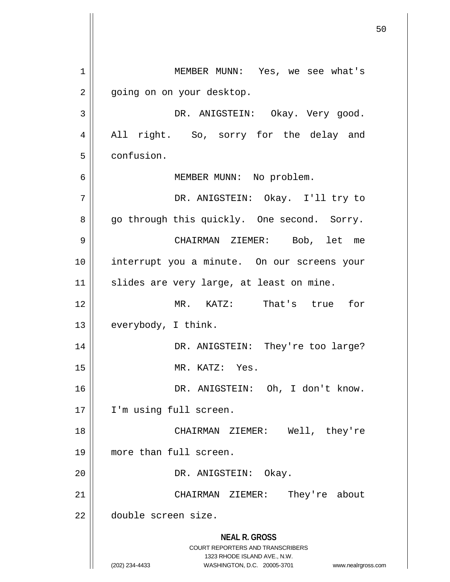**NEAL R. GROSS** COURT REPORTERS AND TRANSCRIBERS 1323 RHODE ISLAND AVE., N.W. (202) 234-4433 WASHINGTON, D.C. 20005-3701 www.nealrgross.com MEMBER MUNN: Yes, we see what's 2 | going on on your desktop. DR. ANIGSTEIN: Okay. Very good. 4 || All right. So, sorry for the delay and confusion. MEMBER MUNN: No problem. DR. ANIGSTEIN: Okay. I'll try to 8 || go through this quickly. One second. Sorry. CHAIRMAN ZIEMER: Bob, let me interrupt you a minute. On our screens your 11 || slides are very large, at least on mine. MR. KATZ: That's true for  $13 \parallel$  everybody, I think. DR. ANIGSTEIN: They're too large? MR. KATZ: Yes. DR. ANIGSTEIN: Oh, I don't know. 17 || I'm using full screen. CHAIRMAN ZIEMER: Well, they're more than full screen. DR. ANIGSTEIN: Okay. CHAIRMAN ZIEMER: They're about double screen size.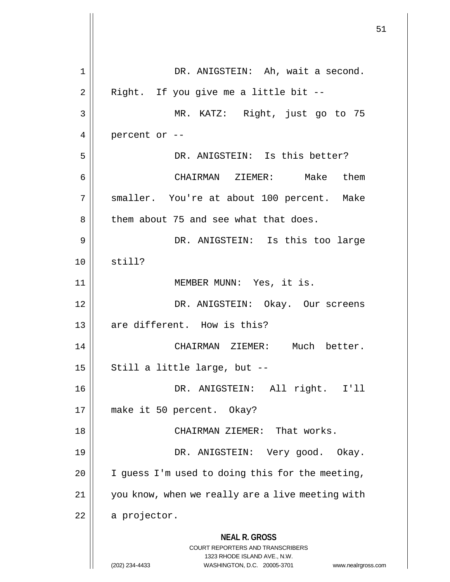**NEAL R. GROSS** COURT REPORTERS AND TRANSCRIBERS 1323 RHODE ISLAND AVE., N.W. (202) 234-4433 WASHINGTON, D.C. 20005-3701 www.nealrgross.com 1 || DR. ANIGSTEIN: Ah, wait a second.  $2 \parallel$  Right. If you give me a little bit --3 MR. KATZ: Right, just go to 75  $4 \parallel$  percent or --5 DR. ANIGSTEIN: Is this better? 6 CHAIRMAN ZIEMER: Make them 7 || smaller. You're at about 100 percent. Make 8 | them about 75 and see what that does. 9 DR. ANIGSTEIN: Is this too large  $10 \parallel$  still? 11 MEMBER MUNN: Yes, it is. 12 DR. ANIGSTEIN: Okay. Our screens 13 || are different. How is this? 14 CHAIRMAN ZIEMER: Much better.  $15$  | Still a little large, but  $-$ 16 DR. ANIGSTEIN: All right. I'll 17 make it 50 percent. Okay? 18 || CHAIRMAN ZIEMER: That works. 19 DR. ANIGSTEIN: Very good. Okay. 20  $\parallel$  I guess I'm used to doing this for the meeting, 21 you know, when we really are a live meeting with  $22$  | a projector.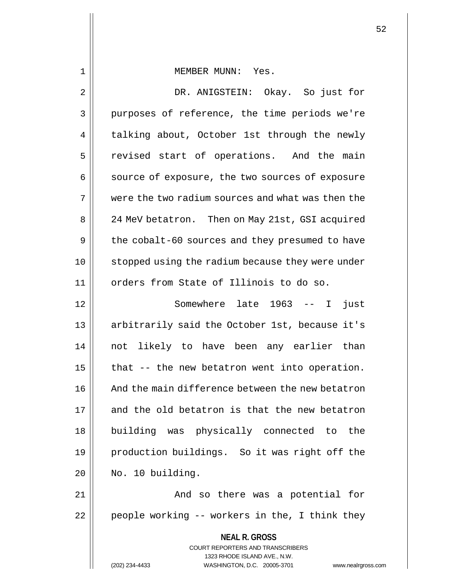## 1 MEMBER MUNN: Yes.

2 DR. ANIGSTEIN: Okay. So just for 3 || purposes of reference, the time periods we're 4 | talking about, October 1st through the newly 5 | revised start of operations. And the main 6 | source of exposure, the two sources of exposure 7 | were the two radium sources and what was then the 8 | 24 MeV betatron. Then on May 21st, GSI acquired 9 | the cobalt-60 sources and they presumed to have 10 || stopped using the radium because they were under 11 || orders from State of Illinois to do so. 12 Somewhere late 1963 -- I just

13 || arbitrarily said the October 1st, because it's not likely to have been any earlier than  $\parallel$  that -- the new betatron went into operation. 16 || And the main difference between the new betatron 17 and the old betatron is that the new betatron building was physically connected to the production buildings. So it was right off the | No. 10 building.

21 || And so there was a potential for  $22$  | people working -- workers in the, I think they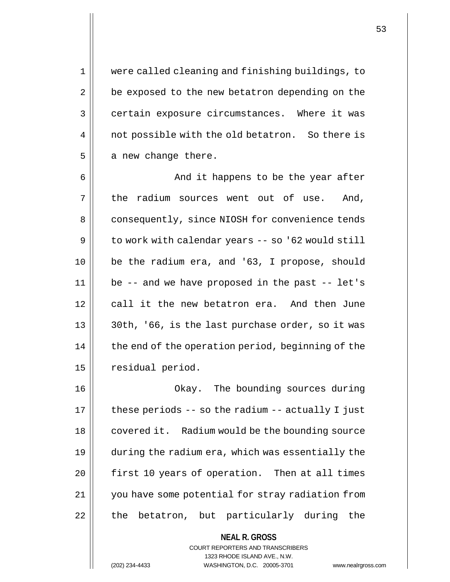1 were called cleaning and finishing buildings, to 2 | be exposed to the new betatron depending on the 3 certain exposure circumstances. Where it was 4 || not possible with the old betatron. So there is  $5 \parallel$  a new change there.

6 And it happens to be the year after  $7 \parallel$  the radium sources went out of use. And, 8 | consequently, since NIOSH for convenience tends  $9 \parallel$  to work with calendar years -- so '62 would still 10 be the radium era, and '63, I propose, should 11 be -- and we have proposed in the past -- let's 12 call it the new betatron era. And then June 13 || 30th, '66, is the last purchase order, so it was 14 | the end of the operation period, beginning of the 15 | residual period.

16 Okay. The bounding sources during  $17$  | these periods -- so the radium -- actually I just 18 | covered it. Radium would be the bounding source 19 during the radium era, which was essentially the 20 || first 10 years of operation. Then at all times 21 you have some potential for stray radiation from 22 || the betatron, but particularly during the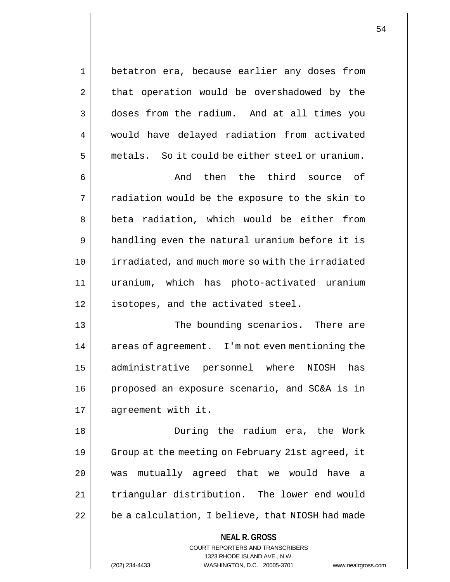1 betatron era, because earlier any doses from  $2 \parallel$  that operation would be overshadowed by the 3 doses from the radium. And at all times you 4 | would have delayed radiation from activated  $5 \parallel$  metals. So it could be either steel or uranium. 6 And then the third source of  $7 \parallel$  radiation would be the exposure to the skin to

8 || beta radiation, which would be either from 9 handling even the natural uranium before it is 10 irradiated, and much more so with the irradiated 11 uranium, which has photo-activated uranium 12 || isotopes, and the activated steel.

13 The bounding scenarios. There are 14 | areas of agreement. I'm not even mentioning the 15 administrative personnel where NIOSH has 16 proposed an exposure scenario, and SC&A is in 17 | aqreement with it.

18 During the radium era, the Work 19 | Group at the meeting on February 21st agreed, it 20 was mutually agreed that we would have a 21 | triangular distribution. The lower end would  $22$   $\vert$  be a calculation, I believe, that NIOSH had made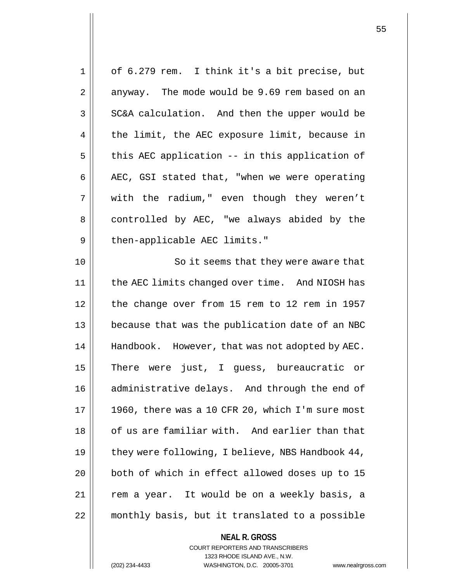| 1  | of 6.279 rem. I think it's a bit precise, but    |
|----|--------------------------------------------------|
| 2  | anyway. The mode would be 9.69 rem based on an   |
| 3  | SC&A calculation. And then the upper would be    |
| 4  | the limit, the AEC exposure limit, because in    |
| 5  | this AEC application -- in this application of   |
| 6  | AEC, GSI stated that, "when we were operating    |
| 7  | with the radium," even though they weren't       |
| 8  | controlled by AEC, "we always abided by the      |
| 9  | then-applicable AEC limits."                     |
| 10 | So it seems that they were aware that            |
| 11 | the AEC limits changed over time. And NIOSH has  |
| 12 | the change over from 15 rem to 12 rem in 1957    |
| 13 | because that was the publication date of an NBC  |
| 14 | Handbook. However, that was not adopted by AEC.  |
| 15 | There were just, I guess, bureaucratic or        |
| 16 | administrative delays. And through the end of    |
| 17 | 1960, there was a 10 CFR 20, which I'm sure most |
| 18 | of us are familiar with. And earlier than that   |
| 19 | they were following, I believe, NBS Handbook 44, |
| 20 | both of which in effect allowed doses up to 15   |
| 21 | rem a year. It would be on a weekly basis, a     |
| 22 | monthly basis, but it translated to a possible   |
|    | <b>NEAL R. GROSS</b>                             |

COURT REPORTERS AND TRANSCRIBERS 1323 RHODE ISLAND AVE., N.W.

(202) 234-4433 WASHINGTON, D.C. 20005-3701 www.nealrgross.com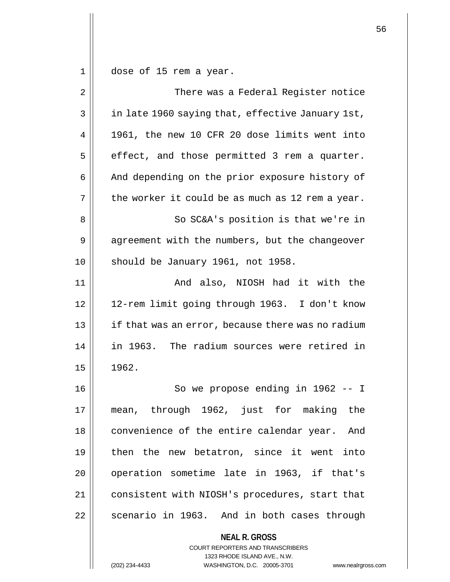$1 \parallel$  dose of 15 rem a year.

| $\overline{2}$ | There was a Federal Register notice                                                                                                                         |
|----------------|-------------------------------------------------------------------------------------------------------------------------------------------------------------|
| 3              | in late 1960 saying that, effective January 1st,                                                                                                            |
| 4              | 1961, the new 10 CFR 20 dose limits went into                                                                                                               |
| 5              | effect, and those permitted 3 rem a quarter.                                                                                                                |
| 6              | And depending on the prior exposure history of                                                                                                              |
| 7              | the worker it could be as much as 12 rem a year.                                                                                                            |
| 8              | So SC&A's position is that we're in                                                                                                                         |
| 9              | agreement with the numbers, but the changeover                                                                                                              |
| 10             | should be January 1961, not 1958.                                                                                                                           |
| 11             | And also, NIOSH had it with the                                                                                                                             |
| 12             | 12-rem limit going through 1963. I don't know                                                                                                               |
| 13             | if that was an error, because there was no radium                                                                                                           |
| 14             | in 1963. The radium sources were retired in                                                                                                                 |
| 15             | 1962.                                                                                                                                                       |
| 16             | So we propose ending in 1962 -- I                                                                                                                           |
| 17             | mean, through 1962, just for making the                                                                                                                     |
| 18             | convenience of the entire calendar year. And                                                                                                                |
| 19             | then the new betatron, since it went into                                                                                                                   |
| 20             | operation sometime late in 1963, if that's                                                                                                                  |
| 21             | consistent with NIOSH's procedures, start that                                                                                                              |
| 22             | scenario in 1963. And in both cases through                                                                                                                 |
|                | <b>NEAL R. GROSS</b><br>COURT REPORTERS AND TRANSCRIBERS<br>1323 RHODE ISLAND AVE., N.W.<br>(202) 234-4433<br>WASHINGTON, D.C. 20005-3701<br>www.nealrgross |

(202) 234-4433 WASHINGTON, D.C. 20005-3701 www.nealrgross.com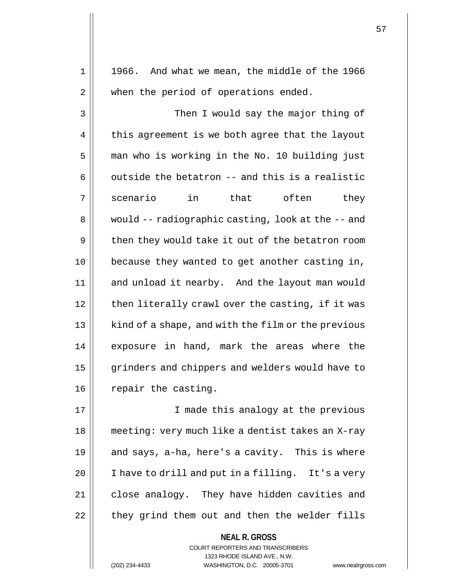$1 \parallel 1966$ . And what we mean, the middle of the 1966 2 || when the period of operations ended. 3 || Then I would say the major thing of  $4 \parallel$  this agreement is we both agree that the layout 5 | man who is working in the No. 10 building just  $6 \parallel$  outside the betatron -- and this is a realistic 7|| scenario in that often they 8 | would -- radiographic casting, look at the -- and 9 || then they would take it out of the betatron room 10 || because they wanted to get another casting in, 11 || and unload it nearby. And the layout man would  $12$  | then literally crawl over the casting, if it was 13 || kind of a shape, and with the film or the previous 14 || exposure in hand, mark the areas where the 15 | grinders and chippers and welders would have to  $16$  | repair the casting. 17 || **I** made this analogy at the previous 18 meeting: very much like a dentist takes an X-ray 19  $\parallel$  and says, a-ha, here's a cavity. This is where 20 | I have to drill and put in a filling. It's a very 21 | close analogy. They have hidden cavities and

22 || they grind them out and then the welder fills

**NEAL R. GROSS** COURT REPORTERS AND TRANSCRIBERS 1323 RHODE ISLAND AVE., N.W. (202) 234-4433 WASHINGTON, D.C. 20005-3701 www.nealrgross.com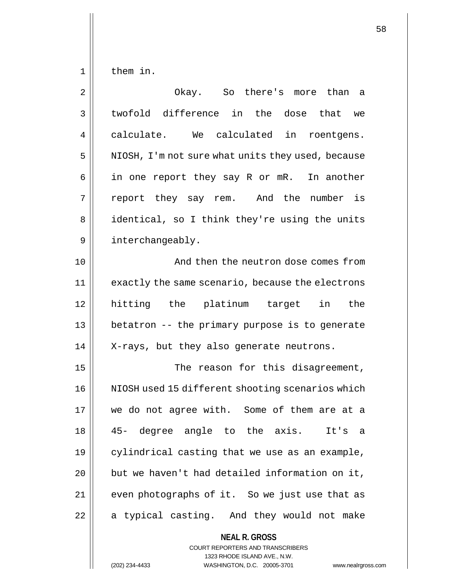$1 \parallel$  them in.

| $\overline{2}$ | Okay. So there's more than a                                                                                                                                           |
|----------------|------------------------------------------------------------------------------------------------------------------------------------------------------------------------|
| 3              | twofold difference in the dose that we                                                                                                                                 |
| 4              | calculate. We calculated in roentgens.                                                                                                                                 |
| 5              | NIOSH, I'm not sure what units they used, because                                                                                                                      |
| 6              | in one report they say R or mR.<br>In another                                                                                                                          |
| 7              | report they say rem. And the number is                                                                                                                                 |
| 8              | identical, so I think they're using the units                                                                                                                          |
| 9              | interchangeably.                                                                                                                                                       |
| 10             | And then the neutron dose comes from                                                                                                                                   |
| 11             | exactly the same scenario, because the electrons                                                                                                                       |
| 12             | hitting the platinum target in<br>the                                                                                                                                  |
| 13             | betatron -- the primary purpose is to generate                                                                                                                         |
| 14             | X-rays, but they also generate neutrons.                                                                                                                               |
| 15             | The reason for this disagreement,                                                                                                                                      |
| 16             | NIOSH used 15 different shooting scenarios which                                                                                                                       |
| 17             | we do not agree with. Some of them are at a                                                                                                                            |
| 18             | 45- degree angle to the axis. It's a                                                                                                                                   |
| 19             | cylindrical casting that we use as an example,                                                                                                                         |
| 20             | but we haven't had detailed information on it,                                                                                                                         |
| 21             | even photographs of it. So we just use that as                                                                                                                         |
| 22             | a typical casting. And they would not make                                                                                                                             |
|                | <b>NEAL R. GROSS</b><br><b>COURT REPORTERS AND TRANSCRIBERS</b><br>1323 RHODE ISLAND AVE., N.W.<br>(202) 234-4433<br>WASHINGTON, D.C. 20005-3701<br>www.nealrgross.com |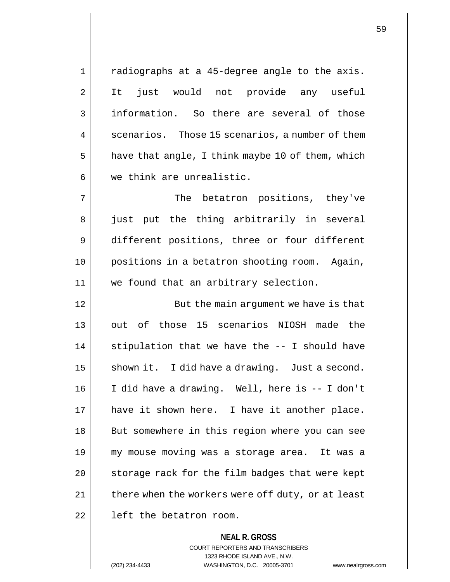1 radiographs at a 45-degree angle to the axis. 2 || It just would not provide any useful 3 information. So there are several of those  $4 \parallel$  scenarios. Those 15 scenarios, a number of them  $5 \parallel$  have that angle, I think maybe 10 of them, which  $6 \parallel$  we think are unrealistic. 7 || The betatron positions, they've 8 || just put the thing arbitrarily in several

9 different positions, three or four different 10 positions in a betatron shooting room. Again, 11 we found that an arbitrary selection.

12 || But the main argument we have is that 13 || out of those 15 scenarios NIOSH made the 14  $\parallel$  stipulation that we have the -- I should have 15  $\parallel$  shown it. I did have a drawing. Just a second. 16 I did have a drawing. Well, here is -- I don't 17 || have it shown here. I have it another place. 18 || But somewhere in this region where you can see 19 my mouse moving was a storage area. It was a 20 || storage rack for the film badges that were kept 21 | there when the workers were off duty, or at least  $22$   $\parallel$  left the betatron room.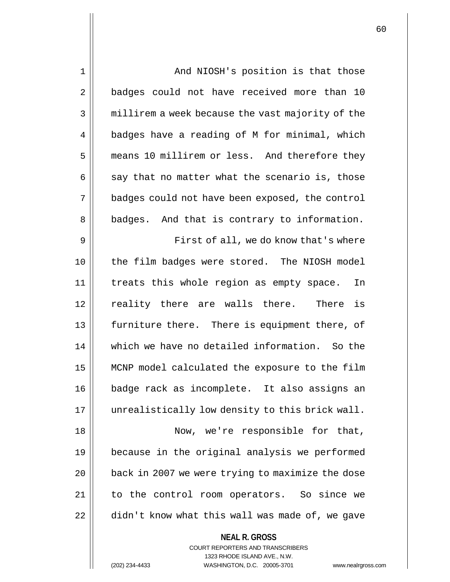| $\mathbf 1$    | And NIOSH's position is that those               |
|----------------|--------------------------------------------------|
| $\overline{2}$ | badges could not have received more than 10      |
| 3              | millirem a week because the vast majority of the |
| 4              | badges have a reading of M for minimal, which    |
| 5              | means 10 millirem or less. And therefore they    |
| 6              | say that no matter what the scenario is, those   |
| 7              | badges could not have been exposed, the control  |
| 8              | badges. And that is contrary to information.     |
| 9              | First of all, we do know that's where            |
| 10             | the film badges were stored. The NIOSH model     |
| 11             | treats this whole region as empty space.<br>In   |
| 12             | reality there are walls there. There is          |
| 13             | furniture there. There is equipment there, of    |
| 14             | which we have no detailed information. So the    |
| 15             | MCNP model calculated the exposure to the film   |
| 16             | badge rack as incomplete. It also assigns an     |
| 17             | unrealistically low density to this brick wall.  |
| 18             | Now, we're responsible for that,                 |
| 19             | because in the original analysis we performed    |
| 20             | back in 2007 we were trying to maximize the dose |
| 21             | to the control room operators. So since we       |
| 22             | didn't know what this wall was made of, we gave  |
|                |                                                  |

**NEAL R. GROSS** COURT REPORTERS AND TRANSCRIBERS 1323 RHODE ISLAND AVE., N.W.

(202) 234-4433 WASHINGTON, D.C. 20005-3701 www.nealrgross.com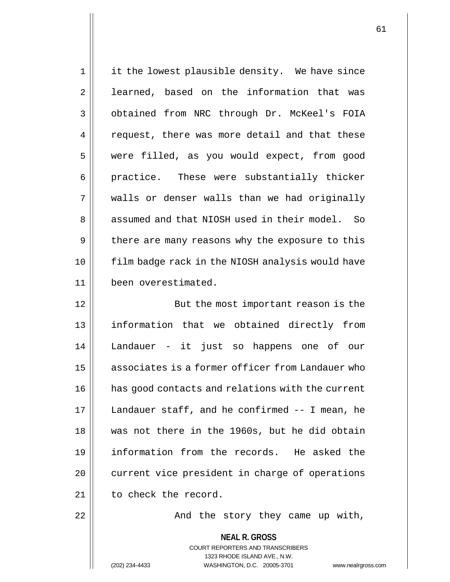| $\mathbf 1$    | it the lowest plausible density. We have since                                                             |
|----------------|------------------------------------------------------------------------------------------------------------|
| $\overline{2}$ | learned, based on the information that was                                                                 |
| 3              | obtained from NRC through Dr. McKeel's FOIA                                                                |
| 4              | request, there was more detail and that these                                                              |
| 5              | were filled, as you would expect, from good                                                                |
| 6              | practice. These were substantially thicker                                                                 |
| 7              | walls or denser walls than we had originally                                                               |
| 8              | assumed and that NIOSH used in their model. So                                                             |
| 9              | there are many reasons why the exposure to this                                                            |
| 10             | film badge rack in the NIOSH analysis would have                                                           |
| 11             | been overestimated.                                                                                        |
| 12             | But the most important reason is the                                                                       |
| 13             | information that we obtained directly from                                                                 |
| 14             | Landauer - it just so happens one of our                                                                   |
| 15             | associates is a former officer from Landauer who                                                           |
| 16             | has good contacts and relations with the current                                                           |
| 17             | Landauer staff, and he confirmed -- I mean, he                                                             |
| 18             | was not there in the 1960s, but he did obtain                                                              |
| 19             | information from the records. He asked the                                                                 |
| 20             | current vice president in charge of operations                                                             |
| 21             | to check the record.                                                                                       |
| 22             | And the story they came up with,                                                                           |
|                | <b>NEAL R. GROSS</b><br>COURT REPORTERS AND TRANSCRIBERS<br>1323 RHODE ISLAND AVE., N.W.<br>(202) 234-4433 |
|                | WASHINGTON, D.C. 20005-3701<br>www.nealrgros                                                               |

(202) 234-4433 WASHINGTON, D.C. 20005-3701 www.nealrgross.com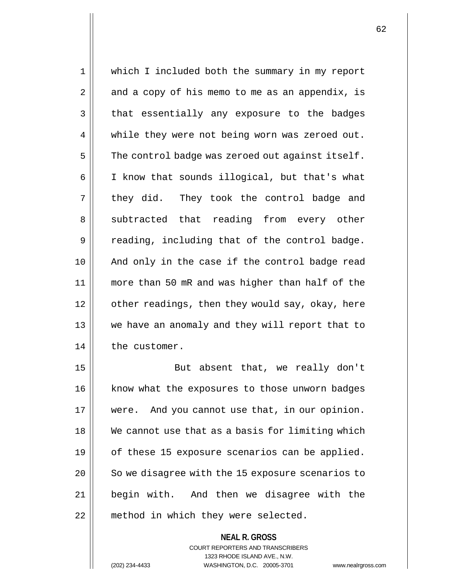1 which I included both the summary in my report  $2 \parallel$  and a copy of his memo to me as an appendix, is 3 that essentially any exposure to the badges 4 || while they were not being worn was zeroed out.  $5$  The control badge was zeroed out against itself. 6 | I know that sounds illogical, but that's what  $7 \parallel$  they did. They took the control badge and 8 Subtracted that reading from every other 9 || reading, including that of the control badge. 10 || And only in the case if the control badge read 11 more than 50 mR and was higher than half of the 12 | other readings, then they would say, okay, here 13 we have an anomaly and they will report that to 14 the customer.

15 || But absent that, we really don't 16 || know what the exposures to those unworn badges were. And you cannot use that, in our opinion. We cannot use that as a basis for limiting which  $\parallel$  of these 15 exposure scenarios can be applied. | So we disagree with the 15 exposure scenarios to begin with. And then we disagree with the 22 || method in which they were selected.

> **NEAL R. GROSS** COURT REPORTERS AND TRANSCRIBERS

1323 RHODE ISLAND AVE., N.W. (202) 234-4433 WASHINGTON, D.C. 20005-3701 www.nealrgross.com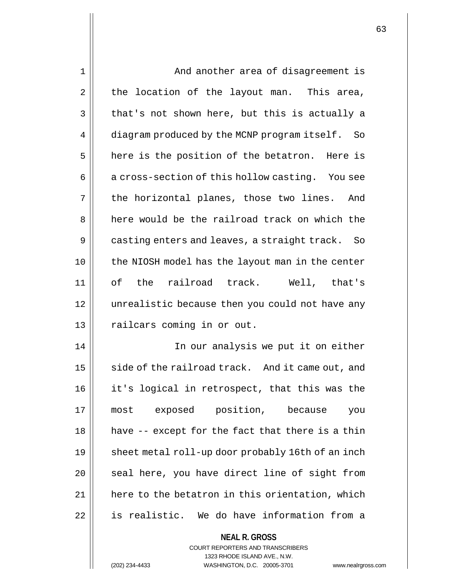| 1  | And another area of disagreement is                      |
|----|----------------------------------------------------------|
| 2  | the location of the layout man. This area,               |
| 3  | that's not shown here, but this is actually a            |
| 4  | diagram produced by the MCNP program itself. So          |
| 5  | here is the position of the betatron. Here is            |
| 6  | a cross-section of this hollow casting. You see          |
| 7  | the horizontal planes, those two lines. And              |
| 8  | here would be the railroad track on which the            |
| 9  | casting enters and leaves, a straight track. So          |
| 10 | the NIOSH model has the layout man in the center         |
| 11 | of the railroad track. Well, that's                      |
| 12 | unrealistic because then you could not have any          |
| 13 | railcars coming in or out.                               |
| 14 | In our analysis we put it on either                      |
| 15 | side of the railroad track. And it came out, and         |
| 16 | it's logical in retrospect, that this was the            |
| 17 | exposed position, because<br>most<br>you                 |
| 18 | have -- except for the fact that there is a thin         |
| 19 | sheet metal roll-up door probably 16th of an inch        |
| 20 | seal here, you have direct line of sight from            |
| 21 | here to the betatron in this orientation, which          |
| 22 | is realistic. We do have information from a              |
|    | <b>NEAL R. GROSS</b><br>COURT REPORTERS AND TRANSCRIBERS |

1323 RHODE ISLAND AVE., N.W.

 $\prod$ 

(202) 234-4433 WASHINGTON, D.C. 20005-3701 www.nealrgross.com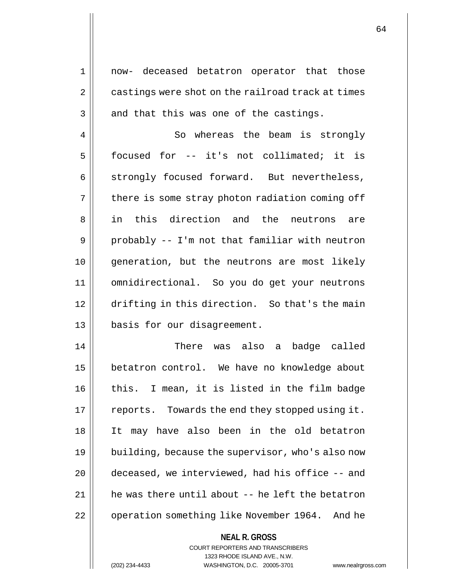1 now- deceased betatron operator that those 2 | castings were shot on the railroad track at times  $3 \parallel$  and that this was one of the castings.

4 || So whereas the beam is strongly 5 | focused for -- it's not collimated; it is  $6 \parallel$  strongly focused forward. But nevertheless,  $7 \parallel$  there is some stray photon radiation coming off 8 in this direction and the neutrons are  $9 \parallel$  probably -- I'm not that familiar with neutron 10 generation, but the neutrons are most likely 11 omnidirectional. So you do get your neutrons 12 drifting in this direction. So that's the main 13 basis for our disagreement.

14 There was also a badge called 15 | betatron control. We have no knowledge about 16 || this. I mean, it is listed in the film badge  $17$  | reports. Towards the end they stopped using it. 18 It may have also been in the old betatron 19 | building, because the supervisor, who's also now 20 deceased, we interviewed, had his office -- and  $21$  | he was there until about  $-$  he left the betatron 22 | operation something like November 1964. And he

**NEAL R. GROSS**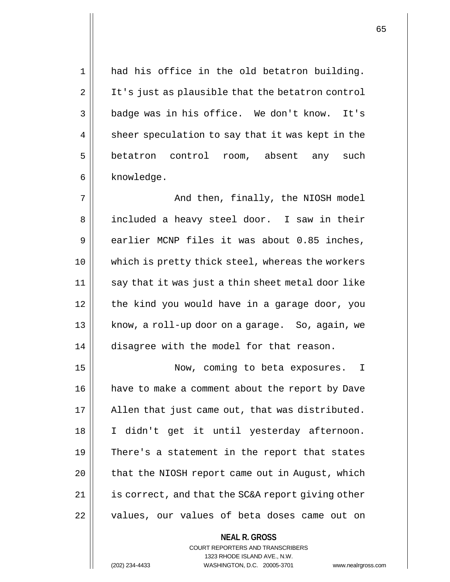1 || had his office in the old betatron building. 2 | It's just as plausible that the betatron control 3 || badge was in his office. We don't know. It's  $4 \parallel$  sheer speculation to say that it was kept in the 5 betatron control room, absent any such 6 | knowledge.

7 || And then, finally, the NIOSH model 8 | included a heavy steel door. I saw in their  $9 \parallel$  earlier MCNP files it was about 0.85 inches, 10 which is pretty thick steel, whereas the workers 11 || say that it was just a thin sheet metal door like 12 the kind you would have in a garage door, you 13 || know, a roll-up door on a garage. So, again, we 14 disagree with the model for that reason.

15 || Now, coming to beta exposures. I have to make a comment about the report by Dave || Allen that just came out, that was distributed. I didn't get it until yesterday afternoon.  $\parallel$  There's a statement in the report that states | that the NIOSH report came out in August, which | is correct, and that the SC&A report giving other || values, our values of beta doses came out on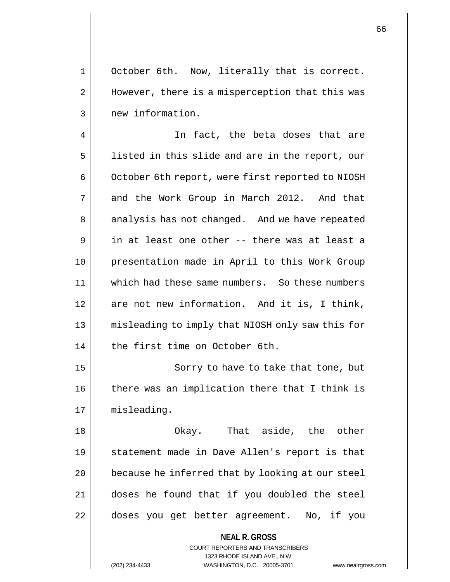1 || October 6th. Now, literally that is correct. 2 || However, there is a misperception that this was 3 || new information.

4 || In fact, the beta doses that are  $5$  || listed in this slide and are in the report, our 6 | October 6th report, were first reported to NIOSH 7 || and the Work Group in March 2012. And that 8 || analysis has not changed. And we have repeated  $9 \parallel$  in at least one other -- there was at least a 10 presentation made in April to this Work Group 11 which had these same numbers. So these numbers 12 || are not new information. And it is, I think, 13 || misleading to imply that NIOSH only saw this for 14 || the first time on October 6th.

15 || Sorry to have to take that tone, but 16 || there was an implication there that I think is 17 | misleading.

 Okay. That aside, the other statement made in Dave Allen's report is that | because he inferred that by looking at our steel doses he found that if you doubled the steel doses you get better agreement. No, if you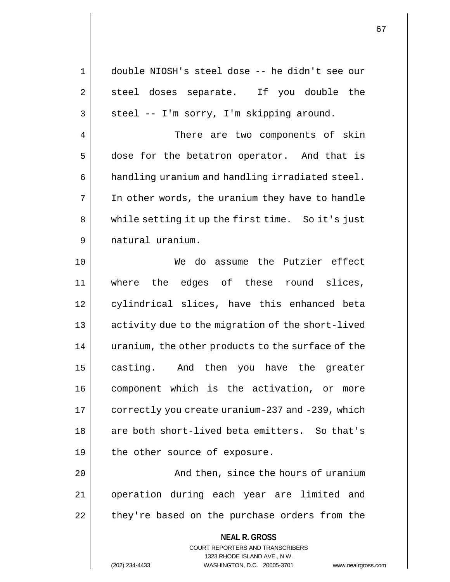**NEAL R. GROSS** COURT REPORTERS AND TRANSCRIBERS 1 double NIOSH's steel dose -- he didn't see our 2 || steel doses separate. If you double the  $3 \parallel$  steel -- I'm sorry, I'm skipping around. 4 There are two components of skin 5 dose for the betatron operator. And that is 6 | handling uranium and handling irradiated steel. 7 In other words, the uranium they have to handle 8 || while setting it up the first time. So it's just 9 natural uranium. 10 We do assume the Putzier effect 11 where the edges of these round slices, 12 || cylindrical slices, have this enhanced beta 13 || activity due to the migration of the short-lived 14 | uranium, the other products to the surface of the 15 || casting. And then you have the greater 16 component which is the activation, or more 17 | correctly you create uranium-237 and -239, which 18 || are both short-lived beta emitters. So that's  $19$  | the other source of exposure. 20 || And then, since the hours of uranium 21 operation during each year are limited and  $22$  || they're based on the purchase orders from the

1323 RHODE ISLAND AVE., N.W.

(202) 234-4433 WASHINGTON, D.C. 20005-3701 www.nealrgross.com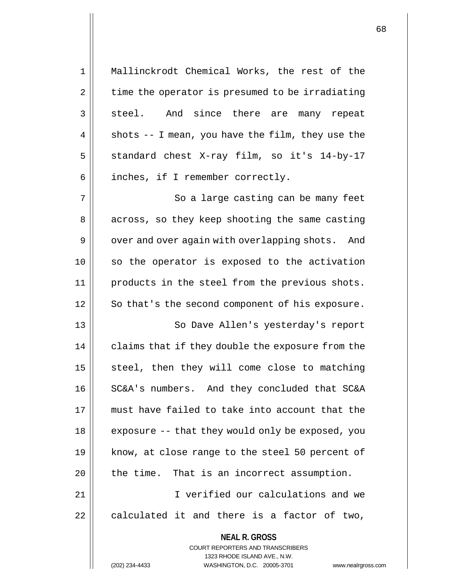| Mallinckrodt Chemical Works, the rest of the<br>1<br>time the operator is presumed to be irradiating<br>2<br>steel. And since there are many repeat<br>3<br>shots $-$ - I mean, you have the film, they use the<br>4<br>5<br>standard chest X-ray film, so it's 14-by-17<br>inches, if I remember correctly.<br>6<br>7<br>So a large casting can be many feet<br>across, so they keep shooting the same casting<br>8<br>9<br>over and over again with overlapping shots. And<br>10<br>so the operator is exposed to the activation<br>11<br>products in the steel from the previous shots.<br>12<br>So that's the second component of his exposure.<br>13<br>So Dave Allen's yesterday's report<br>14<br>claims that if they double the exposure from the<br>15<br>steel, then they will come close to matching<br>16<br>SC&A's numbers. And they concluded that SC&A<br>17<br>must have failed to take into account that the<br>18 |  |
|-------------------------------------------------------------------------------------------------------------------------------------------------------------------------------------------------------------------------------------------------------------------------------------------------------------------------------------------------------------------------------------------------------------------------------------------------------------------------------------------------------------------------------------------------------------------------------------------------------------------------------------------------------------------------------------------------------------------------------------------------------------------------------------------------------------------------------------------------------------------------------------------------------------------------------------|--|
|                                                                                                                                                                                                                                                                                                                                                                                                                                                                                                                                                                                                                                                                                                                                                                                                                                                                                                                                     |  |
|                                                                                                                                                                                                                                                                                                                                                                                                                                                                                                                                                                                                                                                                                                                                                                                                                                                                                                                                     |  |
|                                                                                                                                                                                                                                                                                                                                                                                                                                                                                                                                                                                                                                                                                                                                                                                                                                                                                                                                     |  |
|                                                                                                                                                                                                                                                                                                                                                                                                                                                                                                                                                                                                                                                                                                                                                                                                                                                                                                                                     |  |
|                                                                                                                                                                                                                                                                                                                                                                                                                                                                                                                                                                                                                                                                                                                                                                                                                                                                                                                                     |  |
|                                                                                                                                                                                                                                                                                                                                                                                                                                                                                                                                                                                                                                                                                                                                                                                                                                                                                                                                     |  |
|                                                                                                                                                                                                                                                                                                                                                                                                                                                                                                                                                                                                                                                                                                                                                                                                                                                                                                                                     |  |
|                                                                                                                                                                                                                                                                                                                                                                                                                                                                                                                                                                                                                                                                                                                                                                                                                                                                                                                                     |  |
|                                                                                                                                                                                                                                                                                                                                                                                                                                                                                                                                                                                                                                                                                                                                                                                                                                                                                                                                     |  |
|                                                                                                                                                                                                                                                                                                                                                                                                                                                                                                                                                                                                                                                                                                                                                                                                                                                                                                                                     |  |
|                                                                                                                                                                                                                                                                                                                                                                                                                                                                                                                                                                                                                                                                                                                                                                                                                                                                                                                                     |  |
|                                                                                                                                                                                                                                                                                                                                                                                                                                                                                                                                                                                                                                                                                                                                                                                                                                                                                                                                     |  |
|                                                                                                                                                                                                                                                                                                                                                                                                                                                                                                                                                                                                                                                                                                                                                                                                                                                                                                                                     |  |
|                                                                                                                                                                                                                                                                                                                                                                                                                                                                                                                                                                                                                                                                                                                                                                                                                                                                                                                                     |  |
|                                                                                                                                                                                                                                                                                                                                                                                                                                                                                                                                                                                                                                                                                                                                                                                                                                                                                                                                     |  |
|                                                                                                                                                                                                                                                                                                                                                                                                                                                                                                                                                                                                                                                                                                                                                                                                                                                                                                                                     |  |
|                                                                                                                                                                                                                                                                                                                                                                                                                                                                                                                                                                                                                                                                                                                                                                                                                                                                                                                                     |  |
| exposure -- that they would only be exposed, you                                                                                                                                                                                                                                                                                                                                                                                                                                                                                                                                                                                                                                                                                                                                                                                                                                                                                    |  |
| know, at close range to the steel 50 percent of<br>19                                                                                                                                                                                                                                                                                                                                                                                                                                                                                                                                                                                                                                                                                                                                                                                                                                                                               |  |
| the time. That is an incorrect assumption.<br>20                                                                                                                                                                                                                                                                                                                                                                                                                                                                                                                                                                                                                                                                                                                                                                                                                                                                                    |  |
| I verified our calculations and we<br>21                                                                                                                                                                                                                                                                                                                                                                                                                                                                                                                                                                                                                                                                                                                                                                                                                                                                                            |  |
| 22<br>calculated it and there is a factor of two,                                                                                                                                                                                                                                                                                                                                                                                                                                                                                                                                                                                                                                                                                                                                                                                                                                                                                   |  |
| <b>NEAL R. GROSS</b><br><b>COURT REPORTERS AND TRANSCRIBERS</b><br>1323 RHODE ISLAND AVE., N.W.<br>WASHINGTON, D.C. 20005-3701<br>(202) 234-4433<br>www.nealrgros                                                                                                                                                                                                                                                                                                                                                                                                                                                                                                                                                                                                                                                                                                                                                                   |  |

(202) 234-4433 WASHINGTON, D.C. 20005-3701 www.nealrgross.com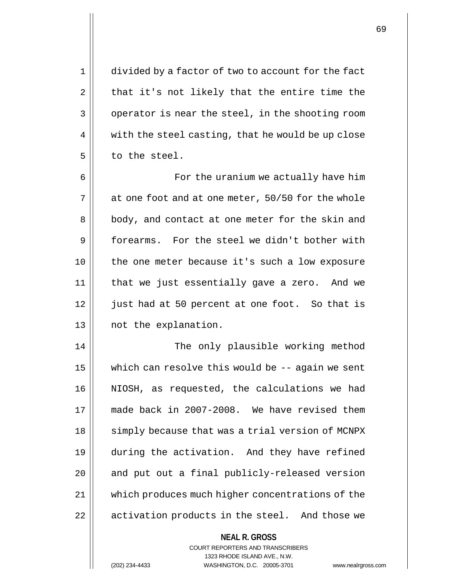1 divided by a factor of two to account for the fact  $2 \parallel$  that it's not likely that the entire time the  $3 \parallel$  operator is near the steel, in the shooting room  $4 \parallel$  with the steel casting, that he would be up close 5 to the steel.

6 For the uranium we actually have him  $7 \parallel$  at one foot and at one meter, 50/50 for the whole 8 || body, and contact at one meter for the skin and 9 forearms. For the steel we didn't bother with 10 || the one meter because it's such a low exposure 11 that we just essentially gave a zero. And we 12 || just had at 50 percent at one foot. So that is 13 || not the explanation.

14 || The only plausible working method 15  $\parallel$  which can resolve this would be  $-$ - again we sent 16 NIOSH, as requested, the calculations we had 17 made back in 2007-2008. We have revised them 18 || simply because that was a trial version of MCNPX 19 during the activation. And they have refined  $20$  || and put out a final publicly-released version 21 | which produces much higher concentrations of the 22 || activation products in the steel. And those we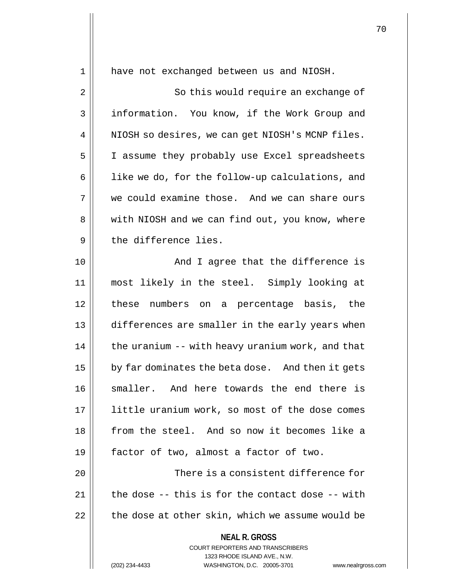**NEAL R. GROSS** COURT REPORTERS AND TRANSCRIBERS 1 have not exchanged between us and NIOSH. 2 || So this would require an exchange of 3 | information. You know, if the Work Group and  $4 \parallel$  NIOSH so desires, we can get NIOSH's MCNP files. 5 | I assume they probably use Excel spreadsheets  $6$  || like we do, for the follow-up calculations, and 7 We could examine those. And we can share ours 8 || with NIOSH and we can find out, you know, where 9 described by the difference lies. 10 || The Mondon Cagree that the difference is 11 most likely in the steel. Simply looking at 12 these numbers on a percentage basis, the 13 differences are smaller in the early years when  $14$  | the uranium  $-$  with heavy uranium work, and that 15  $\vert$  by far dominates the beta dose. And then it gets 16 || smaller. And here towards the end there is 17 || little uranium work, so most of the dose comes 18 || from the steel. And so now it becomes like a 19 factor of two, almost a factor of two. 20 There is a consistent difference for 21  $\vert$  the dose -- this is for the contact dose -- with  $22$  | the dose at other skin, which we assume would be

1323 RHODE ISLAND AVE., N.W.

(202) 234-4433 WASHINGTON, D.C. 20005-3701 www.nealrgross.com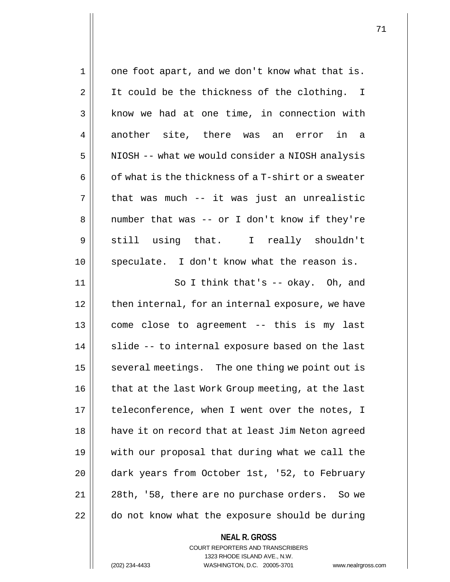| $\mathbf 1$    | one foot apart, and we don't know what that is.    |
|----------------|----------------------------------------------------|
| $\overline{2}$ | It could be the thickness of the clothing. I       |
| 3              | know we had at one time, in connection with        |
| 4              | another site, there was an error in a              |
| 5              | NIOSH -- what we would consider a NIOSH analysis   |
| 6              | of what is the thickness of a T-shirt or a sweater |
| 7              | that was much -- it was just an unrealistic        |
| 8              | number that was -- or I don't know if they're      |
| 9              | still using that. I really shouldn't               |
| 10             | speculate. I don't know what the reason is.        |
| 11             | So I think that's $-$ okay. Oh, and                |
| 12             | then internal, for an internal exposure, we have   |
| 13             | come close to agreement -- this is my last         |
| 14             | slide -- to internal exposure based on the last    |
| 15             | several meetings. The one thing we point out is    |
| 16             | that at the last Work Group meeting, at the last   |
| 17             | teleconference, when I went over the notes, I      |
| 18             | have it on record that at least Jim Neton agreed   |
| 19             | with our proposal that during what we call the     |
| 20             | dark years from October 1st, '52, to February      |
| 21             | 28th, '58, there are no purchase orders. So we     |
| 22             | do not know what the exposure should be during     |
|                | <b>NEAL R. GROSS</b>                               |

COURT REPORTERS AND TRANSCRIBERS 1323 RHODE ISLAND AVE., N.W.

(202) 234-4433 WASHINGTON, D.C. 20005-3701 www.nealrgross.com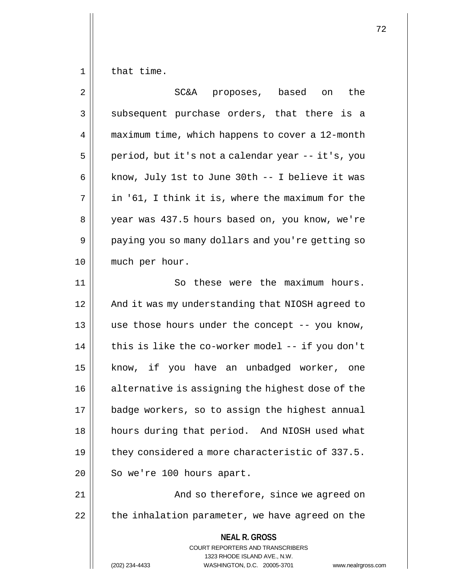$1 \parallel$  that time.

| 2  | SC&A proposes, based<br>the<br>on                                                                                                                               |
|----|-----------------------------------------------------------------------------------------------------------------------------------------------------------------|
| 3  | subsequent purchase orders, that there is a                                                                                                                     |
| 4  | maximum time, which happens to cover a 12-month                                                                                                                 |
| 5  | period, but it's not a calendar year -- it's, you                                                                                                               |
| 6  | know, July 1st to June 30th -- I believe it was                                                                                                                 |
| 7  | in '61, I think it is, where the maximum for the                                                                                                                |
| 8  | year was 437.5 hours based on, you know, we're                                                                                                                  |
| 9  | paying you so many dollars and you're getting so                                                                                                                |
| 10 | much per hour.                                                                                                                                                  |
| 11 | So these were the maximum hours.                                                                                                                                |
| 12 | And it was my understanding that NIOSH agreed to                                                                                                                |
| 13 | use those hours under the concept -- you know,                                                                                                                  |
| 14 | this is like the co-worker model -- if you don't                                                                                                                |
| 15 | know, if you have an unbadged worker, one                                                                                                                       |
| 16 | alternative is assigning the highest dose of the                                                                                                                |
| 17 | badge workers, so to assign the highest annual                                                                                                                  |
| 18 | hours during that period. And NIOSH used what                                                                                                                   |
| 19 | they considered a more characteristic of 337.5.                                                                                                                 |
| 20 | So we're 100 hours apart.                                                                                                                                       |
| 21 | And so therefore, since we agreed on                                                                                                                            |
| 22 | the inhalation parameter, we have agreed on the                                                                                                                 |
|    | <b>NEAL R. GROSS</b><br>COURT REPORTERS AND TRANSCRIBERS<br>1323 RHODE ISLAND AVE., N.W.<br>WASHINGTON, D.C. 20005-3701<br>(202) 234-4433<br>www.nealrgross.com |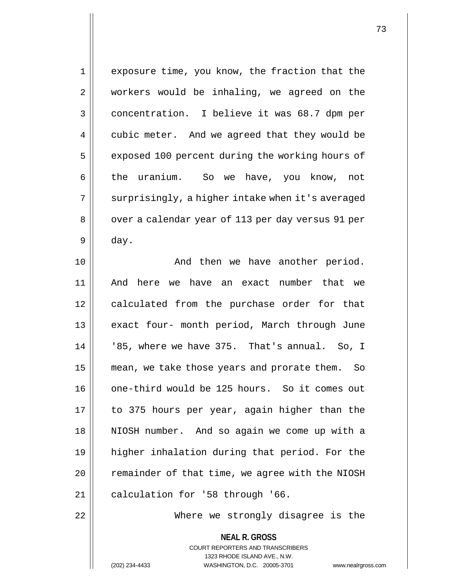| $\mathbf 1$ | exposure time, you know, the fraction that the      |
|-------------|-----------------------------------------------------|
| 2           | workers would be inhaling, we agreed on the         |
| 3           | concentration. I believe it was 68.7 dpm per        |
| 4           | cubic meter. And we agreed that they would be       |
| 5           | exposed 100 percent during the working hours of     |
| 6           | the uranium. So we have, you know, not              |
| 7           | surprisingly, a higher intake when it's averaged    |
| 8           | over a calendar year of 113 per day versus 91 per   |
| 9           | day.                                                |
| 10          | And then we have another period.                    |
| 11          | And here we have an exact number that we            |
| 12          | calculated from the purchase order for that         |
| 13          | exact four- month period, March through June        |
| 14          | '85, where we have 375. That's annual. So, I        |
| 15          | mean, we take those years and prorate them.<br>- So |
| 16          | one-third would be 125 hours. So it comes out       |
| 17          | to 375 hours per year, again higher than the        |
| 18          | NIOSH number. And so again we come up with a        |
| 19          | higher inhalation during that period. For the       |
| 20          | remainder of that time, we agree with the NIOSH     |
| 21          | calculation for '58 through '66.                    |
| 22          | Where we strongly disagree is the                   |
|             | <b>NEAL R. GROSS</b>                                |

COURT REPORTERS AND TRANSCRIBERS 1323 RHODE ISLAND AVE., N.W. (202) 234-4433 WASHINGTON, D.C. 20005-3701 www.nealrgross.com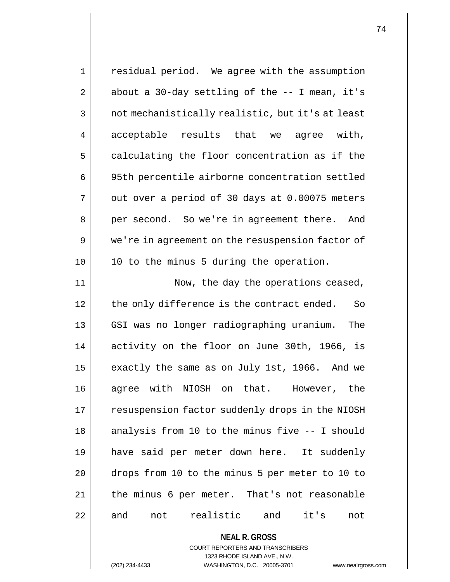| 1  | residual period. We agree with the assumption     |
|----|---------------------------------------------------|
| 2  | about a 30-day settling of the $-$ - I mean, it's |
| 3  | not mechanistically realistic, but it's at least  |
| 4  | acceptable results that<br>agree with,<br>we      |
| 5  | calculating the floor concentration as if the     |
| 6  | 95th percentile airborne concentration settled    |
| 7  | out over a period of 30 days at 0.00075 meters    |
| 8  | per second. So we're in agreement there.<br>And   |
| 9  | we're in agreement on the resuspension factor of  |
| 10 | 10 to the minus 5 during the operation.           |
| 11 | Now, the day the operations ceased,               |
| 12 | the only difference is the contract ended.<br>So  |
| 13 | GSI was no longer radiographing uranium.<br>The   |
| 14 | activity on the floor on June 30th, 1966, is      |
| 15 | exactly the same as on July 1st, 1966. And we     |
| 16 | agree with NIOSH on that. However, the            |
| 17 | resuspension factor suddenly drops in the NIOSH   |
| 18 | analysis from 10 to the minus five -- I should    |
| 19 | have said per meter down here. It suddenly        |
| 20 | drops from 10 to the minus 5 per meter to 10 to   |
| 21 | the minus 6 per meter. That's not reasonable      |
| 22 | and not realistic and<br>it's<br>not              |
|    | <b>NEAL R. GROSS</b>                              |

COURT REPORTERS AND TRANSCRIBERS 1323 RHODE ISLAND AVE., N.W.

(202) 234-4433 WASHINGTON, D.C. 20005-3701 www.nealrgross.com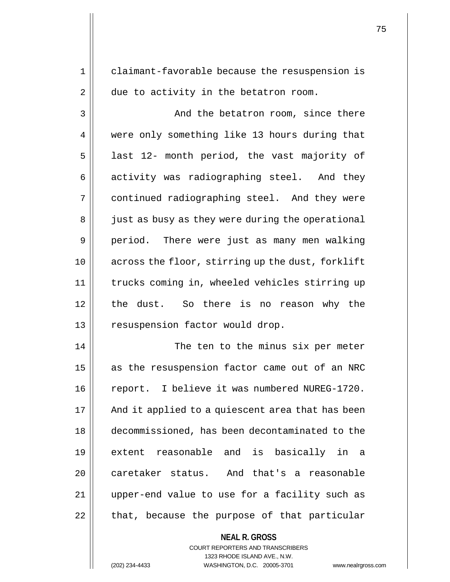1 | claimant-favorable because the resuspension is  $2 \parallel$  due to activity in the betatron room. 3 || And the betatron room, since there 4 || were only something like 13 hours during that  $5$  || last 12- month period, the vast majority of 6 activity was radiographing steel. And they 7 || continued radiographing steel. And they were 8 || just as busy as they were during the operational 9 || period. There were just as many men walking 10 across the floor, stirring up the dust, forklift 11 trucks coming in, wheeled vehicles stirring up 12 the dust. So there is no reason why the

13 || resuspension factor would drop.

14 || The ten to the minus six per meter 15 || as the resuspension factor came out of an NRC 16 | report. I believe it was numbered NUREG-1720. 17 || And it applied to a quiescent area that has been 18 decommissioned, has been decontaminated to the 19 extent reasonable and is basically in a 20 caretaker status. And that's a reasonable 21 upper-end value to use for a facility such as  $22$  | that, because the purpose of that particular

> **NEAL R. GROSS** COURT REPORTERS AND TRANSCRIBERS 1323 RHODE ISLAND AVE., N.W. (202) 234-4433 WASHINGTON, D.C. 20005-3701 www.nealrgross.com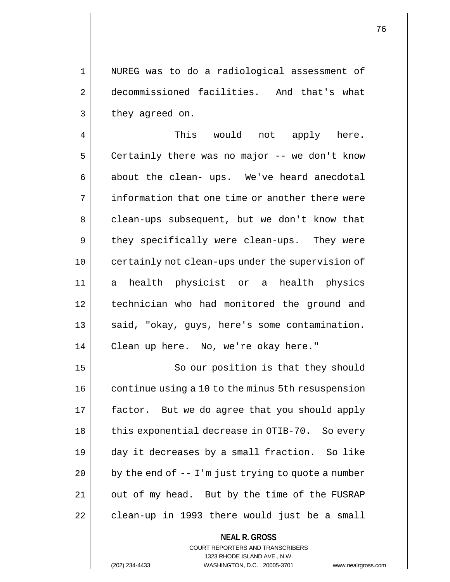1 NUREG was to do a radiological assessment of 2 decommissioned facilities. And that's what  $3 \parallel$  they agreed on.

4 This would not apply here.  $5 \parallel$  Certainly there was no major -- we don't know  $6 \parallel$  about the clean- ups. We've heard anecdotal 7 || information that one time or another there were 8 clean-ups subsequent, but we don't know that 9 || they specifically were clean-ups. They were 10 || certainly not clean-ups under the supervision of 11 a health physicist or a health physics 12 technician who had monitored the ground and 13 || said, "okay, guys, here's some contamination. 14 Clean up here. No, we're okay here."

15 || So our position is that they should 16 | continue using a 10 to the minus 5th resuspension 17 || factor. But we do agree that you should apply || this exponential decrease in OTIB-70. So every day it decreases by a small fraction. So like | by the end of  $-1$ 'm just trying to quote a number | out of my head. But by the time of the FUSRAP | clean-up in 1993 there would just be a small

> **NEAL R. GROSS** COURT REPORTERS AND TRANSCRIBERS 1323 RHODE ISLAND AVE., N.W. (202) 234-4433 WASHINGTON, D.C. 20005-3701 www.nealrgross.com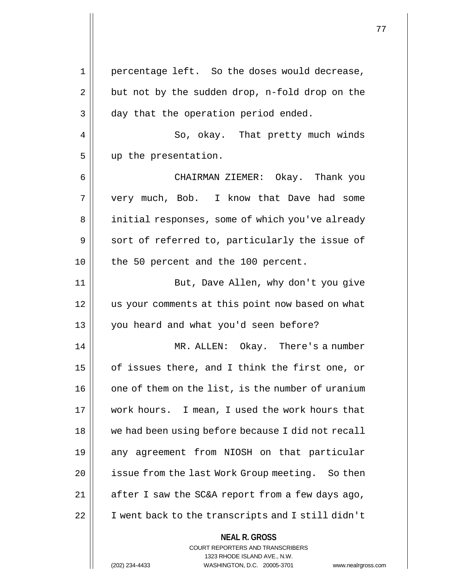**NEAL R. GROSS** COURT REPORTERS AND TRANSCRIBERS 1323 RHODE ISLAND AVE., N.W. 1 percentage left. So the doses would decrease,  $2 \parallel$  but not by the sudden drop, n-fold drop on the 3 day that the operation period ended. 4 || So, okay. That pretty much winds 5 up the presentation. 6 CHAIRMAN ZIEMER: Okay. Thank you 7 || very much, Bob. I know that Dave had some 8 | initial responses, some of which you've already  $9 \parallel$  sort of referred to, particularly the issue of 10 || the 50 percent and the 100 percent. 11 || But, Dave Allen, why don't you give 12 us your comments at this point now based on what 13 you heard and what you'd seen before? 14 MR. ALLEN: Okay. There's a number 15  $\parallel$  of issues there, and I think the first one, or 16 | one of them on the list, is the number of uranium 17 work hours. I mean, I used the work hours that 18 we had been using before because I did not recall 19 || any agreement from NIOSH on that particular 20 || issue from the last Work Group meeting. So then  $21$  || after I saw the SC&A report from a few days ago, 22 | I went back to the transcripts and I still didn't

(202) 234-4433 WASHINGTON, D.C. 20005-3701 www.nealrgross.com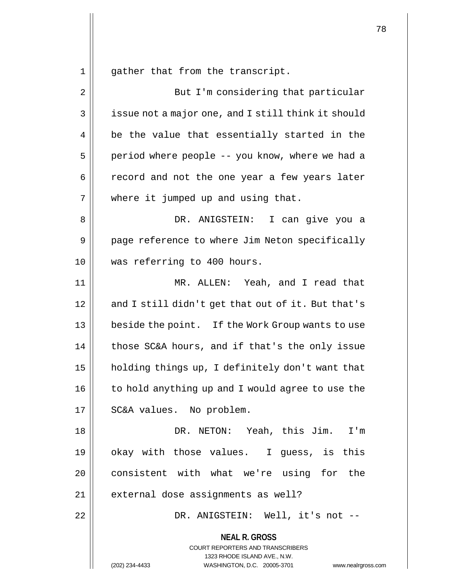gather that from the transcript.

| 2  | But I'm considering that particular                                                                                                                             |
|----|-----------------------------------------------------------------------------------------------------------------------------------------------------------------|
| 3  | issue not a major one, and I still think it should                                                                                                              |
| 4  | be the value that essentially started in the                                                                                                                    |
| 5  | period where people -- you know, where we had a                                                                                                                 |
| 6  | record and not the one year a few years later                                                                                                                   |
| 7  | where it jumped up and using that.                                                                                                                              |
| 8  | DR. ANIGSTEIN: I can give you a                                                                                                                                 |
| 9  | page reference to where Jim Neton specifically                                                                                                                  |
| 10 | was referring to 400 hours.                                                                                                                                     |
| 11 | MR. ALLEN: Yeah, and I read that                                                                                                                                |
| 12 | and I still didn't get that out of it. But that's                                                                                                               |
| 13 | beside the point. If the Work Group wants to use                                                                                                                |
| 14 | those SC&A hours, and if that's the only issue                                                                                                                  |
| 15 | holding things up, I definitely don't want that                                                                                                                 |
| 16 | to hold anything up and I would agree to use the                                                                                                                |
| 17 | SC&A values. No problem.                                                                                                                                        |
| 18 | DR. NETON: Yeah, this Jim. I'm                                                                                                                                  |
| 19 | okay with those values. I guess, is this                                                                                                                        |
| 20 | consistent with what we're using for the                                                                                                                        |
| 21 | external dose assignments as well?                                                                                                                              |
| 22 | DR. ANIGSTEIN: Well, it's not --                                                                                                                                |
|    | <b>NEAL R. GROSS</b><br>COURT REPORTERS AND TRANSCRIBERS<br>1323 RHODE ISLAND AVE., N.W.<br>(202) 234-4433<br>WASHINGTON, D.C. 20005-3701<br>www.nealrgross.com |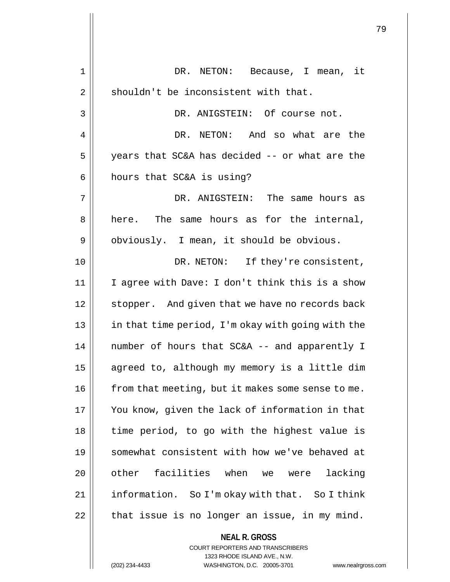| 1  | DR. NETON: Because, I mean, it                                          |
|----|-------------------------------------------------------------------------|
| 2  | shouldn't be inconsistent with that.                                    |
| 3  | DR. ANIGSTEIN: Of course not.                                           |
| 4  | DR. NETON: And so what are the                                          |
| 5  | years that SC&A has decided -- or what are the                          |
| 6  | hours that SC&A is using?                                               |
| 7  | DR. ANIGSTEIN:<br>The same hours as                                     |
| 8  | here. The same hours as for the internal,                               |
| 9  | obviously. I mean, it should be obvious.                                |
| 10 | DR. NETON: If they're consistent,                                       |
| 11 | I agree with Dave: I don't think this is a show                         |
| 12 | stopper. And given that we have no records back                         |
| 13 | in that time period, I'm okay with going with the                       |
| 14 | number of hours that SC&A -- and apparently I                           |
| 15 | agreed to, although my memory is a little dim                           |
| 16 | from that meeting, but it makes some sense to me.                       |
| 17 | You know, given the lack of information in that                         |
| 18 | time period, to go with the highest value is                            |
| 19 | somewhat consistent with how we've behaved at                           |
| 20 | other facilities when we were<br>lacking                                |
| 21 | information. So I'm okay with that. So I think                          |
| 22 | that issue is no longer an issue, in my mind.                           |
|    | <b>NEAL R. GROSS</b>                                                    |
|    | <b>COURT REPORTERS AND TRANSCRIBERS</b><br>1323 RHODE ISLAND AVE., N.W. |
|    | (202) 234-4433<br>WASHINGTON, D.C. 20005-3701<br>www.nealrgross.        |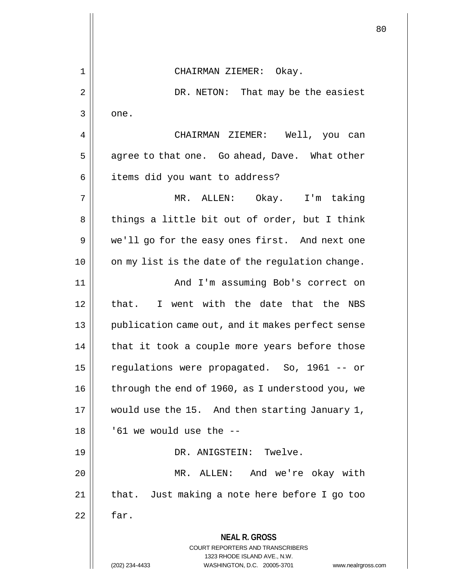**NEAL R. GROSS** COURT REPORTERS AND TRANSCRIBERS 1323 RHODE ISLAND AVE., N.W. (202) 234-4433 WASHINGTON, D.C. 20005-3701 www.nealrgross.com 1 CHAIRMAN ZIEMER: Okay. 2 DR. NETON: That may be the easiest 3 one. 4 CHAIRMAN ZIEMER: Well, you can  $5 \parallel$  agree to that one. Go ahead, Dave. What other 6 | items did you want to address? 7 MR. ALLEN: Okay. I'm taking  $8 \parallel$  things a little bit out of order, but I think 9 || we'll go for the easy ones first. And next one 10 || on my list is the date of the regulation change. 11 || And I'm assuming Bob's correct on 12 || that. I went with the date that the NBS 13 || publication came out, and it makes perfect sense  $14$  | that it took a couple more years before those 15 regulations were propagated. So, 1961 -- or 16 | through the end of 1960, as I understood you, we 17 || would use the 15. And then starting January 1,  $18$  ||  $\cdot$  61 we would use the  $-$ -19 DR. ANIGSTEIN: Twelve. 20 MR. ALLEN: And we're okay with 21 || that. Just making a note here before I go too  $22 \parallel$  far.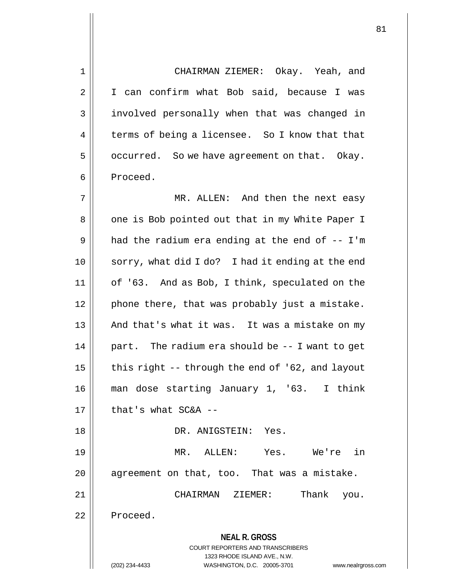**NEAL R. GROSS** COURT REPORTERS AND TRANSCRIBERS 1323 RHODE ISLAND AVE., N.W. 1 CHAIRMAN ZIEMER: Okay. Yeah, and 2 | I can confirm what Bob said, because I was 3 || involved personally when that was changed in 4 terms of being a licensee. So I know that that  $5 \parallel$  occurred. So we have agreement on that. Okay. 6 | Proceed. 7 MR. ALLEN: And then the next easy 8 || one is Bob pointed out that in my White Paper I  $9 \parallel$  had the radium era ending at the end of  $-$ - I'm 10 || sorry, what did I do? I had it ending at the end 11 | of '63. And as Bob, I think, speculated on the  $12$  | phone there, that was probably just a mistake. 13 || And that's what it was. It was a mistake on my  $14$  | part. The radium era should be  $-$ - I want to get 15  $\parallel$  this right -- through the end of '62, and layout 16 man dose starting January 1, '63. I think  $17$  | that's what SC&A --18 DR. ANIGSTEIN: Yes. 19 MR. ALLEN: Yes. We're in  $20$  || agreement on that, too. That was a mistake. 21 CHAIRMAN ZIEMER: Thank you. 22 | Proceed.

(202) 234-4433 WASHINGTON, D.C. 20005-3701 www.nealrgross.com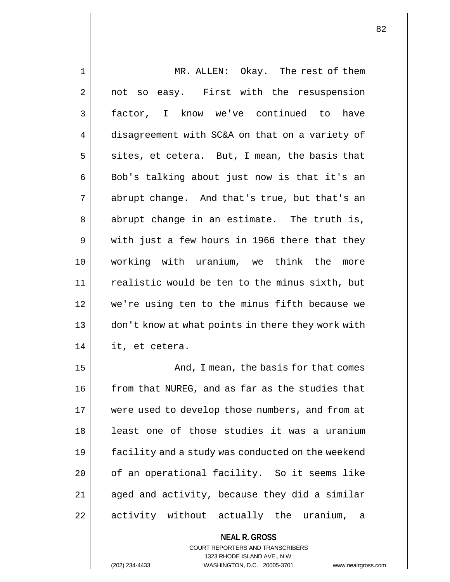| $\mathbf 1$ | MR. ALLEN: Okay. The rest of them                 |
|-------------|---------------------------------------------------|
| 2           | not so easy. First with the resuspension          |
| 3           | factor, I know we've continued to have            |
| 4           | disagreement with SC&A on that on a variety of    |
| 5           | sites, et cetera. But, I mean, the basis that     |
| 6           | Bob's talking about just now is that it's an      |
| 7           | abrupt change. And that's true, but that's an     |
| 8           | abrupt change in an estimate. The truth is,       |
| $\mathsf 9$ | with just a few hours in 1966 there that they     |
| 10          | working with uranium, we think the more           |
| 11          | realistic would be ten to the minus sixth, but    |
| 12          | we're using ten to the minus fifth because we     |
| 13          | don't know at what points in there they work with |
| 14          | it, et cetera.                                    |
| 15          | And, I mean, the basis for that comes             |
| 16          | from that NUREG, and as far as the studies that   |
| 17          | were used to develop those numbers, and from at   |
| 18          | least one of those studies it was a uranium       |
| 19          | facility and a study was conducted on the weekend |
| 20          | of an operational facility. So it seems like      |
| 21          | aged and activity, because they did a similar     |
| 22          | activity without actually the uranium,<br>a       |
|             | <b>NEAL R. GROSS</b>                              |

COURT REPORTERS AND TRANSCRIBERS 1323 RHODE ISLAND AVE., N.W.

(202) 234-4433 WASHINGTON, D.C. 20005-3701 www.nealrgross.com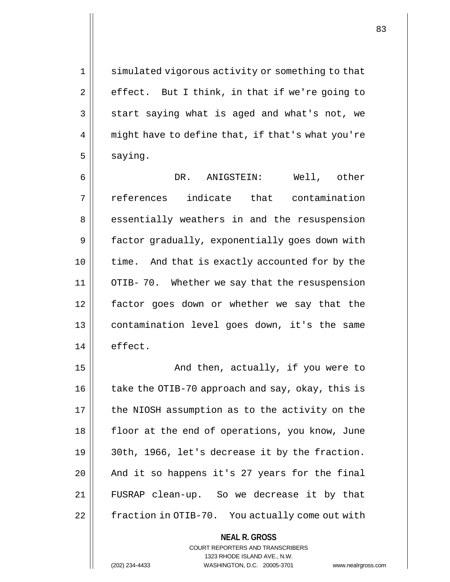1 || simulated vigorous activity or something to that  $2 \parallel$  effect. But I think, in that if we're going to  $3 \parallel$  start saying what is aged and what's not, we 4 || might have to define that, if that's what you're  $5 \parallel$  saying.

 DR. ANIGSTEIN: Well, other references indicate that contamination 8 || essentially weathers in and the resuspension factor gradually, exponentially goes down with 10 || time. And that is exactly accounted for by the OTIB- 70. Whether we say that the resuspension factor goes down or whether we say that the contamination level goes down, it's the same 14 | effect.

15 || The Modithen, actually, if you were to || take the OTIB-70 approach and say, okay, this is | the NIOSH assumption as to the activity on the 18 || floor at the end of operations, you know, June  $\vert$  30th, 1966, let's decrease it by the fraction. || And it so happens it's 27 years for the final FUSRAP clean-up. So we decrease it by that 22 | fraction in OTIB-70. You actually come out with

> **NEAL R. GROSS** COURT REPORTERS AND TRANSCRIBERS 1323 RHODE ISLAND AVE., N.W.

(202) 234-4433 WASHINGTON, D.C. 20005-3701 www.nealrgross.com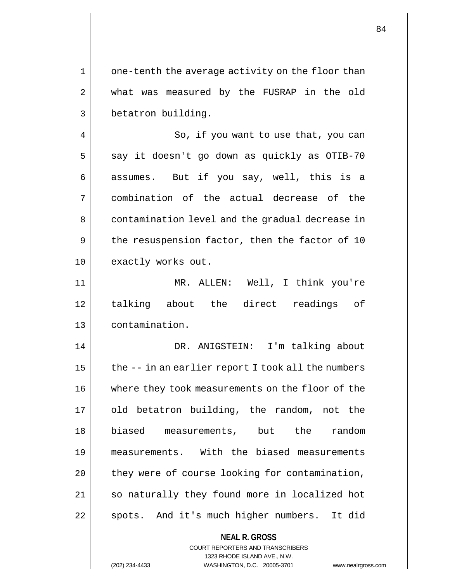$1 \parallel$  one-tenth the average activity on the floor than 2 || what was measured by the FUSRAP in the old 3 | betatron building.

4 || So, if you want to use that, you can  $5 \parallel$  say it doesn't go down as quickly as OTIB-70 6 || assumes. But if you say, well, this is a 7 combination of the actual decrease of the 8 contamination level and the gradual decrease in  $9 \parallel$  the resuspension factor, then the factor of 10 10 || exactly works out.

11 MR. ALLEN: Well, I think you're 12 talking about the direct readings of 13 contamination.

 DR. ANIGSTEIN: I'm talking about  $\parallel$  the  $-$  in an earlier report I took all the numbers where they took measurements on the floor of the 17 || old betatron building, the random, not the biased measurements, but the random measurements. With the biased measurements | they were of course looking for contamination, 21 || so naturally they found more in localized hot 22 || spots. And it's much higher numbers. It did

## **NEAL R. GROSS** COURT REPORTERS AND TRANSCRIBERS

1323 RHODE ISLAND AVE., N.W. (202) 234-4433 WASHINGTON, D.C. 20005-3701 www.nealrgross.com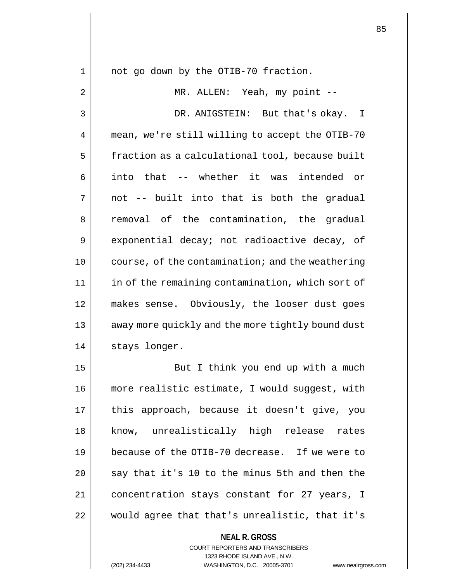**NEAL R. GROSS** 1 || not go down by the OTIB-70 fraction. 2 || MR. ALLEN: Yeah, my point --3 DR. ANIGSTEIN: But that's okay. I 4 | mean, we're still willing to accept the OTIB-70 5 | fraction as a calculational tool, because built 6 || into that -- whether it was intended or  $7 \parallel$  not -- built into that is both the gradual 8 || removal of the contamination, the gradual 9 exponential decay; not radioactive decay, of 10 || course, of the contamination; and the weathering 11 | in of the remaining contamination, which sort of 12 makes sense. Obviously, the looser dust goes 13 || away more quickly and the more tightly bound dust 14 | stays longer. 15 || But I think you end up with a much 16 more realistic estimate, I would suggest, with 17 || this approach, because it doesn't give, you 18 || know, unrealistically high release rates 19 because of the OTIB-70 decrease. If we were to 20  $\parallel$  say that it's 10 to the minus 5th and then the 21 concentration stays constant for 27 years, I 22 would agree that that's unrealistic, that it's

> COURT REPORTERS AND TRANSCRIBERS 1323 RHODE ISLAND AVE., N.W.

(202) 234-4433 WASHINGTON, D.C. 20005-3701 www.nealrgross.com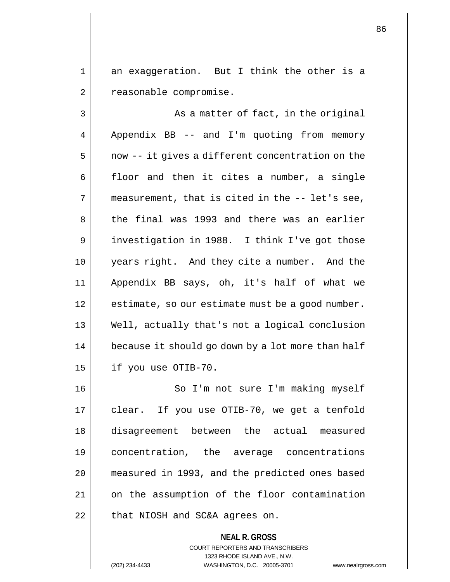1 an exaggeration. But I think the other is a 2 | reasonable compromise.

 $3 \parallel$  As a matter of fact, in the original  $4 \parallel$  Appendix BB -- and I'm quoting from memory  $5 \parallel$  now -- it gives a different concentration on the  $6 \parallel$  floor and then it cites a number, a single  $7 \parallel$  measurement, that is cited in the  $-$ -let's see, 8 the final was 1993 and there was an earlier 9 || investigation in 1988. I think I've got those 10 years right. And they cite a number. And the 11 Appendix BB says, oh, it's half of what we 12 | estimate, so our estimate must be a good number. 13 Well, actually that's not a logical conclusion 14 | because it should go down by a lot more than half  $15$  | if you use OTIB-70.

16 || So I'm not sure I'm making myself 17 || clear. If you use OTIB-70, we get a tenfold 18 disagreement between the actual measured 19 concentration, the average concentrations 20 measured in 1993, and the predicted ones based 21 | on the assumption of the floor contamination  $22$  | that NIOSH and SC&A agrees on.

> **NEAL R. GROSS** COURT REPORTERS AND TRANSCRIBERS 1323 RHODE ISLAND AVE., N.W. (202) 234-4433 WASHINGTON, D.C. 20005-3701 www.nealrgross.com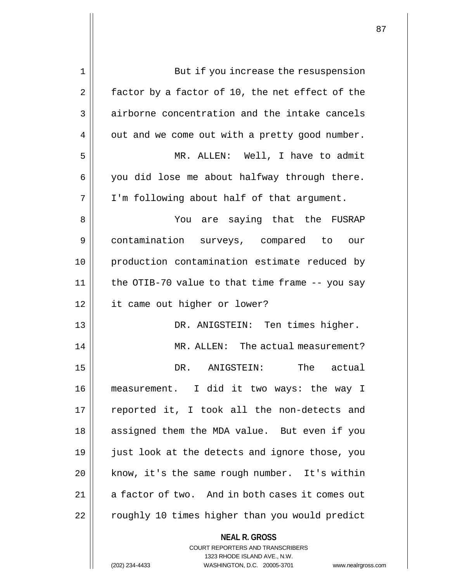| 1  | But if you increase the resuspension                            |
|----|-----------------------------------------------------------------|
| 2  | factor by a factor of 10, the net effect of the                 |
| 3  | airborne concentration and the intake cancels                   |
| 4  | out and we come out with a pretty good number.                  |
| 5  | MR. ALLEN: Well, I have to admit                                |
| 6  | you did lose me about halfway through there.                    |
| 7  | I'm following about half of that argument.                      |
| 8  | You are saying that the FUSRAP                                  |
| 9  | contamination surveys, compared to our                          |
| 10 | production contamination estimate reduced by                    |
| 11 | the OTIB-70 value to that time frame -- you say                 |
| 12 | it came out higher or lower?                                    |
| 13 | DR. ANIGSTEIN: Ten times higher.                                |
| 14 | MR. ALLEN: The actual measurement?                              |
| 15 | The actual<br>DR. ANIGSTEIN:                                    |
| 16 | measurement. I did it two ways: the way I                       |
| 17 | reported it, I took all the non-detects and                     |
| 18 | assigned them the MDA value. But even if you                    |
| 19 | just look at the detects and ignore those, you                  |
| 20 | know, it's the same rough number. It's within                   |
| 21 | a factor of two. And in both cases it comes out                 |
| 22 | roughly 10 times higher than you would predict                  |
|    | <b>NEAL R. GROSS</b><br><b>COURT REPORTERS AND TRANSCRIBERS</b> |
|    | 1323 RHODE ISLAND AVE., N.W.                                    |
|    | WASHINGTON, D.C. 20005-3701<br>(202) 234-4433<br>www.nealrgros  |

(202) 234-4433 WASHINGTON, D.C. 20005-3701 www.nealrgross.com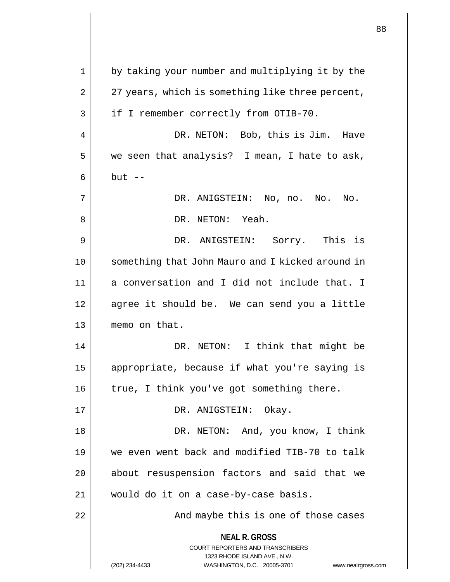|    |                                                                                                                                                                     | 88 |
|----|---------------------------------------------------------------------------------------------------------------------------------------------------------------------|----|
|    |                                                                                                                                                                     |    |
| 1  | by taking your number and multiplying it by the                                                                                                                     |    |
| 2  | 27 years, which is something like three percent,                                                                                                                    |    |
| 3  | if I remember correctly from OTIB-70.                                                                                                                               |    |
| 4  | DR. NETON: Bob, this is Jim.<br>Have                                                                                                                                |    |
| 5  | we seen that analysis? I mean, I hate to ask,                                                                                                                       |    |
| 6  | $but --$                                                                                                                                                            |    |
| 7  | DR. ANIGSTEIN: No, no. No.<br>No.                                                                                                                                   |    |
| 8  | DR. NETON: Yeah.                                                                                                                                                    |    |
| 9  | DR. ANIGSTEIN: Sorry. This is                                                                                                                                       |    |
| 10 | something that John Mauro and I kicked around in                                                                                                                    |    |
| 11 | a conversation and I did not include that. I                                                                                                                        |    |
| 12 | agree it should be. We can send you a little                                                                                                                        |    |
| 13 | memo on that.                                                                                                                                                       |    |
| 14 | I think that might be<br>DR. NETON:                                                                                                                                 |    |
| 15 | appropriate, because if what you're saying is                                                                                                                       |    |
| 16 | true, I think you've got something there.                                                                                                                           |    |
| 17 | DR. ANIGSTEIN: Okay.                                                                                                                                                |    |
| 18 | DR. NETON: And, you know, I think                                                                                                                                   |    |
| 19 | we even went back and modified TIB-70 to talk                                                                                                                       |    |
| 20 | about resuspension factors and said that we                                                                                                                         |    |
| 21 | would do it on a case-by-case basis.                                                                                                                                |    |
| 22 | And maybe this is one of those cases                                                                                                                                |    |
|    | <b>NEAL R. GROSS</b><br><b>COURT REPORTERS AND TRANSCRIBERS</b><br>1323 RHODE ISLAND AVE., N.W.<br>(202) 234-4433<br>WASHINGTON, D.C. 20005-3701 www.nealrgross.com |    |

 $\overline{1}$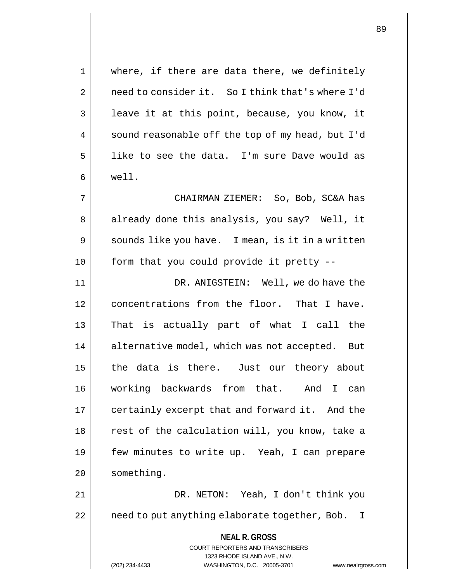1 || where, if there are data there, we definitely 2 | need to consider it. So I think that's where I'd 3 | leave it at this point, because, you know, it 4  $\parallel$  sound reasonable off the top of my head, but I'd 5 || like to see the data. I'm sure Dave would as 6 well. 7 CHAIRMAN ZIEMER: So, Bob, SC&A has 8 || already done this analysis, you say? Well, it  $9 \parallel$  sounds like you have. I mean, is it in a written  $10$  | form that you could provide it pretty --11 DR. ANIGSTEIN: Well, we do have the 12 concentrations from the floor. That I have. 13 || That is actually part of what I call the 14 | alternative model, which was not accepted. But 15 || the data is there. Just our theory about 16 working backwards from that. And I can 17 | certainly excerpt that and forward it. And the

18 || rest of the calculation will, you know, take a 19 || few minutes to write up. Yeah, I can prepare 20 | something.

21 DR. NETON: Yeah, I don't think you 22 | eneed to put anything elaborate together, Bob. I

> **NEAL R. GROSS** COURT REPORTERS AND TRANSCRIBERS 1323 RHODE ISLAND AVE., N.W. (202) 234-4433 WASHINGTON, D.C. 20005-3701 www.nealrgross.com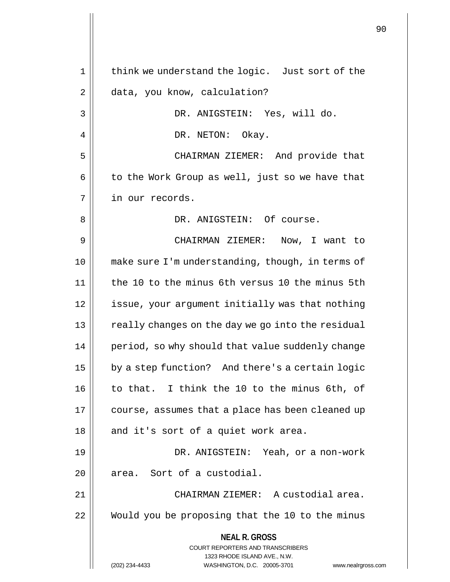**NEAL R. GROSS** COURT REPORTERS AND TRANSCRIBERS 1323 RHODE ISLAND AVE., N.W. (202) 234-4433 WASHINGTON, D.C. 20005-3701 www.nealrgross.com 1 || think we understand the logic. Just sort of the 2 data, you know, calculation? 3 DR. ANIGSTEIN: Yes, will do. 4 | | DR. NETON: Okay. 5 CHAIRMAN ZIEMER: And provide that  $6 \parallel$  to the Work Group as well, just so we have that 7 | in our records. 8 DR. ANIGSTEIN: Of course. 9 CHAIRMAN ZIEMER: Now, I want to 10 make sure I'm understanding, though, in terms of 11 the 10 to the minus 6th versus 10 the minus 5th 12 issue, your argument initially was that nothing 13 || really changes on the day we go into the residual 14 | period, so why should that value suddenly change 15 | by a step function? And there's a certain logic 16 || to that. I think the 10 to the minus 6th, of 17 | course, assumes that a place has been cleaned up  $18$  || and it's sort of a quiet work area. 19 DR. ANIGSTEIN: Yeah, or a non-work  $20$  || area. Sort of a custodial. 21 || CHAIRMAN ZIEMER: A custodial area. 22 Would you be proposing that the 10 to the minus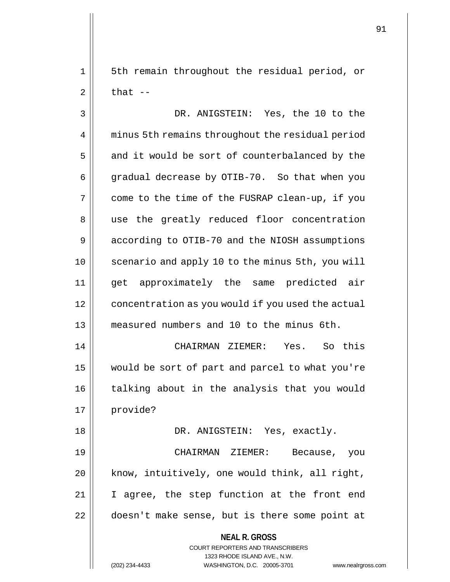1 || 5th remain throughout the residual period, or  $2 \parallel$  that  $-$ 

3 DR. ANIGSTEIN: Yes, the 10 to the 4 | minus 5th remains throughout the residual period  $5 \parallel$  and it would be sort of counterbalanced by the 6 |  $^{\circ}$  gradual decrease by OTIB-70. So that when you 7 come to the time of the FUSRAP clean-up, if you 8 || use the greatly reduced floor concentration 9 | according to OTIB-70 and the NIOSH assumptions 10 || scenario and apply 10 to the minus 5th, you will 11 get approximately the same predicted air 12 | concentration as you would if you used the actual 13 measured numbers and 10 to the minus 6th. 14 CHAIRMAN ZIEMER: Yes. So this 15 would be sort of part and parcel to what you're 16 || talking about in the analysis that you would 17 | provide? 18 DR. ANIGSTEIN: Yes, exactly. 19 CHAIRMAN ZIEMER: Because, you  $20$  | know, intuitively, one would think, all right, 21 || I agree, the step function at the front end 22 || doesn't make sense, but is there some point at

> **NEAL R. GROSS** COURT REPORTERS AND TRANSCRIBERS 1323 RHODE ISLAND AVE., N.W.

(202) 234-4433 WASHINGTON, D.C. 20005-3701 www.nealrgross.com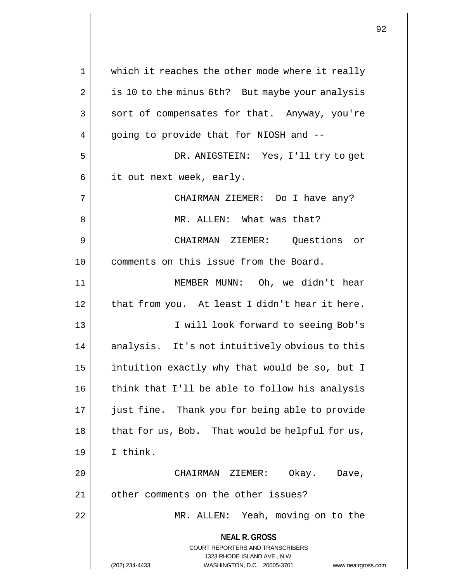**NEAL R. GROSS** COURT REPORTERS AND TRANSCRIBERS 1323 RHODE ISLAND AVE., N.W. (202) 234-4433 WASHINGTON, D.C. 20005-3701 www.nealrgross.com 1 || which it reaches the other mode where it really 2 | is 10 to the minus 6th? But maybe your analysis 3 || sort of compensates for that. Anyway, you're 4 || going to provide that for NIOSH and --5 DR. ANIGSTEIN: Yes, I'll try to get  $6 \parallel$  it out next week, early. 7 || CHAIRMAN ZIEMER: Do I have any? 8 MR. ALLEN: What was that? 9 CHAIRMAN ZIEMER: Questions or 10 comments on this issue from the Board. 11 MEMBER MUNN: Oh, we didn't hear  $12$  | that from you. At least I didn't hear it here. 13 I will look forward to seeing Bob's 14 || analysis. It's not intuitively obvious to this 15  $\parallel$  intuition exactly why that would be so, but I 16 || think that I'll be able to follow his analysis 17 || just fine. Thank you for being able to provide 18 || that for us, Bob. That would be helpful for us, 19 I think. 20 CHAIRMAN ZIEMER: Okay. Dave, 21 | other comments on the other issues? 22 MR. ALLEN: Yeah, moving on to the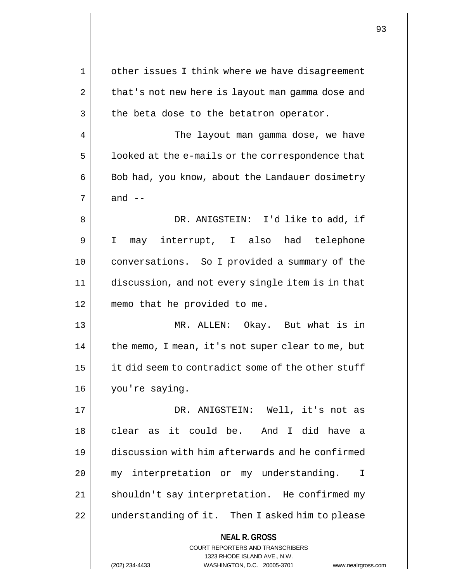|    |                                                                         | 93 |
|----|-------------------------------------------------------------------------|----|
|    |                                                                         |    |
| 1  | other issues I think where we have disagreement                         |    |
| 2  | that's not new here is layout man gamma dose and                        |    |
| 3  | the beta dose to the betatron operator.                                 |    |
| 4  | The layout man gamma dose, we have                                      |    |
| 5  | looked at the e-mails or the correspondence that                        |    |
| 6  | Bob had, you know, about the Landauer dosimetry                         |    |
| 7  | and $--$                                                                |    |
| 8  | DR. ANIGSTEIN: I'd like to add, if                                      |    |
| 9  | may interrupt, I also had telephone<br>I.                               |    |
| 10 | conversations. So I provided a summary of the                           |    |
| 11 | discussion, and not every single item is in that                        |    |
| 12 | memo that he provided to me.                                            |    |
| 13 | MR. ALLEN: Okay. But what is in                                         |    |
| 14 | the memo, I mean, it's not super clear to me, but                       |    |
| 15 | it did seem to contradict some of the other stuff                       |    |
| 16 | you're saying.                                                          |    |
| 17 | DR. ANIGSTEIN: Well, it's not as                                        |    |
| 18 | clear as it could be. And I did have a                                  |    |
| 19 | discussion with him afterwards and he confirmed                         |    |
| 20 | my interpretation or my understanding.<br>$\mathbf{I}$                  |    |
| 21 | shouldn't say interpretation. He confirmed my                           |    |
| 22 | understanding of it. Then I asked him to please                         |    |
|    | <b>NEAL R. GROSS</b>                                                    |    |
|    | <b>COURT REPORTERS AND TRANSCRIBERS</b><br>1323 RHODE ISLAND AVE., N.W. |    |
|    | (202) 234-4433<br>WASHINGTON, D.C. 20005-3701<br>www.nealrgross.com     |    |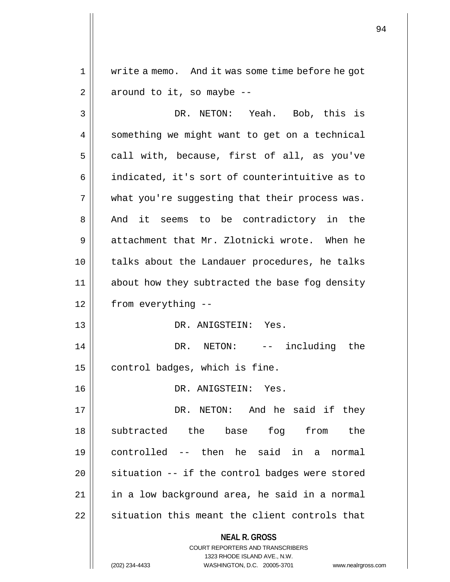1 write a memo. And it was some time before he got  $2 \parallel$  around to it, so maybe --

**NEAL R. GROSS** COURT REPORTERS AND TRANSCRIBERS 1323 RHODE ISLAND AVE., N.W. 3 DR. NETON: Yeah. Bob, this is 4 | something we might want to get on a technical  $5 \parallel$  call with, because, first of all, as you've 6 || indicated, it's sort of counterintuitive as to  $7$  | what you're suggesting that their process was. 8 And it seems to be contradictory in the 9 attachment that Mr. Zlotnicki wrote. When he 10 talks about the Landauer procedures, he talks 11 || about how they subtracted the base fog density 12 from everything -- 13 DR. ANIGSTEIN: Yes. 14 DR. NETON: -- including the  $15$  control badges, which is fine. 16 DR. ANIGSTEIN: Yes. 17 DR. NETON: And he said if they 18 subtracted the base fog from the 19 controlled -- then he said in a normal  $20$  | situation  $-$  if the control badges were stored 21 | in a low background area, he said in a normal 22 || situation this meant the client controls that

(202) 234-4433 WASHINGTON, D.C. 20005-3701 www.nealrgross.com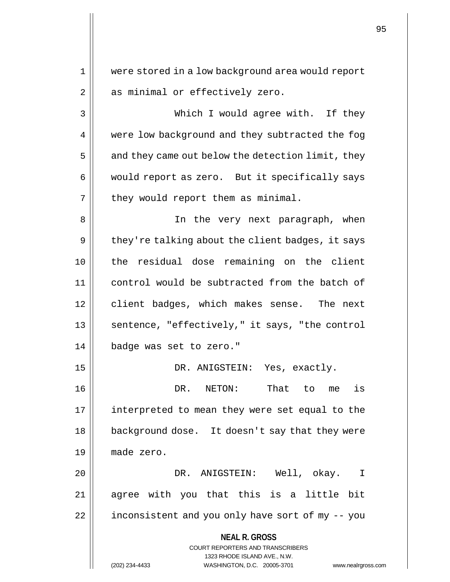1 were stored in a low background area would report 2 || as minimal or effectively zero.

3 Which I would agree with. If they 4 | were low background and they subtracted the fog  $5 \parallel$  and they came out below the detection limit, they 6 | would report as zero. But it specifically says  $7$  | they would report them as minimal.

8 || In the very next paragraph, when  $9 \parallel$  they're talking about the client badges, it says 10 the residual dose remaining on the client 11 control would be subtracted from the batch of 12 | client badges, which makes sense. The next  $13$  || sentence, "effectively," it says, "the control 14 badge was set to zero."

 DR. ANIGSTEIN: Yes, exactly. DR. NETON: That to me is interpreted to mean they were set equal to the 18 || background dose. It doesn't say that they were made zero.

20 DR. ANIGSTEIN: Well, okay. I 21 agree with you that this is a little bit 22 | inconsistent and you only have sort of my -- you

> **NEAL R. GROSS** COURT REPORTERS AND TRANSCRIBERS 1323 RHODE ISLAND AVE., N.W. (202) 234-4433 WASHINGTON, D.C. 20005-3701 www.nealrgross.com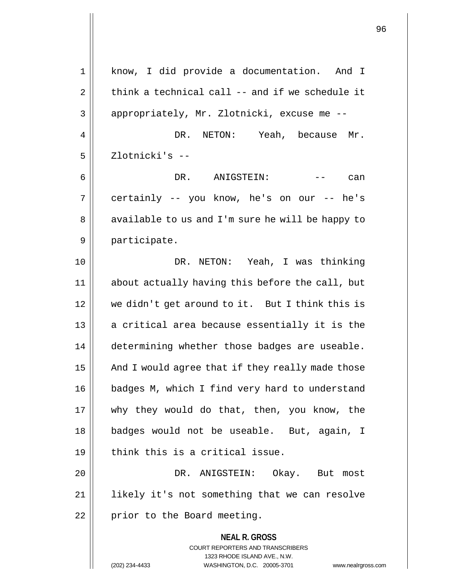**NEAL R. GROSS** COURT REPORTERS AND TRANSCRIBERS 1323 RHODE ISLAND AVE., N.W. 1 || know, I did provide a documentation. And I 2  $\parallel$  think a technical call -- and if we schedule it 3 || appropriately, Mr. Zlotnicki, excuse me --4 | DR. NETON: Yeah, because Mr. 5 Zlotnicki's -- 6 DR. ANIGSTEIN: -- can  $7 \parallel$  certainly -- you know, he's on our -- he's 8 || available to us and I'm sure he will be happy to 9 || participate. 10 DR. NETON: Yeah, I was thinking 11 about actually having this before the call, but 12 we didn't get around to it. But I think this is 13 || a critical area because essentially it is the 14 | determining whether those badges are useable.  $15$  | And I would agree that if they really made those 16 | badges M, which I find very hard to understand 17 why they would do that, then, you know, the 18 badges would not be useable. But, again, I  $19$  || think this is a critical issue. 20 DR. ANIGSTEIN: Okay. But most 21 likely it's not something that we can resolve  $22$  || prior to the Board meeting.

(202) 234-4433 WASHINGTON, D.C. 20005-3701 www.nealrgross.com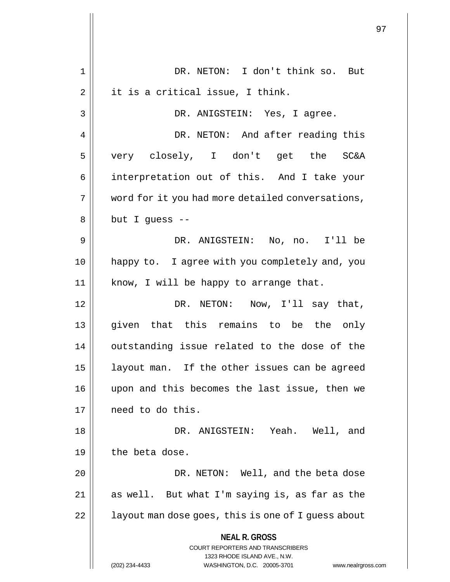|                |                                                                                                 | 97 |
|----------------|-------------------------------------------------------------------------------------------------|----|
|                |                                                                                                 |    |
| 1              | DR. NETON: I don't think so. But                                                                |    |
| $\overline{2}$ | it is a critical issue, I think.                                                                |    |
| 3              | DR. ANIGSTEIN: Yes, I agree.                                                                    |    |
| 4              | DR. NETON: And after reading this                                                               |    |
| 5              | very closely, I don't get the SC&A                                                              |    |
| 6              | interpretation out of this. And I take your                                                     |    |
| 7              | word for it you had more detailed conversations,                                                |    |
| 8              | but I guess --                                                                                  |    |
| 9              | DR. ANIGSTEIN: No, no. I'll be                                                                  |    |
| 10             | happy to. I agree with you completely and, you                                                  |    |
| 11             | know, I will be happy to arrange that.                                                          |    |
| 12             | DR. NETON: Now, I'll say that,                                                                  |    |
| 13             | given that this remains to be the only                                                          |    |
| 14             | outstanding issue related to the dose of the                                                    |    |
| 15             | layout man. If the other issues can be agreed                                                   |    |
| 16             | upon and this becomes the last issue, then we                                                   |    |
| 17             | need to do this.                                                                                |    |
| 18             | DR. ANIGSTEIN: Yeah. Well, and                                                                  |    |
| 19             | the beta dose.                                                                                  |    |
| 20             | DR. NETON: Well, and the beta dose                                                              |    |
| 21             | as well. But what I'm saying is, as far as the                                                  |    |
| 22             | layout man dose goes, this is one of I guess about                                              |    |
|                | <b>NEAL R. GROSS</b><br><b>COURT REPORTERS AND TRANSCRIBERS</b><br>1323 RHODE ISLAND AVE., N.W. |    |
|                | (202) 234-4433<br>WASHINGTON, D.C. 20005-3701<br>www.nealrgross.com                             |    |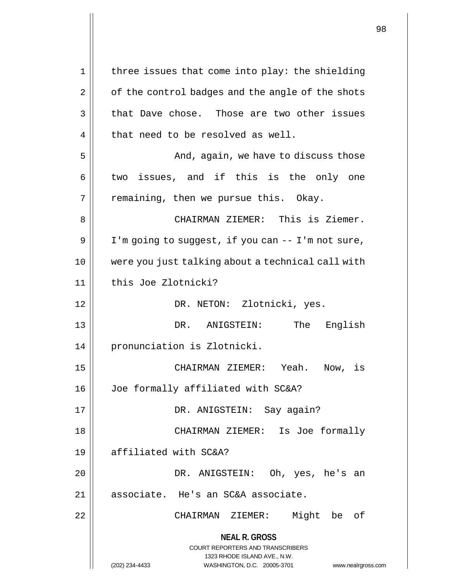**NEAL R. GROSS** COURT REPORTERS AND TRANSCRIBERS 1323 RHODE ISLAND AVE., N.W. (202) 234-4433 WASHINGTON, D.C. 20005-3701 www.nealrgross.com  $1 \parallel$  three issues that come into play: the shielding  $2 \parallel$  of the control badges and the angle of the shots  $3 \parallel$  that Dave chose. Those are two other issues  $4$  | that need to be resolved as well. 5 And, again, we have to discuss those  $6 \parallel$  two issues, and if this is the only one  $7 \parallel$  remaining, then we pursue this. Okay. 8 CHAIRMAN ZIEMER: This is Ziemer.  $9 \parallel$  I'm going to suggest, if you can  $-$  I'm not sure, 10 were you just talking about a technical call with 11 this Joe Zlotnicki? 12 || DR. NETON: Zlotnicki, yes. 13 DR. ANIGSTEIN: The English 14 || pronunciation is Zlotnicki. 15 CHAIRMAN ZIEMER: Yeah. Now, is 16 Joe formally affiliated with SC&A? 17 DR. ANIGSTEIN: Say again? 18 CHAIRMAN ZIEMER: Is Joe formally 19 affiliated with SC&A? 20 DR. ANIGSTEIN: Oh, yes, he's an 21 || associate. He's an SC&A associate. 22 CHAIRMAN ZIEMER: Might be of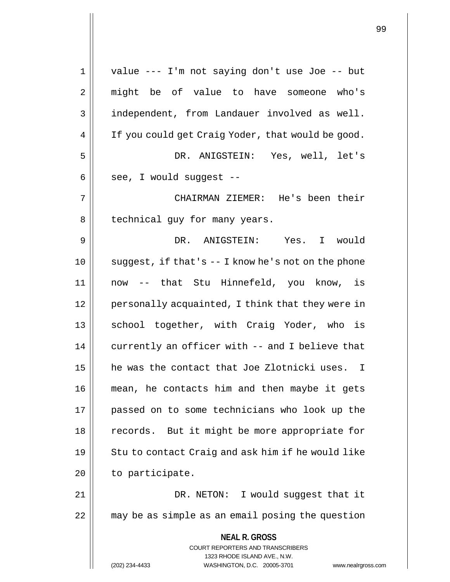**NEAL R. GROSS** COURT REPORTERS AND TRANSCRIBERS 1323 RHODE ISLAND AVE., N.W. (202) 234-4433 WASHINGTON, D.C. 20005-3701 www.nealrgross.com 1 value --- I'm not saying don't use Joe -- but 2 might be of value to have someone who's 3 | independent, from Landauer involved as well. 4 | If you could get Craig Yoder, that would be good. 5 DR. ANIGSTEIN: Yes, well, let's  $6 \parallel$  see, I would suggest --7 CHAIRMAN ZIEMER: He's been their 8 | technical guy for many years. 9 DR. ANIGSTEIN: Yes. I would  $10$  | suggest, if that's  $-$  I know he's not on the phone 11 now -- that Stu Hinnefeld, you know, is 12 | personally acquainted, I think that they were in 13 || school together, with Craig Yoder, who is  $14$  | currently an officer with  $-$  and I believe that 15 he was the contact that Joe Zlotnicki uses. I 16 mean, he contacts him and then maybe it gets 17 passed on to some technicians who look up the 18 || records. But it might be more appropriate for  $19$  | Stu to contact Craig and ask him if he would like  $20$  | to participate. 21 || DR. NETON: I would suggest that it 22 || may be as simple as an email posing the question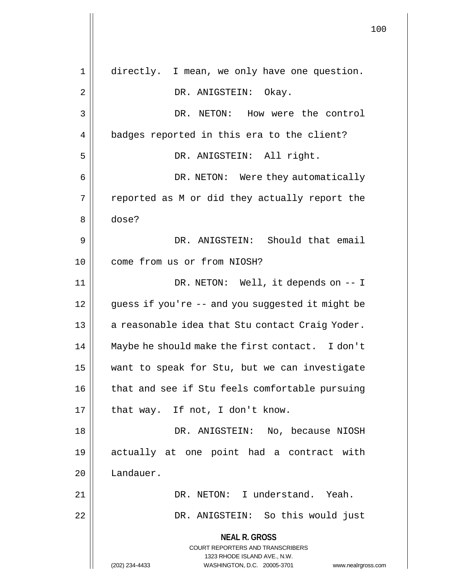**NEAL R. GROSS** COURT REPORTERS AND TRANSCRIBERS 1323 RHODE ISLAND AVE., N.W. (202) 234-4433 WASHINGTON, D.C. 20005-3701 www.nealrgross.com 1 directly. I mean, we only have one question. 2 | DR. ANIGSTEIN: Okay. 3 DR. NETON: How were the control 4 | badges reported in this era to the client? 5 || DR. ANIGSTEIN: All right. 6 DR. NETON: Were they automatically  $7 \parallel$  reported as M or did they actually report the 8 dose? 9 DR. ANIGSTEIN: Should that email 10 **come from us or from NIOSH?** 11 DR. NETON: Well, it depends on -- I 12 || guess if you're -- and you suggested it might be 13 || a reasonable idea that Stu contact Craig Yoder. 14 || Maybe he should make the first contact. I don't 15 want to speak for Stu, but we can investigate 16 || that and see if Stu feels comfortable pursuing  $17$  | that way. If not, I don't know. 18 DR. ANIGSTEIN: No, because NIOSH 19 actually at one point had a contract with 20 Landauer. 21 || DR. NETON: I understand. Yeah. 22 DR. ANIGSTEIN: So this would just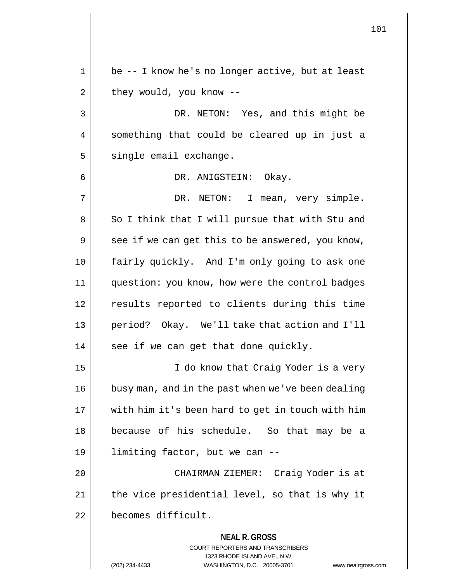**NEAL R. GROSS** COURT REPORTERS AND TRANSCRIBERS 1323 RHODE ISLAND AVE., N.W. 1 || be -- I know he's no longer active, but at least  $2 \parallel$  they would, you know --3 || DR. NETON: Yes, and this might be 4 || something that could be cleared up in just a  $5$  single email exchange. 6 DR. ANIGSTEIN: Okay. 7 || DR. NETON: I mean, very simple. 8 || So I think that I will pursue that with Stu and  $9 \parallel$  see if we can get this to be answered, you know, 10 fairly quickly. And I'm only going to ask one 11 question: you know, how were the control badges 12 || results reported to clients during this time 13 period? Okay. We'll take that action and I'll  $14$  || see if we can get that done quickly. 15 || I do know that Craig Yoder is a very 16 || busy man, and in the past when we've been dealing 17 with him it's been hard to get in touch with him 18 because of his schedule. So that may be a 19 limiting factor, but we can -- 20 CHAIRMAN ZIEMER: Craig Yoder is at 21 || the vice presidential level, so that is why it 22 becomes difficult.

(202) 234-4433 WASHINGTON, D.C. 20005-3701 www.nealrgross.com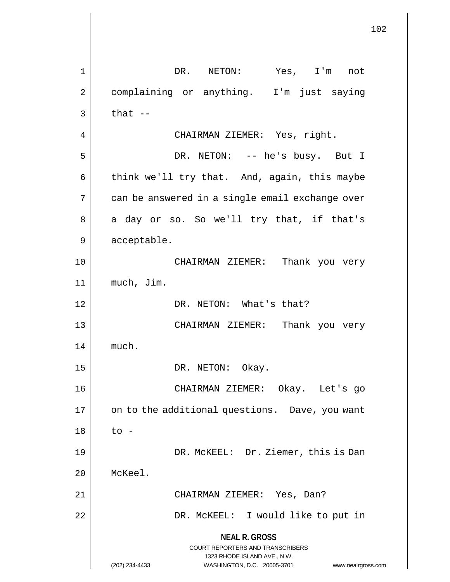**NEAL R. GROSS** COURT REPORTERS AND TRANSCRIBERS 1323 RHODE ISLAND AVE., N.W. (202) 234-4433 WASHINGTON, D.C. 20005-3701 www.nealrgross.com 1 || DR. NETON: Yes, I'm not 2 | complaining or anything. I'm just saying  $3 \parallel$  that  $-$ 4 CHAIRMAN ZIEMER: Yes, right. 5 DR. NETON: -- he's busy. But I  $6 \parallel$  think we'll try that. And, again, this maybe 7 | can be answered in a single email exchange over  $8 \parallel$  a day or so. So we'll try that, if that's 9 || acceptable. 10 CHAIRMAN ZIEMER: Thank you very 11 | much, Jim. 12 DR. NETON: What's that? 13 CHAIRMAN ZIEMER: Thank you very  $14$  much. 15 || DR. NETON: Okay. 16 CHAIRMAN ZIEMER: Okay. Let's go 17 | on to the additional questions. Dave, you want  $18 \parallel$  to -19 DR. McKEEL: Dr. Ziemer, this is Dan 20 McKeel. 21 CHAIRMAN ZIEMER: Yes, Dan? 22 DR. McKEEL: I would like to put in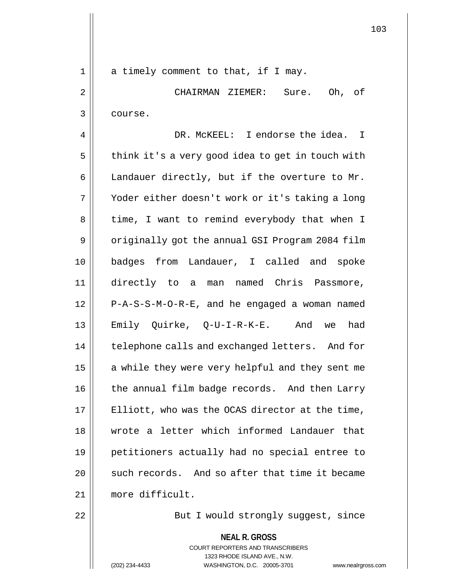1 || a timely comment to that, if I may. 2 CHAIRMAN ZIEMER: Sure. Oh, of 3 course. 4 DR. McKEEL: I endorse the idea. I  $5 \parallel$  think it's a very good idea to get in touch with 6 | Landauer directly, but if the overture to Mr. 7 || Yoder either doesn't work or it's taking a long 8 || time, I want to remind everybody that when I 9 || originally got the annual GSI Program 2084 film 10 badges from Landauer, I called and spoke 11 directly to a man named Chris Passmore, 12 P-A-S-S-M-O-R-E, and he engaged a woman named 13 Emily Quirke, Q-U-I-R-K-E. And we had 14 | telephone calls and exchanged letters. And for 15  $\parallel$  a while they were very helpful and they sent me 16 | the annual film badge records. And then Larry  $17$  | Elliott, who was the OCAS director at the time, 18 wrote a letter which informed Landauer that 19 petitioners actually had no special entree to 20  $\parallel$  such records. And so after that time it became 21 more difficult. 22 || But I would strongly suggest, since

> **NEAL R. GROSS** COURT REPORTERS AND TRANSCRIBERS 1323 RHODE ISLAND AVE., N.W. (202) 234-4433 WASHINGTON, D.C. 20005-3701 www.nealrgross.com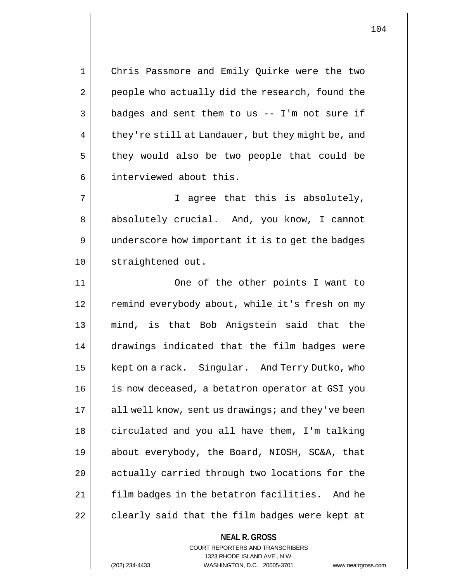1 Chris Passmore and Emily Quirke were the two  $2 \parallel$  people who actually did the research, found the  $3 \parallel$  badges and sent them to us -- I'm not sure if  $4 \parallel$  they're still at Landauer, but they might be, and  $5$  they would also be two people that could be 6 | interviewed about this.

7 || I agree that this is absolutely, 8 || absolutely crucial. And, you know, I cannot 9 || underscore how important it is to get the badges 10 | straightened out.

11 One of the other points I want to 12 | remind everybody about, while it's fresh on my 13 mind, is that Bob Anigstein said that the 14 drawings indicated that the film badges were 15 | kept on a rack. Singular. And Terry Dutko, who 16 is now deceased, a betatron operator at GSI you  $17$  | all well know, sent us drawings; and they've been 18 | circulated and you all have them, I'm talking 19 about everybody, the Board, NIOSH, SC&A, that 20 || actually carried through two locations for the 21 | film badges in the betatron facilities. And he  $22$  | clearly said that the film badges were kept at

> COURT REPORTERS AND TRANSCRIBERS 1323 RHODE ISLAND AVE., N.W.

**NEAL R. GROSS**

(202) 234-4433 WASHINGTON, D.C. 20005-3701 www.nealrgross.com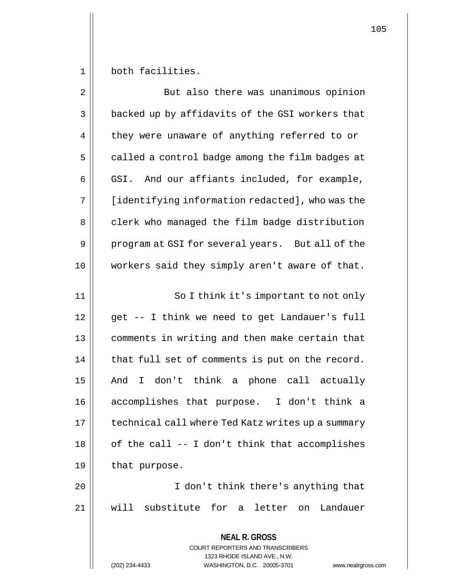1 both facilities.

| $\overline{2}$ | But also there was unanimous opinion                                                                                                                              |
|----------------|-------------------------------------------------------------------------------------------------------------------------------------------------------------------|
| 3              | backed up by affidavits of the GSI workers that                                                                                                                   |
| 4              | they were unaware of anything referred to or                                                                                                                      |
| 5              | called a control badge among the film badges at                                                                                                                   |
| 6              | GSI. And our affiants included, for example,                                                                                                                      |
| 7              | [identifying information redacted], who was the                                                                                                                   |
| 8              | clerk who managed the film badge distribution                                                                                                                     |
| 9              | program at GSI for several years. But all of the                                                                                                                  |
| 10             | workers said they simply aren't aware of that.                                                                                                                    |
| 11             | So I think it's important to not only                                                                                                                             |
| 12             | get -- I think we need to get Landauer's full                                                                                                                     |
| 13             | comments in writing and then make certain that                                                                                                                    |
| 14             | that full set of comments is put on the record.                                                                                                                   |
| 15             | And I don't think a phone call actually                                                                                                                           |
| 16             | accomplishes that purpose. I don't think a                                                                                                                        |
| 17             | technical call where Ted Katz writes up a summary                                                                                                                 |
| 18             | of the call -- I don't think that accomplishes                                                                                                                    |
| 19             | that purpose.                                                                                                                                                     |
| 20             | I don't think there's anything that                                                                                                                               |
| 21             | will substitute for a letter on<br>Landauer                                                                                                                       |
|                | <b>NEAL R. GROSS</b><br><b>COURT REPORTERS AND TRANSCRIBERS</b><br>1323 RHODE ISLAND AVE., N.W.<br>WASHINGTON, D.C. 20005-3701<br>(202) 234-4433<br>www.nealrgros |

(202) 234-4433 WASHINGTON, D.C. 20005-3701 www.nealrgross.com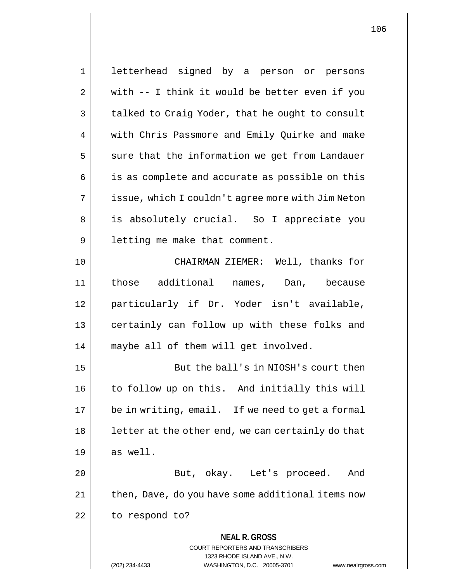**NEAL R. GROSS** COURT REPORTERS AND TRANSCRIBERS 1323 RHODE ISLAND AVE., N.W. (202) 234-4433 WASHINGTON, D.C. 20005-3701 www.nealrgross.com 1 letterhead signed by a person or persons  $2 \parallel$  with -- I think it would be better even if you  $3 \parallel$  talked to Craig Yoder, that he ought to consult 4 Weith Chris Passmore and Emily Quirke and make  $5$   $\parallel$  sure that the information we get from Landauer 6 || is as complete and accurate as possible on this 7 | issue, which I couldn't agree more with Jim Neton 8 | is absolutely crucial. So I appreciate you 9 | letting me make that comment. 10 || CHAIRMAN ZIEMER: Well, thanks for 11 those additional names, Dan, because 12 particularly if Dr. Yoder isn't available, 13 || certainly can follow up with these folks and 14 maybe all of them will get involved. 15 But the ball's in NIOSH's court then 16 || to follow up on this. And initially this will 17 || be in writing, email. If we need to get a formal  $18$  || letter at the other end, we can certainly do that  $19 \parallel$  as well. 20 || But, okay. Let's proceed. And 21 | then, Dave, do you have some additional items now  $22$  | to respond to?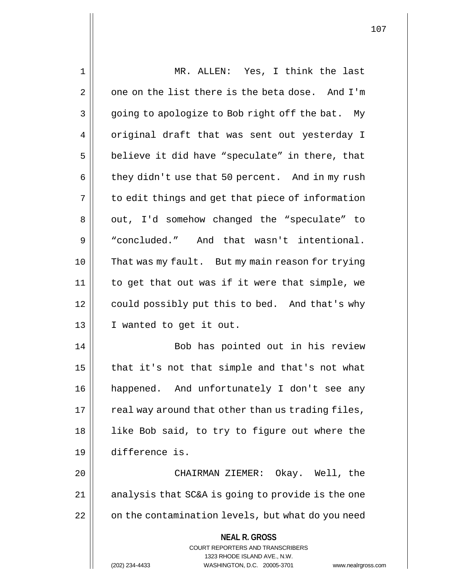| 1  | MR. ALLEN: Yes, I think the last                                                                                                                                       |
|----|------------------------------------------------------------------------------------------------------------------------------------------------------------------------|
| 2  | one on the list there is the beta dose. And I'm                                                                                                                        |
| 3  | going to apologize to Bob right off the bat. My                                                                                                                        |
| 4  | original draft that was sent out yesterday I                                                                                                                           |
| 5  | believe it did have "speculate" in there, that                                                                                                                         |
| 6  | they didn't use that 50 percent. And in my rush                                                                                                                        |
| 7  | to edit things and get that piece of information                                                                                                                       |
| 8  | out, I'd somehow changed the "speculate" to                                                                                                                            |
| 9  | "concluded." And that wasn't intentional.                                                                                                                              |
| 10 | That was my fault. But my main reason for trying                                                                                                                       |
| 11 | to get that out was if it were that simple, we                                                                                                                         |
| 12 | could possibly put this to bed. And that's why                                                                                                                         |
| 13 | I wanted to get it out.                                                                                                                                                |
| 14 | Bob has pointed out in his review                                                                                                                                      |
| 15 | that it's not that simple and that's not what                                                                                                                          |
| 16 | happened. And unfortunately I don't see any                                                                                                                            |
| 17 | real way around that other than us trading files,                                                                                                                      |
| 18 | like Bob said, to try to figure out where the                                                                                                                          |
| 19 | difference is.                                                                                                                                                         |
| 20 | CHAIRMAN ZIEMER: Okay. Well, the                                                                                                                                       |
| 21 | analysis that SC&A is going to provide is the one                                                                                                                      |
| 22 | on the contamination levels, but what do you need                                                                                                                      |
|    | <b>NEAL R. GROSS</b><br><b>COURT REPORTERS AND TRANSCRIBERS</b><br>1323 RHODE ISLAND AVE., N.W.<br>WASHINGTON, D.C. 20005-3701<br>(202) 234-4433<br>www.nealrgross.com |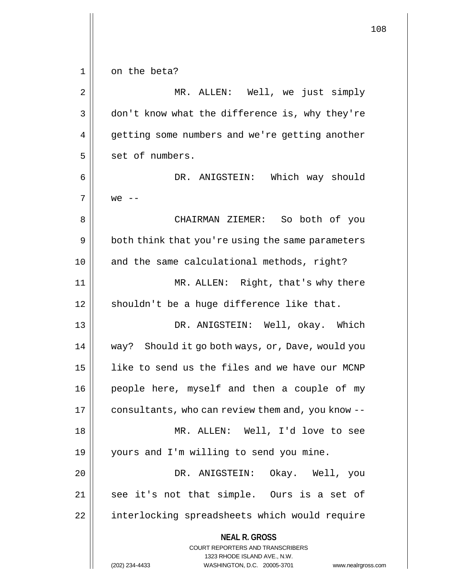|    | 108                                                                                                 |
|----|-----------------------------------------------------------------------------------------------------|
|    |                                                                                                     |
| 1  | on the beta?                                                                                        |
| 2  | ALLEN: Well, we just simply<br>MR.                                                                  |
| 3  | don't know what the difference is, why they're                                                      |
| 4  | getting some numbers and we're getting another                                                      |
| 5  | set of numbers.                                                                                     |
| 6  | DR. ANIGSTEIN: Which way should                                                                     |
| 7  | $we$ --                                                                                             |
| 8  | CHAIRMAN ZIEMER: So both of you                                                                     |
| 9  | both think that you're using the same parameters                                                    |
| 10 | and the same calculational methods, right?                                                          |
| 11 | MR. ALLEN: Right, that's why there                                                                  |
| 12 | shouldn't be a huge difference like that.                                                           |
| 13 | DR. ANIGSTEIN: Well, okay. Which                                                                    |
| 14 | way? Should it go both ways, or, Dave, would you                                                    |
| 15 | like to send us the files and we have our MCNP                                                      |
| 16 | people here, myself and then a couple of my                                                         |
| 17 | consultants, who can review them and, you know --                                                   |
| 18 | MR. ALLEN: Well, I'd love to see                                                                    |
| 19 | yours and I'm willing to send you mine.                                                             |
| 20 | DR. ANIGSTEIN: Okay. Well, you                                                                      |
| 21 | see it's not that simple. Ours is a set of                                                          |
| 22 | interlocking spreadsheets which would require                                                       |
|    | <b>NEAL R. GROSS</b>                                                                                |
|    | <b>COURT REPORTERS AND TRANSCRIBERS</b>                                                             |
|    | 1323 RHODE ISLAND AVE., N.W.<br>(202) 234-4433<br>WASHINGTON, D.C. 20005-3701<br>www.nealrgross.com |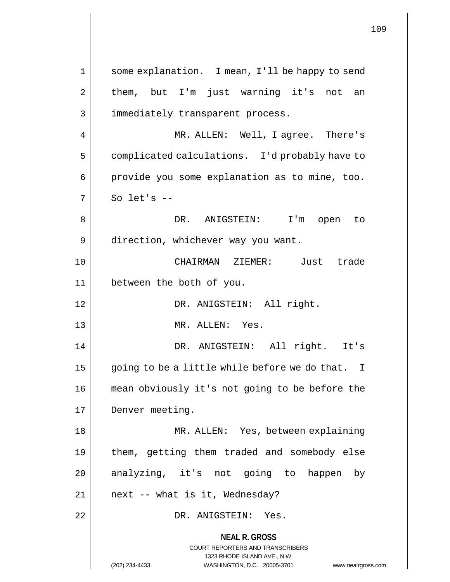**NEAL R. GROSS** COURT REPORTERS AND TRANSCRIBERS 1323 RHODE ISLAND AVE., N.W. (202) 234-4433 WASHINGTON, D.C. 20005-3701 www.nealrgross.com 1 || some explanation. I mean, I'll be happy to send  $2 \parallel$  them, but I'm just warning it's not an 3 || immediately transparent process. 4 MR. ALLEN: Well, I agree. There's 5 | complicated calculations. I'd probably have to  $6 \parallel$  provide you some explanation as to mine, too.  $7 \parallel$  So let's  $-$ 8 DR. ANIGSTEIN: I'm open to 9 | direction, whichever way you want. 10 CHAIRMAN ZIEMER: Just trade 11 between the both of you. 12 || DR. ANIGSTEIN: All right. 13 MR. ALLEN: Yes. 14 DR. ANIGSTEIN: All right. It's 15  $\parallel$  going to be a little while before we do that. I 16 mean obviously it's not going to be before the 17 | Denver meeting. 18 || MR. ALLEN: Yes, between explaining 19 them, getting them traded and somebody else  $20$  analyzing, it's not going to happen by  $21$  | next -- what is it, Wednesday? 22 DR. ANIGSTEIN: Yes.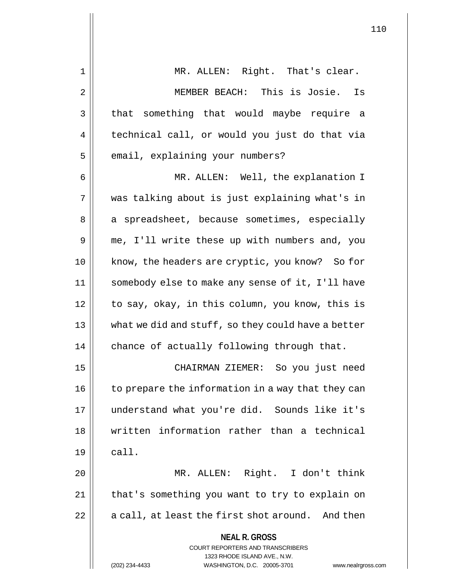| $\mathbf 1$ | MR. ALLEN: Right. That's clear.                                                                                                                                    |
|-------------|--------------------------------------------------------------------------------------------------------------------------------------------------------------------|
| 2           | MEMBER BEACH: This is Josie.<br>Is                                                                                                                                 |
| 3           | that something that would maybe require a                                                                                                                          |
| 4           | technical call, or would you just do that via                                                                                                                      |
| 5           | email, explaining your numbers?                                                                                                                                    |
| 6           | MR. ALLEN: Well, the explanation I                                                                                                                                 |
| 7           | was talking about is just explaining what's in                                                                                                                     |
| 8           | a spreadsheet, because sometimes, especially                                                                                                                       |
| 9           | me, I'll write these up with numbers and, you                                                                                                                      |
| 10          | know, the headers are cryptic, you know? So for                                                                                                                    |
| 11          | somebody else to make any sense of it, I'll have                                                                                                                   |
| 12          | to say, okay, in this column, you know, this is                                                                                                                    |
| 13          | what we did and stuff, so they could have a better                                                                                                                 |
| 14          | chance of actually following through that.                                                                                                                         |
| 15          | CHAIRMAN ZIEMER: So you just need                                                                                                                                  |
| 16          | to prepare the information in a way that they can                                                                                                                  |
| 17          | understand what you're did. Sounds like it's                                                                                                                       |
| 18          | written information rather than a technical                                                                                                                        |
| 19          | call.                                                                                                                                                              |
| 20          | MR. ALLEN: Right. I don't think                                                                                                                                    |
| 21          | that's something you want to try to explain on                                                                                                                     |
| 22          | a call, at least the first shot around. And then                                                                                                                   |
|             | <b>NEAL R. GROSS</b><br><b>COURT REPORTERS AND TRANSCRIBERS</b><br>1323 RHODE ISLAND AVE., N.W.<br>WASHINGTON, D.C. 20005-3701<br>(202) 234-4433<br>www.nealrgross |

(202) 234-4433 WASHINGTON, D.C. 20005-3701 www.nealrgross.com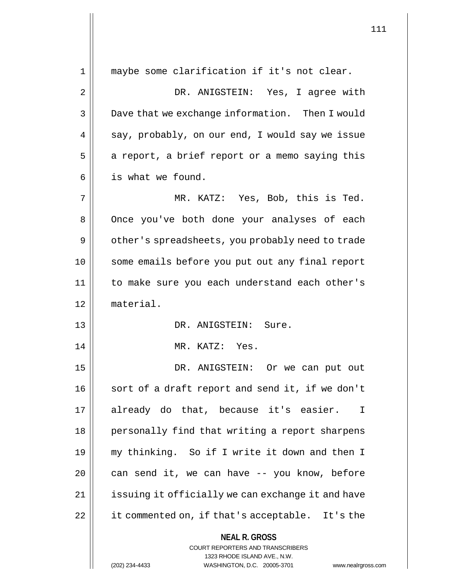| maybe some clarification if it's not clear.                                                                                                                       |
|-------------------------------------------------------------------------------------------------------------------------------------------------------------------|
| DR. ANIGSTEIN: Yes, I agree with                                                                                                                                  |
| Dave that we exchange information. Then I would                                                                                                                   |
| say, probably, on our end, I would say we issue                                                                                                                   |
| a report, a brief report or a memo saying this                                                                                                                    |
| is what we found.                                                                                                                                                 |
| MR. KATZ: Yes, Bob, this is Ted.                                                                                                                                  |
| Once you've both done your analyses of each                                                                                                                       |
| other's spreadsheets, you probably need to trade                                                                                                                  |
| some emails before you put out any final report                                                                                                                   |
| to make sure you each understand each other's                                                                                                                     |
| material.                                                                                                                                                         |
| DR. ANIGSTEIN: Sure.                                                                                                                                              |
| MR. KATZ: Yes.                                                                                                                                                    |
| DR. ANIGSTEIN: Or we can put out                                                                                                                                  |
| sort of a draft report and send it, if we don't                                                                                                                   |
| already do that, because it's easier.<br>$\mathbf I$                                                                                                              |
| personally find that writing a report sharpens                                                                                                                    |
| my thinking. So if I write it down and then I                                                                                                                     |
| can send it, we can have -- you know, before                                                                                                                      |
| issuing it officially we can exchange it and have                                                                                                                 |
| it commented on, if that's acceptable. It's the                                                                                                                   |
| <b>NEAL R. GROSS</b><br><b>COURT REPORTERS AND TRANSCRIBERS</b><br>1323 RHODE ISLAND AVE., N.W.<br>(202) 234-4433<br>WASHINGTON, D.C. 20005-3701<br>www.nealrgros |
|                                                                                                                                                                   |

(202) 234-4433 WASHINGTON, D.C. 20005-3701 www.nealrgross.com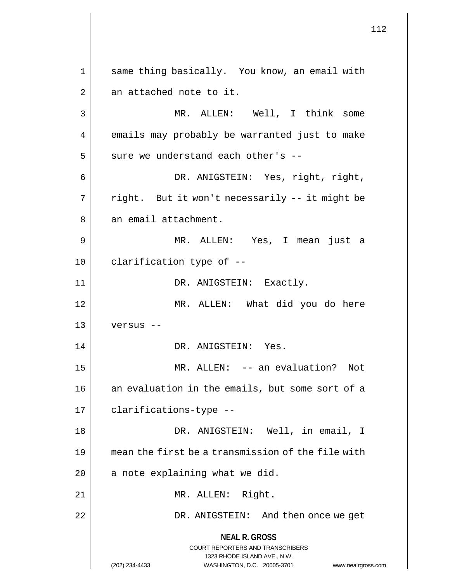**NEAL R. GROSS** COURT REPORTERS AND TRANSCRIBERS 1323 RHODE ISLAND AVE., N.W. (202) 234-4433 WASHINGTON, D.C. 20005-3701 www.nealrgross.com 1 || same thing basically. You know, an email with  $2 \parallel$  an attached note to it. 3 MR. ALLEN: Well, I think some 4 emails may probably be warranted just to make  $5$  sure we understand each other's --6 DR. ANIGSTEIN: Yes, right, right,  $7 ||$  right. But it won't necessarily -- it might be 8 | an email attachment. 9 MR. ALLEN: Yes, I mean just a  $10$  || clarification type of  $-$ 11 || DR. ANIGSTEIN: Exactly. 12 || MR. ALLEN: What did you do here  $13$  || versus --14 || DR. ANIGSTEIN: Yes. 15 MR. ALLEN: -- an evaluation? Not 16 || an evaluation in the emails, but some sort of a 17 || clarifications-type --18 DR. ANIGSTEIN: Well, in email, I 19 mean the first be a transmission of the file with  $20$  | a note explaining what we did. 21 || MR. ALLEN: Right. 22 DR. ANIGSTEIN: And then once we get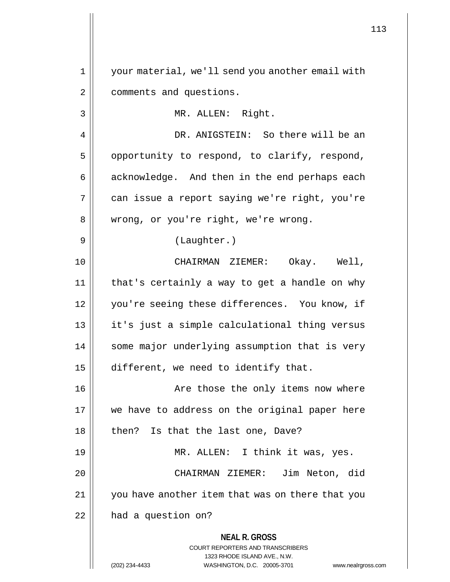**NEAL R. GROSS** COURT REPORTERS AND TRANSCRIBERS 1323 RHODE ISLAND AVE., N.W. 1 your material, we'll send you another email with 2 | comments and questions. 3 || MR. ALLEN: Right. 4 DR. ANIGSTEIN: So there will be an  $5 \parallel$  opportunity to respond, to clarify, respond,  $6 \parallel$  acknowledge. And then in the end perhaps each 7 can issue a report saying we're right, you're 8 || wrong, or you're right, we're wrong. 9 || (Laughter.) 10 CHAIRMAN ZIEMER: Okay. Well, 11 that's certainly a way to get a handle on why 12 || you're seeing these differences. You know, if 13 it's just a simple calculational thing versus 14 || some major underlying assumption that is very 15 | different, we need to identify that. 16 || Are those the only items now where 17 || we have to address on the original paper here 18 || then? Is that the last one, Dave? 19 || MR. ALLEN: I think it was, yes. 20 CHAIRMAN ZIEMER: Jim Neton, did 21 you have another item that was on there that you 22 | had a question on?

<sup>(202) 234-4433</sup> WASHINGTON, D.C. 20005-3701 www.nealrgross.com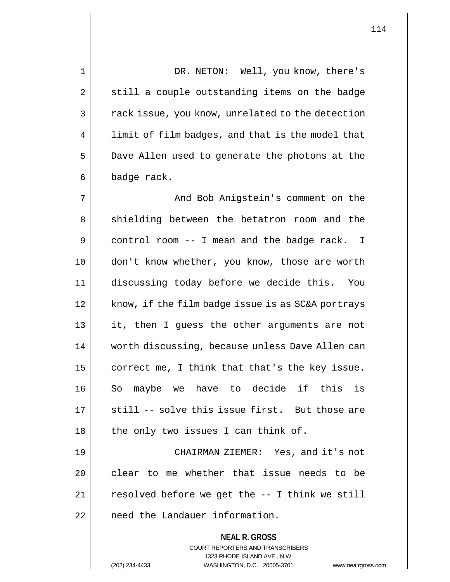**NEAL R. GROSS** COURT REPORTERS AND TRANSCRIBERS 1 DR. NETON: Well, you know, there's  $2 \parallel$  still a couple outstanding items on the badge 3 | rack issue, you know, unrelated to the detection 4 | limit of film badges, and that is the model that 5 Dave Allen used to generate the photons at the  $6 \parallel$  badge rack. 7 And Bob Anigstein's comment on the 8 || shielding between the betatron room and the 9 control room -- I mean and the badge rack. I 10 don't know whether, you know, those are worth 11 discussing today before we decide this. You 12 || know, if the film badge issue is as SC&A portrays 13 it, then I guess the other arguments are not 14 | worth discussing, because unless Dave Allen can 15  $\parallel$  correct me, I think that that's the key issue. 16 || So maybe we have to decide if this is  $17$   $\parallel$  still -- solve this issue first. But those are  $18$  || the only two issues I can think of. 19 CHAIRMAN ZIEMER: Yes, and it's not 20 clear to me whether that issue needs to be  $21$  || resolved before we get the  $-$  I think we still 22 | need the Landauer information.

1323 RHODE ISLAND AVE., N.W.

(202) 234-4433 WASHINGTON, D.C. 20005-3701 www.nealrgross.com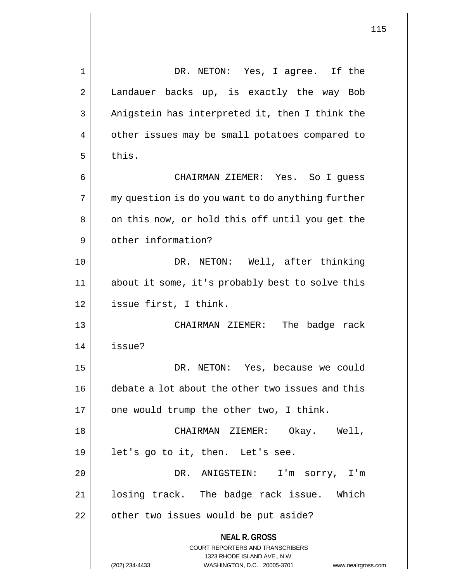**NEAL R. GROSS** COURT REPORTERS AND TRANSCRIBERS 1323 RHODE ISLAND AVE., N.W. 1 DR. NETON: Yes, I agree. If the 2 | Landauer backs up, is exactly the way Bob  $3 \parallel$  Anigstein has interpreted it, then I think the 4 | other issues may be small potatoes compared to  $5 \parallel$  this. 6 CHAIRMAN ZIEMER: Yes. So I guess  $7 \parallel$  my question is do you want to do anything further 8 || on this now, or hold this off until you get the 9 || other information? 10 DR. NETON: Well, after thinking 11 about it some, it's probably best to solve this 12 issue first, I think. 13 CHAIRMAN ZIEMER: The badge rack 14 issue? 15 DR. NETON: Yes, because we could 16 debate a lot about the other two issues and this  $17$  | one would trump the other two, I think. 18 CHAIRMAN ZIEMER: Okay. Well, 19 || let's go to it, then. Let's see. 20 DR. ANIGSTEIN: I'm sorry, I'm 21 || losing track. The badge rack issue. Which  $22$  || other two issues would be put aside?

(202) 234-4433 WASHINGTON, D.C. 20005-3701 www.nealrgross.com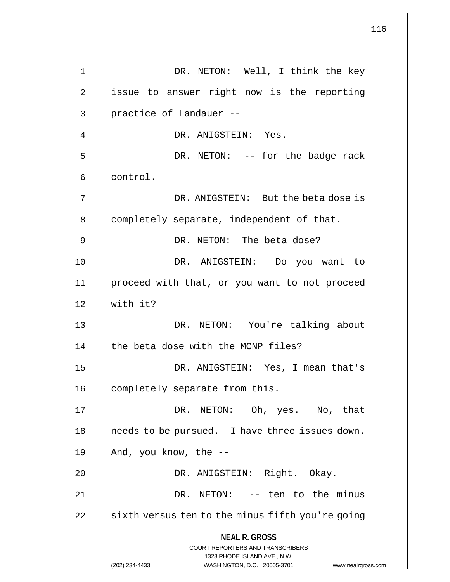**NEAL R. GROSS** COURT REPORTERS AND TRANSCRIBERS 1323 RHODE ISLAND AVE., N.W. (202) 234-4433 WASHINGTON, D.C. 20005-3701 www.nealrgross.com 1 DR. NETON: Well, I think the key 2 || issue to answer right now is the reporting  $3 \parallel$  practice of Landauer --4 DR. ANIGSTEIN: Yes. 5 DR. NETON: -- for the badge rack 6 | control. 7 DR. ANIGSTEIN: But the beta dose is 8 | completely separate, independent of that. 9 DR. NETON: The beta dose? 10 DR. ANIGSTEIN: Do you want to 11 proceed with that, or you want to not proceed  $12$  with it? 13 DR. NETON: You're talking about 14 | the beta dose with the MCNP files? 15 DR. ANIGSTEIN: Yes, I mean that's 16 | completely separate from this. 17 DR. NETON: Oh, yes. No, that 18 || needs to be pursued. I have three issues down. 19  $\parallel$  And, you know, the --20 || DR. ANIGSTEIN: Right. Okay. 21 DR. NETON: -- ten to the minus  $22$  | sixth versus ten to the minus fifth you're going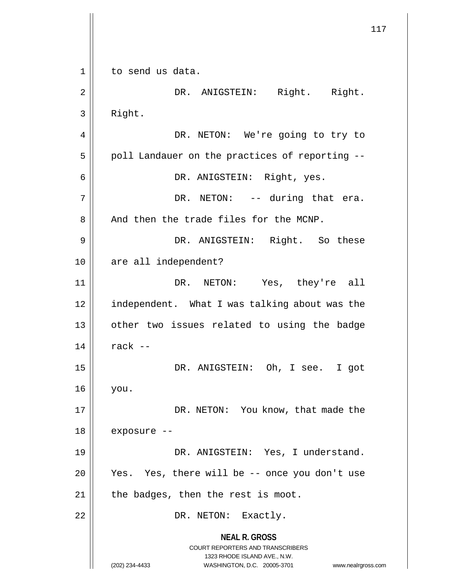**NEAL R. GROSS** COURT REPORTERS AND TRANSCRIBERS 1323 RHODE ISLAND AVE., N.W. (202) 234-4433 WASHINGTON, D.C. 20005-3701 www.nealrgross.com 117 1 | to send us data. 2 || DR. ANIGSTEIN: Right. Right.  $3 \parallel$  Right. 4 || DR. NETON: We're going to try to  $5$  | poll Landauer on the practices of reporting  $-$ 6 DR. ANIGSTEIN: Right, yes.  $7 \parallel$  DR. NETON: -- during that era.  $8$  || And then the trade files for the MCNP. 9 DR. ANIGSTEIN: Right. So these 10 || are all independent? 11 DR. NETON: Yes, they're all 12 | independent. What I was talking about was the 13 || other two issues related to using the badge  $14$  rack  $-$ 15 DR. ANIGSTEIN: Oh, I see. I got 16 you. 17 || DR. NETON: You know, that made the 18 exposure -- 19 DR. ANIGSTEIN: Yes, I understand. 20 || Yes. Yes, there will be -- once you don't use  $21$  | the badges, then the rest is moot. 22 || DR. NETON: Exactly.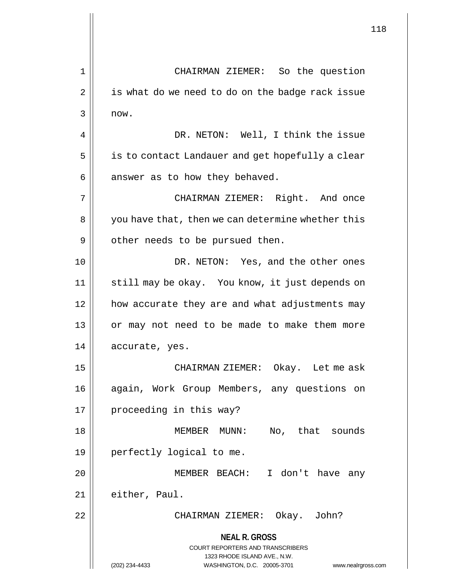**NEAL R. GROSS** COURT REPORTERS AND TRANSCRIBERS 1323 RHODE ISLAND AVE., N.W. (202) 234-4433 WASHINGTON, D.C. 20005-3701 www.nealrgross.com 1 CHAIRMAN ZIEMER: So the question  $2 \parallel$  is what do we need to do on the badge rack issue 3 now. 4 || DR. NETON: Well, I think the issue 5 | is to contact Landauer and get hopefully a clear  $6 \parallel$  answer as to how they behaved. 7 CHAIRMAN ZIEMER: Right. And once 8 || you have that, then we can determine whether this 9 | other needs to be pursued then. 10 DR. NETON: Yes, and the other ones 11 || still may be okay. You know, it just depends on 12 how accurate they are and what adjustments may 13 || or may not need to be made to make them more 14 | accurate, yes. 15 CHAIRMAN ZIEMER: Okay. Let me ask 16 again, Work Group Members, any questions on 17 || proceeding in this way? 18 MEMBER MUNN: No, that sounds 19 perfectly logical to me. 20 MEMBER BEACH: I don't have any  $21$  || either, Paul. 22 CHAIRMAN ZIEMER: Okay. John?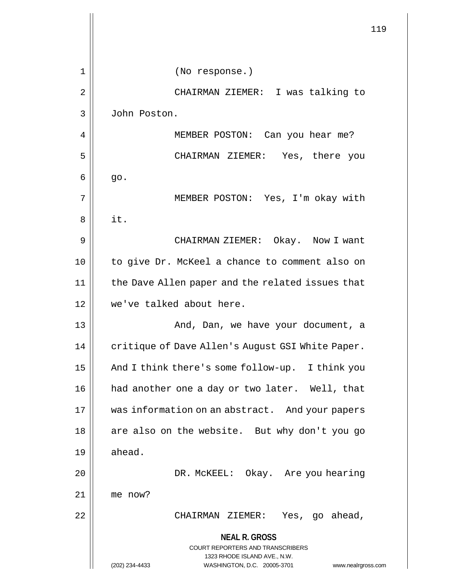|    |                                                                                                                                                | 119 |
|----|------------------------------------------------------------------------------------------------------------------------------------------------|-----|
|    |                                                                                                                                                |     |
| 1  | (No response.)                                                                                                                                 |     |
| 2  | CHAIRMAN ZIEMER: I was talking to                                                                                                              |     |
| 3  | John Poston.                                                                                                                                   |     |
| 4  | MEMBER POSTON: Can you hear me?                                                                                                                |     |
| 5  | CHAIRMAN ZIEMER: Yes, there you                                                                                                                |     |
| 6  | go.                                                                                                                                            |     |
| 7  | MEMBER POSTON: Yes, I'm okay with                                                                                                              |     |
| 8  | it.                                                                                                                                            |     |
| 9  | CHAIRMAN ZIEMER: Okay. Now I want                                                                                                              |     |
| 10 | to give Dr. McKeel a chance to comment also on                                                                                                 |     |
| 11 | the Dave Allen paper and the related issues that                                                                                               |     |
| 12 | we've talked about here.                                                                                                                       |     |
| 13 | And, Dan, we have your document, a                                                                                                             |     |
| 14 | critique of Dave Allen's August GSI White Paper.                                                                                               |     |
| 15 | And I think there's some follow-up. I think you                                                                                                |     |
| 16 | had another one a day or two later. Well, that                                                                                                 |     |
| 17 | was information on an abstract. And your papers                                                                                                |     |
| 18 | are also on the website. But why don't you go                                                                                                  |     |
| 19 | ahead.                                                                                                                                         |     |
| 20 | DR. MCKEEL: Okay. Are you hearing                                                                                                              |     |
| 21 | me now?                                                                                                                                        |     |
| 22 | CHAIRMAN ZIEMER: Yes, go ahead,                                                                                                                |     |
|    | <b>NEAL R. GROSS</b>                                                                                                                           |     |
|    | <b>COURT REPORTERS AND TRANSCRIBERS</b><br>1323 RHODE ISLAND AVE., N.W.<br>(202) 234-4433<br>WASHINGTON, D.C. 20005-3701<br>www.nealrgross.com |     |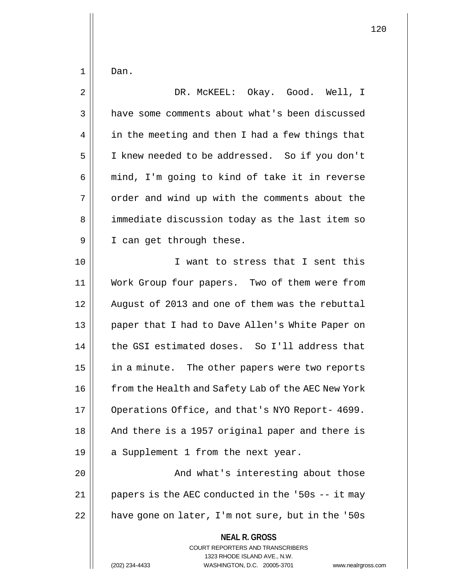$1 \parallel$  Dan.

| $\overline{2}$ | DR. MCKEEL: Okay. Good. Well, I                                                                                                                                 |
|----------------|-----------------------------------------------------------------------------------------------------------------------------------------------------------------|
| $\mathfrak{Z}$ | have some comments about what's been discussed                                                                                                                  |
| 4              | in the meeting and then I had a few things that                                                                                                                 |
| 5              | I knew needed to be addressed. So if you don't                                                                                                                  |
| 6              | mind, I'm going to kind of take it in reverse                                                                                                                   |
| 7              | order and wind up with the comments about the                                                                                                                   |
| 8              | immediate discussion today as the last item so                                                                                                                  |
| 9              | I can get through these.                                                                                                                                        |
| 10             | I want to stress that I sent this                                                                                                                               |
| 11             | Work Group four papers. Two of them were from                                                                                                                   |
| 12             | August of 2013 and one of them was the rebuttal                                                                                                                 |
| 13             | paper that I had to Dave Allen's White Paper on                                                                                                                 |
| 14             | the GSI estimated doses. So I'll address that                                                                                                                   |
| 15             | in a minute. The other papers were two reports                                                                                                                  |
| 16             | from the Health and Safety Lab of the AEC New York                                                                                                              |
| 17             | Operations Office, and that's NYO Report- 4699.                                                                                                                 |
| 18             | And there is a 1957 original paper and there is                                                                                                                 |
| 19             | a Supplement 1 from the next year.                                                                                                                              |
| 20             | And what's interesting about those                                                                                                                              |
| 21             | papers is the AEC conducted in the '50s -- it may                                                                                                               |
| 22             | have gone on later, I'm not sure, but in the '50s                                                                                                               |
|                | <b>NEAL R. GROSS</b><br>COURT REPORTERS AND TRANSCRIBERS<br>1323 RHODE ISLAND AVE., N.W.<br>(202) 234-4433<br>WASHINGTON, D.C. 20005-3701<br>www.nealrgross.com |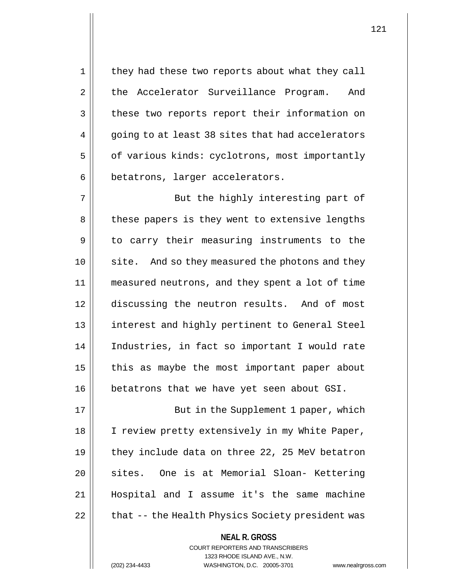1 || they had these two reports about what they call 2 | the Accelerator Surveillance Program. And 3 | these two reports report their information on 4 || going to at least 38 sites that had accelerators 5 | of various kinds: cyclotrons, most importantly 6 | betatrons, larger accelerators.

7 || But the highly interesting part of 8 || these papers is they went to extensive lengths 9 || to carry their measuring instruments to the 10 || site. And so they measured the photons and they 11 measured neutrons, and they spent a lot of time 12 discussing the neutron results. And of most 13 interest and highly pertinent to General Steel 14 Industries, in fact so important I would rate  $15$  | this as maybe the most important paper about 16 || betatrons that we have yet seen about GSI.

17 || But in the Supplement 1 paper, which 18 || I review pretty extensively in my White Paper, 19  $\parallel$  they include data on three 22, 25 MeV betatron 20 || sites. One is at Memorial Sloan- Kettering 21 Hospital and I assume it's the same machine 22 | that -- the Health Physics Society president was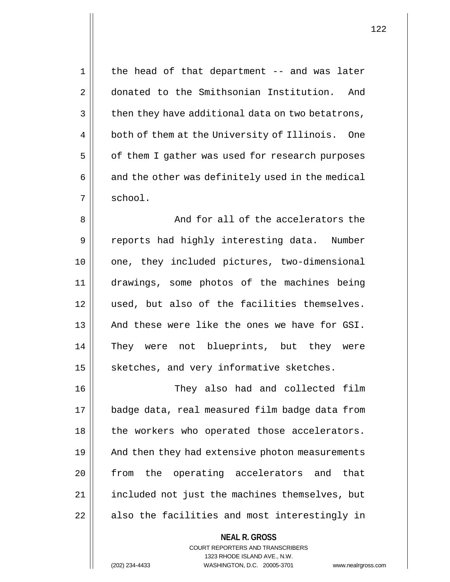1 || the head of that department -- and was later 2 donated to the Smithsonian Institution. And  $3 \parallel$  then they have additional data on two betatrons, 4 | both of them at the University of Illinois. One 5 | of them I gather was used for research purposes  $6 \parallel$  and the other was definitely used in the medical  $7 \parallel$  school. 8 || And for all of the accelerators the 9 || reports had highly interesting data. Number 10 || one, they included pictures, two-dimensional 11 drawings, some photos of the machines being 12 || used, but also of the facilities themselves. 13 || And these were like the ones we have for GSI. 14 They were not blueprints, but they were

15 | sketches, and very informative sketches.

16 They also had and collected film 17 badge data, real measured film badge data from 18 || the workers who operated those accelerators. 19 || And then they had extensive photon measurements 20 || from the operating accelerators and that 21 || included not just the machines themselves, but  $22$  || also the facilities and most interestingly in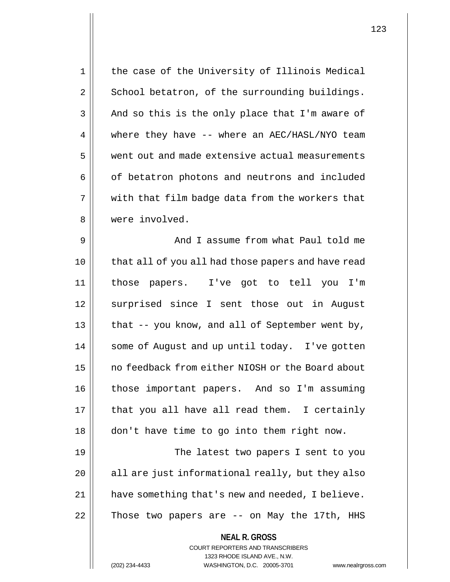| $\mathbf 1$    | the case of the University of Illinois Medical                                                                                                                     |
|----------------|--------------------------------------------------------------------------------------------------------------------------------------------------------------------|
| $\overline{2}$ | School betatron, of the surrounding buildings.                                                                                                                     |
| 3              | And so this is the only place that I'm aware of                                                                                                                    |
| 4              | where they have -- where an AEC/HASL/NYO team                                                                                                                      |
| 5              | went out and made extensive actual measurements                                                                                                                    |
| 6              | of betatron photons and neutrons and included                                                                                                                      |
| 7              | with that film badge data from the workers that                                                                                                                    |
| 8              | were involved.                                                                                                                                                     |
| 9              | And I assume from what Paul told me                                                                                                                                |
| 10             | that all of you all had those papers and have read                                                                                                                 |
| 11             | those papers. I've got to tell you I'm                                                                                                                             |
| 12             | surprised since I sent those out in August                                                                                                                         |
| 13             | that -- you know, and all of September went by,                                                                                                                    |
| 14             | some of August and up until today. I've gotten                                                                                                                     |
| 15             | no feedback from either NIOSH or the Board about                                                                                                                   |
| 16             | those important papers. And so I'm assuming                                                                                                                        |
| 17             | that you all have all read them. I certainly                                                                                                                       |
| 18             | don't have time to go into them right now.                                                                                                                         |
| 19             | The latest two papers I sent to you                                                                                                                                |
| 20             | all are just informational really, but they also                                                                                                                   |
| 21             | have something that's new and needed, I believe.                                                                                                                   |
| 22             | Those two papers are -- on May the 17th, HHS                                                                                                                       |
|                | <b>NEAL R. GROSS</b><br><b>COURT REPORTERS AND TRANSCRIBERS</b><br>1323 RHODE ISLAND AVE., N.W.<br>(202) 234-4433<br>WASHINGTON, D.C. 20005-3701<br>www.nealrgross |

(202) 234-4433 WASHINGTON, D.C. 20005-3701 www.nealrgross.com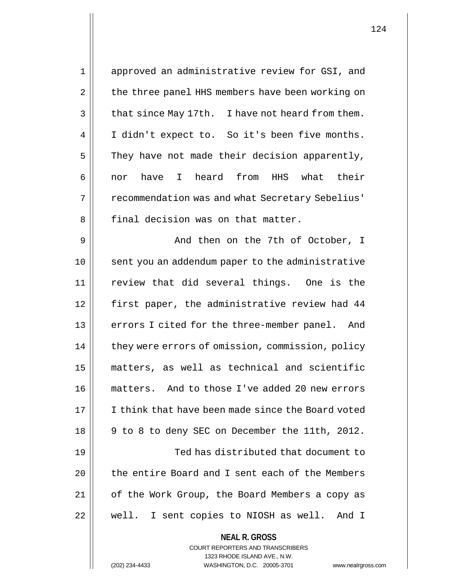| $\mathbf 1$ | approved an administrative review for GSI, and    |
|-------------|---------------------------------------------------|
| 2           | the three panel HHS members have been working on  |
| 3           | that since May 17th. I have not heard from them.  |
| 4           | I didn't expect to. So it's been five months.     |
| 5           | They have not made their decision apparently,     |
| 6           | have I heard from HHS what their<br>nor           |
| 7           | recommendation was and what Secretary Sebelius'   |
| 8           | final decision was on that matter.                |
| 9           | And then on the 7th of October, I                 |
| 10          | sent you an addendum paper to the administrative  |
| 11          | review that did several things. One is the        |
| 12          | first paper, the administrative review had 44     |
| 13          | errors I cited for the three-member panel. And    |
| 14          | they were errors of omission, commission, policy  |
| 15          | matters, as well as technical and scientific      |
| 16          | matters. And to those I've added 20 new errors    |
| 17          | I think that have been made since the Board voted |
| 18          | 9 to 8 to deny SEC on December the 11th, 2012.    |
| 19          | Ted has distributed that document to              |
| 20          | the entire Board and I sent each of the Members   |
| 21          | of the Work Group, the Board Members a copy as    |
| 22          | well. I sent copies to NIOSH as well. And I       |
|             | <b>NEAL R. GROSS</b>                              |

COURT REPORTERS AND TRANSCRIBERS 1323 RHODE ISLAND AVE., N.W.

(202) 234-4433 WASHINGTON, D.C. 20005-3701 www.nealrgross.com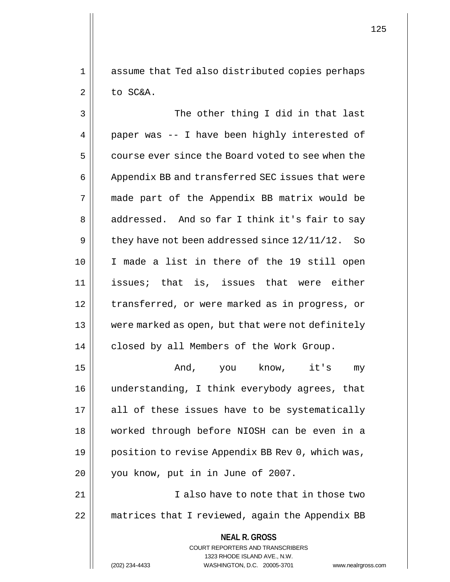1 || assume that Ted also distributed copies perhaps  $2 \parallel$  to SC&A.

3 || The other thing I did in that last  $4 \parallel$  paper was -- I have been highly interested of 5 course ever since the Board voted to see when the 6 | Appendix BB and transferred SEC issues that were 7 made part of the Appendix BB matrix would be 8 || addressed. And so far I think it's fair to say 9  $\parallel$  they have not been addressed since  $12/11/12$ . So 10 I made a list in there of the 19 still open 11 issues; that is, issues that were either 12 || transferred, or were marked as in progress, or 13 were marked as open, but that were not definitely 14 | closed by all Members of the Work Group.

 And, you know, it's my understanding, I think everybody agrees, that || all of these issues have to be systematically worked through before NIOSH can be even in a 19 || position to revise Appendix BB Rev 0, which was, 20 || you know, put in in June of 2007.

21 | **I** also have to note that in those two 22 | matrices that I reviewed, again the Appendix BB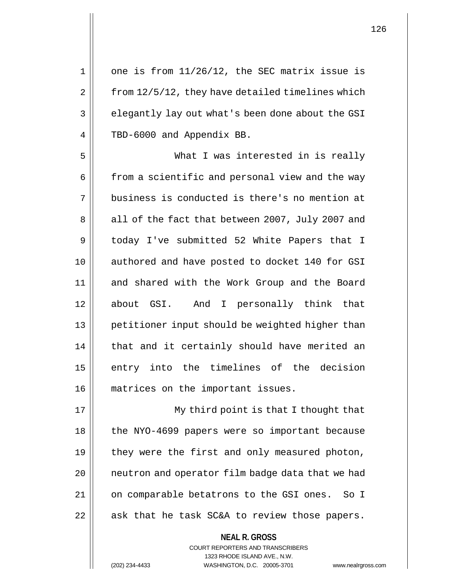$1 \parallel$  one is from  $11/26/12$ , the SEC matrix issue is  $2 \parallel$  from 12/5/12, they have detailed timelines which 3 elegantly lay out what's been done about the GSI 4 | TBD-6000 and Appendix BB. 5 What I was interested in is really 6 | from a scientific and personal view and the way 7 || business is conducted is there's no mention at 8 all of the fact that between 2007, July 2007 and 9 today I've submitted 52 White Papers that I 10 || authored and have posted to docket 140 for GSI 11 || and shared with the Work Group and the Board 12 about GSI. And I personally think that 13 || petitioner input should be weighted higher than  $14$  | that and it certainly should have merited an 15 || entry into the timelines of the decision 16 || matrices on the important issues. 17 || My third point is that I thought that

18 || the NYO-4699 papers were so important because 19  $\parallel$  they were the first and only measured photon, 20 || neutron and operator film badge data that we had 21 || on comparable betatrons to the GSI ones. So I  $22$  || ask that he task SC&A to review those papers.

> COURT REPORTERS AND TRANSCRIBERS 1323 RHODE ISLAND AVE., N.W. (202) 234-4433 WASHINGTON, D.C. 20005-3701 www.nealrgross.com

**NEAL R. GROSS**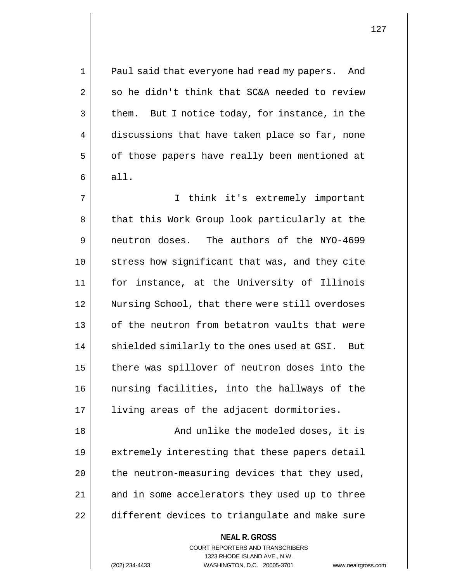1 || Paul said that everyone had read my papers. And  $2 \parallel$  so he didn't think that SC&A needed to review  $3 \parallel$  them. But I notice today, for instance, in the 4 discussions that have taken place so far, none 5 | of those papers have really been mentioned at  $6 \parallel$  all.

7 I think it's extremely important 8 || that this Work Group look particularly at the 9 neutron doses. The authors of the NYO-4699 10 stress how significant that was, and they cite 11 for instance, at the University of Illinois 12 Nursing School, that there were still overdoses 13 || of the neutron from betatron vaults that were 14 || shielded similarly to the ones used at GSI. But 15 | there was spillover of neutron doses into the 16 nursing facilities, into the hallways of the 17 || living areas of the adjacent dormitories.

18 And unlike the modeled doses, it is 19 || extremely interesting that these papers detail  $20$  || the neutron-measuring devices that they used, 21 || and in some accelerators they used up to three 22 | different devices to triangulate and make sure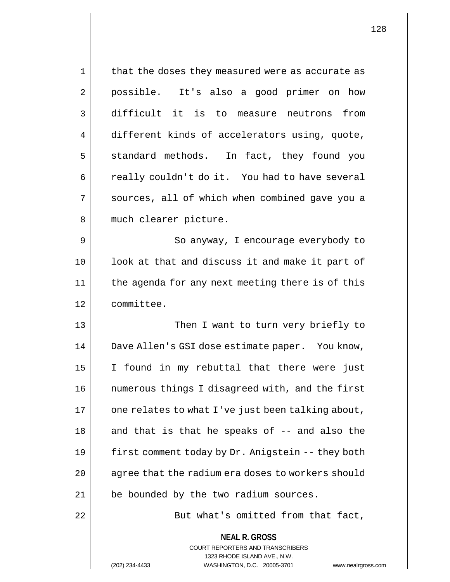| 1  | that the doses they measured were as accurate as                                                                                                                       |
|----|------------------------------------------------------------------------------------------------------------------------------------------------------------------------|
| 2  | possible. It's also a good primer on how                                                                                                                               |
| 3  | difficult it is to measure neutrons<br>from                                                                                                                            |
| 4  | different kinds of accelerators using, quote,                                                                                                                          |
| 5  | standard methods. In fact, they found you                                                                                                                              |
| 6  | really couldn't do it. You had to have several                                                                                                                         |
| 7  | sources, all of which when combined gave you a                                                                                                                         |
| 8  | much clearer picture.                                                                                                                                                  |
| 9  | So anyway, I encourage everybody to                                                                                                                                    |
| 10 | look at that and discuss it and make it part of                                                                                                                        |
| 11 | the agenda for any next meeting there is of this                                                                                                                       |
| 12 | committee.                                                                                                                                                             |
| 13 | Then I want to turn very briefly to                                                                                                                                    |
| 14 | Dave Allen's GSI dose estimate paper. You know,                                                                                                                        |
| 15 | I found in my rebuttal that there were just                                                                                                                            |
| 16 | numerous things I disagreed with, and the first                                                                                                                        |
| 17 | one relates to what I've just been talking about,                                                                                                                      |
| 18 | and that is that he speaks of -- and also the                                                                                                                          |
| 19 | first comment today by Dr. Anigstein -- they both                                                                                                                      |
| 20 | agree that the radium era doses to workers should                                                                                                                      |
| 21 | be bounded by the two radium sources.                                                                                                                                  |
| 22 | But what's omitted from that fact,                                                                                                                                     |
|    | <b>NEAL R. GROSS</b><br><b>COURT REPORTERS AND TRANSCRIBERS</b><br>1323 RHODE ISLAND AVE., N.W.<br>(202) 234-4433<br>WASHINGTON, D.C. 20005-3701<br>www.nealrgross.com |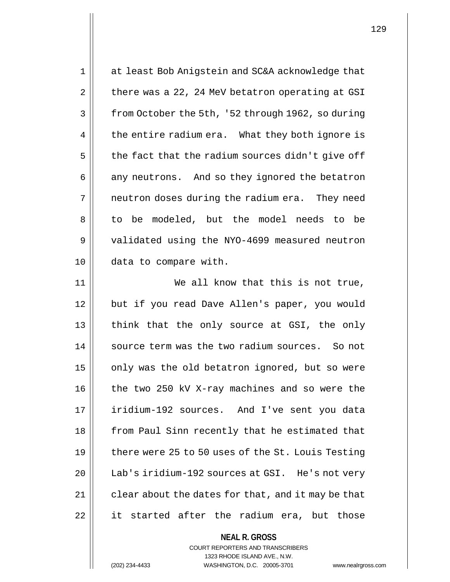| 1  | at least Bob Anigstein and SC&A acknowledge that   |
|----|----------------------------------------------------|
| 2  | there was a 22, 24 MeV betatron operating at GSI   |
| 3  | from October the 5th, '52 through 1962, so during  |
| 4  | the entire radium era. What they both ignore is    |
| 5  | the fact that the radium sources didn't give off   |
| 6  | any neutrons. And so they ignored the betatron     |
| 7  | neutron doses during the radium era. They need     |
| 8  | to be modeled, but the model needs to be           |
| 9  | validated using the NYO-4699 measured neutron      |
| 10 | data to compare with.                              |
| 11 | We all know that this is not true,                 |
| 12 | but if you read Dave Allen's paper, you would      |
| 13 | think that the only source at GSI, the only        |
| 14 | source term was the two radium sources. So not     |
| 15 | only was the old betatron ignored, but so were     |
| 16 | the two 250 kV X-ray machines and so were the      |
| 17 | iridium-192 sources. And I've sent you data        |
| 18 | from Paul Sinn recently that he estimated that     |
| 19 | there were 25 to 50 uses of the St. Louis Testing  |
| 20 | Lab's iridium-192 sources at GSI. He's not very    |
| 21 | clear about the dates for that, and it may be that |
| 22 | it started after the radium era, but those         |
|    | <b>NEAL R. GROSS</b>                               |

COURT REPORTERS AND TRANSCRIBERS 1323 RHODE ISLAND AVE., N.W.

(202) 234-4433 WASHINGTON, D.C. 20005-3701 www.nealrgross.com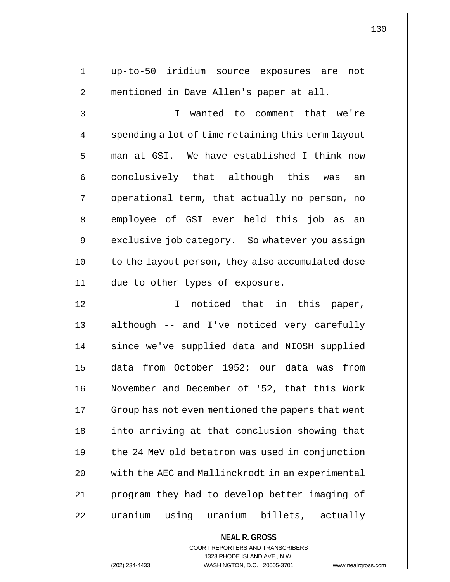1 up-to-50 iridium source exposures are not 2 | mentioned in Dave Allen's paper at all. 3 I wanted to comment that we're 4 | spending a lot of time retaining this term layout 5 man at GSI. We have established I think now 6 || conclusively that although this was an  $7 \parallel$  operational term, that actually no person, no 8 employee of GSI ever held this job as an 9 exclusive job category. So whatever you assign 10 || to the layout person, they also accumulated dose 11 || due to other types of exposure. 12 || T noticed that in this paper, 13 || although -- and I've noticed very carefully 14 || since we've supplied data and NIOSH supplied 15 data from October 1952; our data was from 16 November and December of '52, that this Work 17 | Group has not even mentioned the papers that went 18 || into arriving at that conclusion showing that  $19$  | the 24 MeV old betatron was used in conjunction 20 with the AEC and Mallinckrodt in an experimental 21 program they had to develop better imaging of 22 || uranium using uranium billets, actually

> **NEAL R. GROSS** COURT REPORTERS AND TRANSCRIBERS 1323 RHODE ISLAND AVE., N.W. (202) 234-4433 WASHINGTON, D.C. 20005-3701 www.nealrgross.com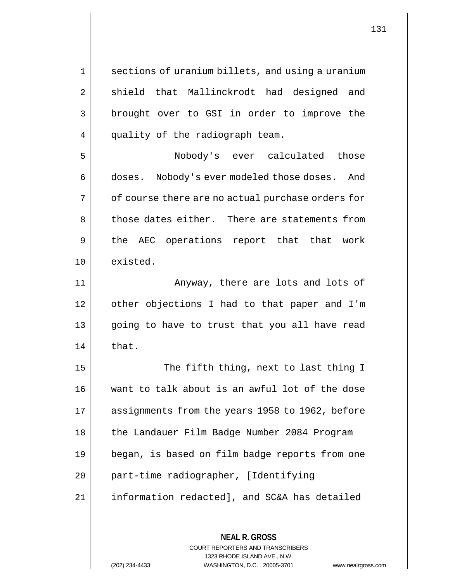1 | sections of uranium billets, and using a uranium 2 || shield that Mallinckrodt had designed and 3 || brought over to GSI in order to improve the 4 | quality of the radiograph team.

5 Nobody's ever calculated those 6 doses. Nobody's ever modeled those doses. And  $7 \parallel$  of course there are no actual purchase orders for 8 those dates either. There are statements from 9 || the AEC operations report that that work 10 existed.

11 Anyway, there are lots and lots of 12 | other objections I had to that paper and I'm 13 || going to have to trust that you all have read  $14$   $\parallel$  that.

15 || The fifth thing, next to last thing I 16 want to talk about is an awful lot of the dose 17 assignments from the years 1958 to 1962, before 18 | the Landauer Film Badge Number 2084 Program 19 began, is based on film badge reports from one 20 | part-time radiographer, [Identifying 21 information redacted], and SC&A has detailed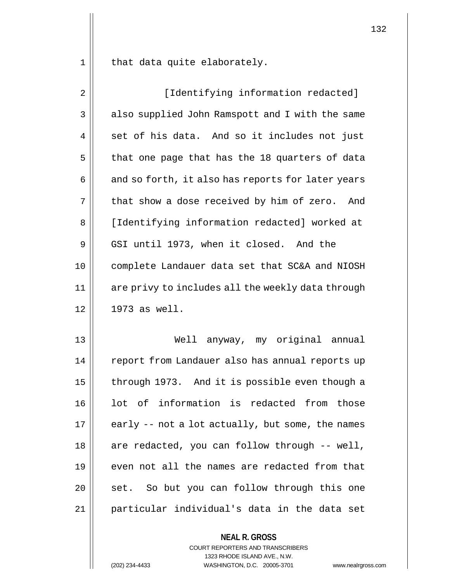that data quite elaborately.

| $\overline{2}$ | [Identifying information redacted]                |
|----------------|---------------------------------------------------|
| 3              | also supplied John Ramspott and I with the same   |
| 4              | set of his data. And so it includes not just      |
| 5              | that one page that has the 18 quarters of data    |
| 6              | and so forth, it also has reports for later years |
| 7              | that show a dose received by him of zero. And     |
| 8              | [Identifying information redacted] worked at      |
| 9              | GSI until 1973, when it closed. And the           |
| 10             | complete Landauer data set that SC&A and NIOSH    |
| 11             | are privy to includes all the weekly data through |
| 12             | $1973$ as well.                                   |
| 13             | Well anyway, my original annual                   |
| 14             | report from Landauer also has annual reports up   |
| 15             | through 1973. And it is possible even though a    |
| 16             | lot of information is redacted from those         |
| 17             | early -- not a lot actually, but some, the names  |
| 18             | are redacted, you can follow through -- well,     |
| 19             | even not all the names are redacted from that     |
| 20             | So but you can follow through this one<br>set.    |
| 21             | particular individual's data in the data set      |
|                | <b>NEAL R. GROSS</b>                              |

COURT REPORTERS AND TRANSCRIBERS 1323 RHODE ISLAND AVE., N.W.

(202) 234-4433 WASHINGTON, D.C. 20005-3701 www.nealrgross.com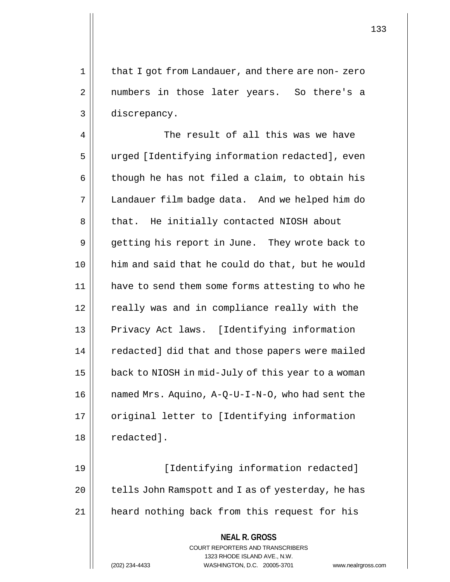1 || that I got from Landauer, and there are non-zero 2 || numbers in those later years. So there's a 3 discrepancy.

4 || The result of all this was we have 5 || urged [Identifying information redacted], even  $6 \parallel$  though he has not filed a claim, to obtain his 7 Landauer film badge data. And we helped him do 8 || that. He initially contacted NIOSH about 9 || getting his report in June. They wrote back to 10 him and said that he could do that, but he would 11 | have to send them some forms attesting to who he  $12$   $\parallel$  really was and in compliance really with the 13 || Privacy Act laws. [Identifying information 14 | redacted] did that and those papers were mailed 15 | back to NIOSH in mid-July of this year to a woman 16  $\parallel$  named Mrs. Aquino, A-Q-U-I-N-O, who had sent the 17 | original letter to [Identifying information 18 | redacted].

19 || [Identifying information redacted]  $20$  | tells John Ramspott and I as of yesterday, he has 21 heard nothing back from this request for his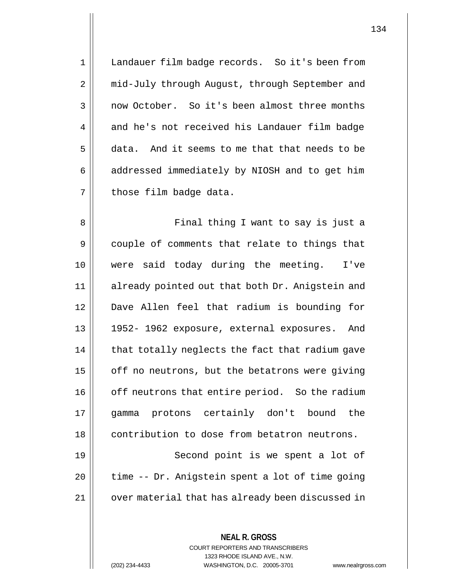1 | Landauer film badge records. So it's been from 2 | mid-July through August, through September and 3 | now October. So it's been almost three months  $4 \parallel$  and he's not received his Landauer film badge 5 data. And it seems to me that that needs to be  $6 \parallel$  addressed immediately by NIOSH and to get him  $7$  | those film badge data.

8 || Final thing I want to say is just a 9 couple of comments that relate to things that 10 were said today during the meeting. I've 11 || already pointed out that both Dr. Anigstein and 12 Dave Allen feel that radium is bounding for 13 1952- 1962 exposure, external exposures. And  $14$  | that totally neglects the fact that radium gave 15 | off no neutrons, but the betatrons were giving 16 | off neutrons that entire period. So the radium 17 gamma protons certainly don't bound the 18 contribution to dose from betatron neutrons. 19 || Second point is we spent a lot of  $20$  | time -- Dr. Anigstein spent a lot of time going 21 | over material that has already been discussed in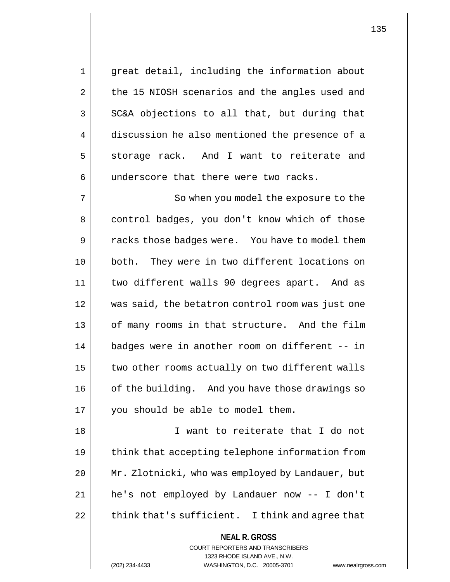1 great detail, including the information about  $2 \parallel$  the 15 NIOSH scenarios and the angles used and  $3 \parallel$  SC&A objections to all that, but during that 4 discussion he also mentioned the presence of a  $5 \parallel$  storage rack. And I want to reiterate and  $6$  || underscore that there were two racks.

7 || So when you model the exposure to the 8 | control badges, you don't know which of those 9 || racks those badges were. You have to model them 10 both. They were in two different locations on 11 two different walls 90 degrees apart. And as 12 was said, the betatron control room was just one 13 || of many rooms in that structure. And the film 14 badges were in another room on different -- in  $15$   $\parallel$  two other rooms actually on two different walls 16 | of the building. And you have those drawings so 17 || you should be able to model them.

 I want to reiterate that I do not 19 || think that accepting telephone information from Mr. Zlotnicki, who was employed by Landauer, but he's not employed by Landauer now -- I don't  $\parallel$  think that's sufficient. I think and agree that

## **NEAL R. GROSS** COURT REPORTERS AND TRANSCRIBERS

1323 RHODE ISLAND AVE., N.W.

(202) 234-4433 WASHINGTON, D.C. 20005-3701 www.nealrgross.com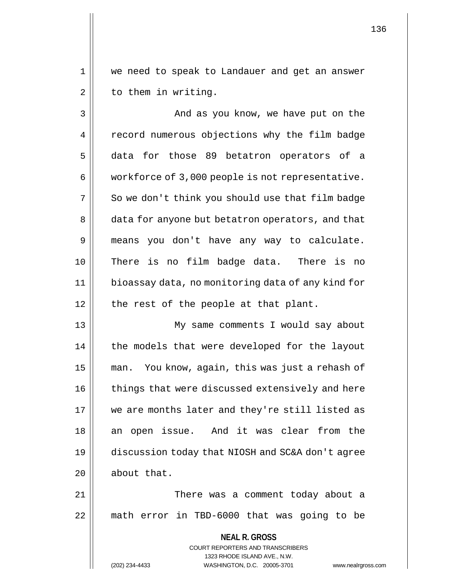1 we need to speak to Landauer and get an answer  $2 \parallel$  to them in writing.

3 And as you know, we have put on the 4 | record numerous objections why the film badge 5 data for those 89 betatron operators of a 6 | workforce of 3,000 people is not representative.  $7 \parallel$  So we don't think you should use that film badge 8 | data for anyone but betatron operators, and that 9 means you don't have any way to calculate. 10 There is no film badge data. There is no 11 bioassay data, no monitoring data of any kind for  $12$  || the rest of the people at that plant.

 My same comments I would say about 14 || the models that were developed for the layout man. You know, again, this was just a rehash of 16 | things that were discussed extensively and here we are months later and they're still listed as 18 an open issue. And it was clear from the discussion today that NIOSH and SC&A don't agree | about that.

21 There was a comment today about a 22 math error in TBD-6000 that was going to be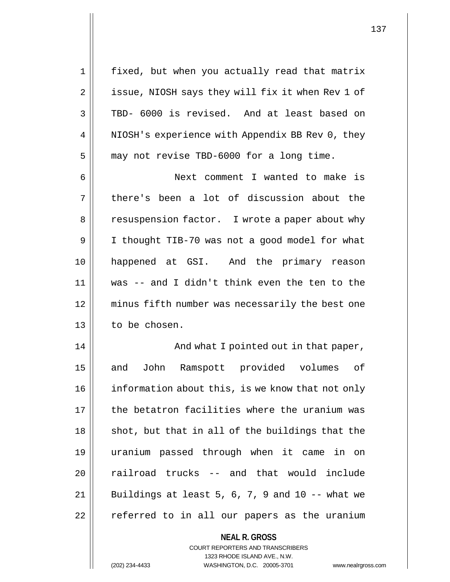1 || fixed, but when you actually read that matrix 2 | issue, NIOSH says they will fix it when Rev 1 of 3 TBD- 6000 is revised. And at least based on 4 | NIOSH's experience with Appendix BB Rev 0, they 5 | may not revise TBD-6000 for a long time.

6 Next comment I wanted to make is 7 || there's been a lot of discussion about the 8 | resuspension factor. I wrote a paper about why 9 | I thought TIB-70 was not a good model for what 10 happened at GSI. And the primary reason 11 was -- and I didn't think even the ten to the 12 minus fifth number was necessarily the best one 13 | to be chosen.

14 || And what I pointed out in that paper, 15 || and John Ramspott provided volumes of 16 | information about this, is we know that not only 17 the betatron facilities where the uranium was  $18$  || shot, but that in all of the buildings that the 19 uranium passed through when it came in on 20 || railroad trucks -- and that would include  $21$  | Buildings at least 5, 6, 7, 9 and 10 -- what we 22 || referred to in all our papers as the uranium

> **NEAL R. GROSS** COURT REPORTERS AND TRANSCRIBERS 1323 RHODE ISLAND AVE., N.W. (202) 234-4433 WASHINGTON, D.C. 20005-3701 www.nealrgross.com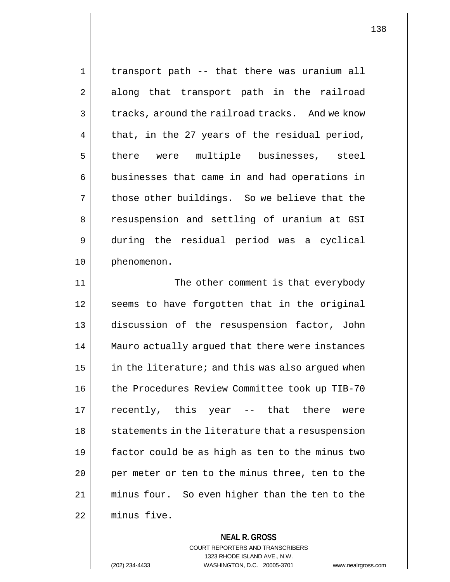1 || transport path -- that there was uranium all 2 along that transport path in the railroad  $3 \parallel$  tracks, around the railroad tracks. And we know  $4 \parallel$  that, in the 27 years of the residual period, 5 || there were multiple businesses, steel 6 | businesses that came in and had operations in  $7 \parallel$  those other buildings. So we believe that the 8 || resuspension and settling of uranium at GSI 9 during the residual period was a cyclical 10 | phenomenon.

11 || The other comment is that everybody 12 || seems to have forgotten that in the original 13 discussion of the resuspension factor, John 14 Mauro actually argued that there were instances 15  $\parallel$  in the literature; and this was also argued when 16 | the Procedures Review Committee took up TIB-70 17 || recently, this year -- that there were 18 || statements in the literature that a resuspension 19  $\parallel$  factor could be as high as ten to the minus two 20 || per meter or ten to the minus three, ten to the 21 minus four. So even higher than the ten to the 22 minus five.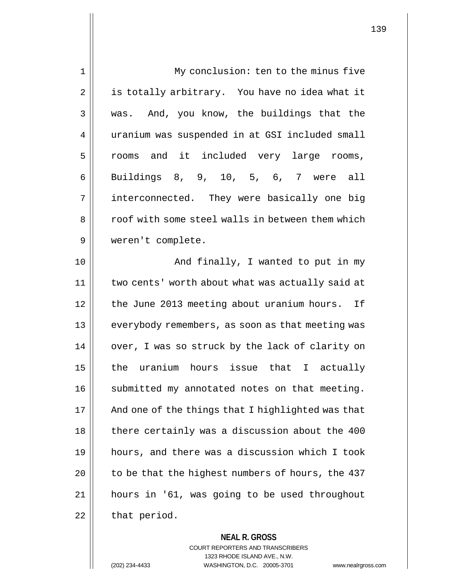| $\mathbf 1$ | My conclusion: ten to the minus five              |
|-------------|---------------------------------------------------|
| 2           | is totally arbitrary. You have no idea what it    |
| 3           | was. And, you know, the buildings that the        |
| 4           | uranium was suspended in at GSI included small    |
| 5           | rooms and it included very large rooms,           |
| 6           | Buildings 8, 9, 10, 5, 6, 7 were all              |
| 7           | interconnected. They were basically one big       |
| 8           | roof with some steel walls in between them which  |
| 9           | weren't complete.                                 |
| 10          | And finally, I wanted to put in my                |
| 11          | two cents' worth about what was actually said at  |
| 12          | the June 2013 meeting about uranium hours. If     |
| 13          | everybody remembers, as soon as that meeting was  |
| 14          | over, I was so struck by the lack of clarity on   |
| 15          | the uranium hours issue that I actually           |
| 16          | submitted my annotated notes on that meeting.     |
| 17          | And one of the things that I highlighted was that |
| 18          | there certainly was a discussion about the 400    |
| 19          | hours, and there was a discussion which I took    |
| 20          | to be that the highest numbers of hours, the 437  |
| 21          | hours in '61, was going to be used throughout     |
| 22          | that period.                                      |
|             |                                                   |

**NEAL R. GROSS** COURT REPORTERS AND TRANSCRIBERS 1323 RHODE ISLAND AVE., N.W. (202) 234-4433 WASHINGTON, D.C. 20005-3701 www.nealrgross.com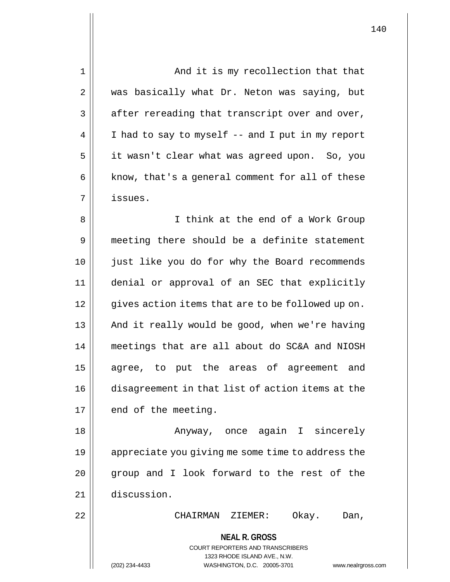| 1  | And it is my recollection that that                                                                                                                                    |
|----|------------------------------------------------------------------------------------------------------------------------------------------------------------------------|
| 2  | was basically what Dr. Neton was saying, but                                                                                                                           |
| 3  | after rereading that transcript over and over,                                                                                                                         |
| 4  | I had to say to myself -- and I put in my report                                                                                                                       |
| 5  | it wasn't clear what was agreed upon. So, you                                                                                                                          |
| 6  | know, that's a general comment for all of these                                                                                                                        |
| 7  | issues.                                                                                                                                                                |
| 8  | I think at the end of a Work Group                                                                                                                                     |
| 9  | meeting there should be a definite statement                                                                                                                           |
| 10 | just like you do for why the Board recommends                                                                                                                          |
| 11 | denial or approval of an SEC that explicitly                                                                                                                           |
| 12 | gives action items that are to be followed up on.                                                                                                                      |
| 13 | And it really would be good, when we're having                                                                                                                         |
| 14 | meetings that are all about do SC&A and NIOSH                                                                                                                          |
| 15 | agree, to put the areas of agreement and                                                                                                                               |
| 16 | disagreement in that list of action items at the                                                                                                                       |
| 17 | end of the meeting.                                                                                                                                                    |
| 18 | Anyway, once again I sincerely                                                                                                                                         |
| 19 | appreciate you giving me some time to address the                                                                                                                      |
| 20 | group and I look forward to the rest of the                                                                                                                            |
| 21 | discussion.                                                                                                                                                            |
| 22 | Okay.<br>CHAIRMAN ZIEMER:<br>Dan,                                                                                                                                      |
|    | <b>NEAL R. GROSS</b><br><b>COURT REPORTERS AND TRANSCRIBERS</b><br>1323 RHODE ISLAND AVE., N.W.<br>(202) 234-4433<br>WASHINGTON, D.C. 20005-3701<br>www.nealrgross.com |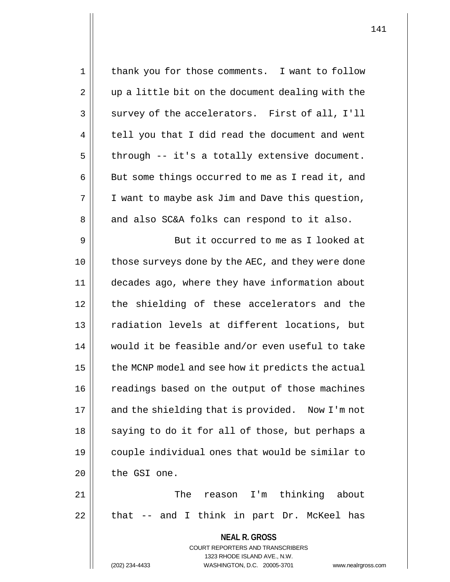**NEAL R. GROSS** COURT REPORTERS AND TRANSCRIBERS 1323 RHODE ISLAND AVE., N.W. (202) 234-4433 WASHINGTON, D.C. 20005-3701 www.nealrgross.com 1 || thank you for those comments. I want to follow 2 || up a little bit on the document dealing with the  $3 \parallel$  survey of the accelerators. First of all, I'll  $4 \parallel$  tell you that I did read the document and went  $5 \parallel$  through -- it's a totally extensive document.  $6 \parallel$  But some things occurred to me as I read it, and  $7 \parallel$  I want to maybe ask Jim and Dave this question, 8 and also SC&A folks can respond to it also. 9 But it occurred to me as I looked at 10 || those surveys done by the AEC, and they were done 11 decades ago, where they have information about 12 || the shielding of these accelerators and the 13 || radiation levels at different locations, but 14 would it be feasible and/or even useful to take  $15$  | the MCNP model and see how it predicts the actual 16 | readings based on the output of those machines 17 || and the shielding that is provided. Now I'm not  $18$  || saying to do it for all of those, but perhaps a 19 couple individual ones that would be similar to  $20$  | the GSI one. 21 The reason I'm thinking about  $22$  || that  $-$  and I think in part Dr. McKeel has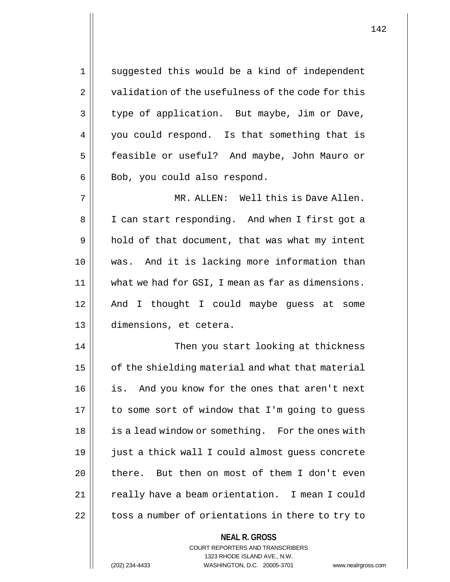1 || suggested this would be a kind of independent 2 | validation of the usefulness of the code for this 3 | type of application. But maybe, Jim or Dave, 4 || you could respond. Is that something that is 5 | feasible or useful? And maybe, John Mauro or 6 || Bob, you could also respond. 7 MR. ALLEN: Well this is Dave Allen. 8 || I can start responding. And when I first got a 9 || hold of that document, that was what my intent 10 was. And it is lacking more information than 11 | what we had for GSI, I mean as far as dimensions. 12 || And I thought I could maybe guess at some

14 || Then you start looking at thickness  $15$  |  $\sigma$  of the shielding material and what that material 16 || is. And you know for the ones that aren't next 17 | to some sort of window that I'm going to guess 18 || is a lead window or something. For the ones with 19 just a thick wall I could almost guess concrete 20 || there. But then on most of them I don't even 21 || really have a beam orientation. I mean I could 22 | toss a number of orientations in there to try to

## **NEAL R. GROSS** COURT REPORTERS AND TRANSCRIBERS 1323 RHODE ISLAND AVE., N.W. (202) 234-4433 WASHINGTON, D.C. 20005-3701 www.nealrgross.com

13 dimensions, et cetera.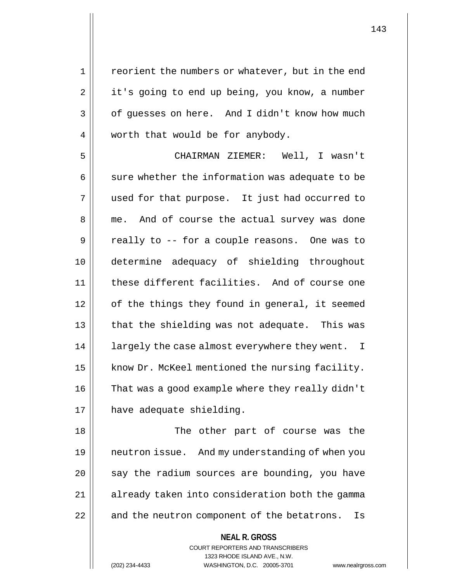1 || reorient the numbers or whatever, but in the end 2 | it's going to end up being, you know, a number  $3 \parallel$  of guesses on here. And I didn't know how much 4 worth that would be for anybody.

5 CHAIRMAN ZIEMER: Well, I wasn't  $6 \parallel$  sure whether the information was adequate to be 7 || used for that purpose. It just had occurred to 8 me. And of course the actual survey was done 9 || really to -- for a couple reasons. One was to 10 determine adequacy of shielding throughout 11 || these different facilities. And of course one  $12$  | of the things they found in general, it seemed 13 || that the shielding was not adequate. This was 14 || largely the case almost everywhere they went. I 15 | know Dr. McKeel mentioned the nursing facility. 16 | That was a good example where they really didn't 17 | have adequate shielding.

18 The other part of course was the 19 neutron issue. And my understanding of when you  $20$  || say the radium sources are bounding, you have 21 || already taken into consideration both the gamma 22 || and the neutron component of the betatrons. Is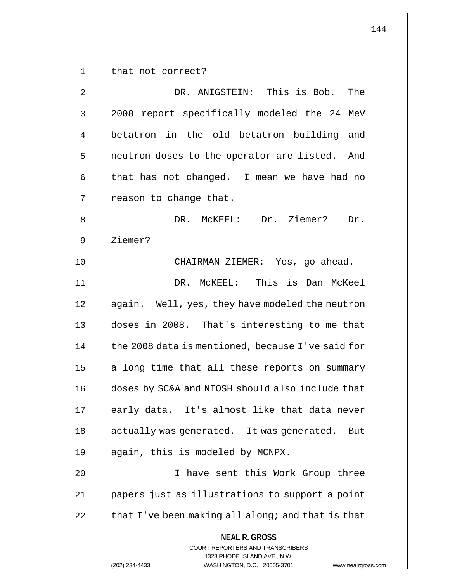1 | that not correct?

| $\overline{2}$ | DR. ANIGSTEIN: This is Bob.<br>The                                                                                                                                     |
|----------------|------------------------------------------------------------------------------------------------------------------------------------------------------------------------|
| 3              | 2008 report specifically modeled the 24 MeV                                                                                                                            |
| 4              | betatron in the old betatron building and                                                                                                                              |
| 5              | neutron doses to the operator are listed. And                                                                                                                          |
| 6              | that has not changed. I mean we have had no                                                                                                                            |
| 7              | reason to change that.                                                                                                                                                 |
| 8              | DR. McKEEL: Dr. Ziemer?<br>Dr.                                                                                                                                         |
| 9              | Ziemer?                                                                                                                                                                |
| 10             | CHAIRMAN ZIEMER: Yes, go ahead.                                                                                                                                        |
| 11             | DR. MCKEEL: This is Dan McKeel                                                                                                                                         |
| 12             | again. Well, yes, they have modeled the neutron                                                                                                                        |
| 13             | doses in 2008. That's interesting to me that                                                                                                                           |
| 14             | the 2008 data is mentioned, because I've said for                                                                                                                      |
| 15             | a long time that all these reports on summary                                                                                                                          |
| 16             | doses by SC&A and NIOSH should also include that                                                                                                                       |
| 17             | early data. It's almost like that data never                                                                                                                           |
| 18             | actually was generated. It was generated.<br>But                                                                                                                       |
| 19             | again, this is modeled by MCNPX.                                                                                                                                       |
| 20             | I have sent this Work Group three                                                                                                                                      |
| 21             | papers just as illustrations to support a point                                                                                                                        |
| 22             | that I've been making all along; and that is that                                                                                                                      |
|                | <b>NEAL R. GROSS</b><br><b>COURT REPORTERS AND TRANSCRIBERS</b><br>1323 RHODE ISLAND AVE., N.W.<br>WASHINGTON, D.C. 20005-3701<br>(202) 234-4433<br>www.nealrgross.com |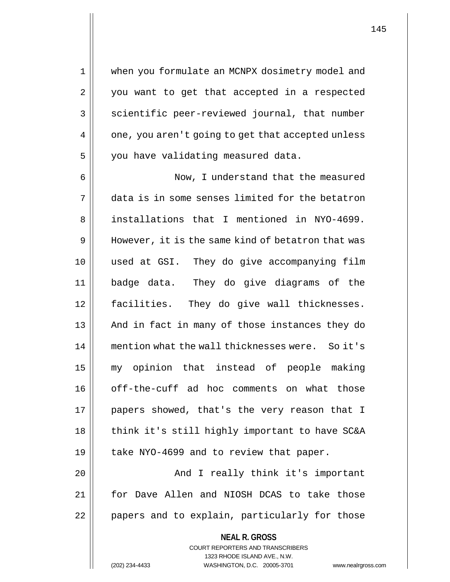1 when you formulate an MCNPX dosimetry model and 2 || you want to get that accepted in a respected 3 | scientific peer-reviewed journal, that number 4 || one, you aren't going to get that accepted unless 5 | you have validating measured data.

6 Now, I understand that the measured 7 data is in some senses limited for the betatron 8 || installations that I mentioned in NYO-4699. 9 | However, it is the same kind of betatron that was 10 used at GSI. They do give accompanying film 11 badge data. They do give diagrams of the 12 facilities. They do give wall thicknesses. 13 || And in fact in many of those instances they do 14 || mention what the wall thicknesses were. So it's 15 my opinion that instead of people making 16 off-the-cuff ad hoc comments on what those 17 papers showed, that's the very reason that I 18 || think it's still highly important to have SC&A 19 || take NYO-4699 and to review that paper. 20 || The Rand I really think it's important

21 for Dave Allen and NIOSH DCAS to take those 22 | papers and to explain, particularly for those

# **NEAL R. GROSS** COURT REPORTERS AND TRANSCRIBERS 1323 RHODE ISLAND AVE., N.W.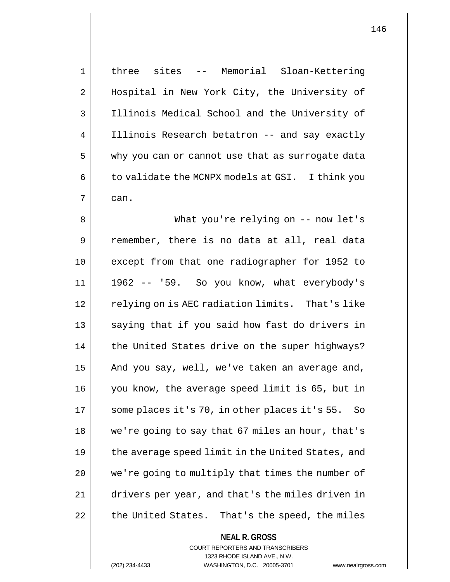1 three sites -- Memorial Sloan-Kettering 2 || Hospital in New York City, the University of 3 Illinois Medical School and the University of 4 | Illinois Research betatron -- and say exactly 5 why you can or cannot use that as surrogate data  $6 \parallel$  to validate the MCNPX models at GSI. I think you  $7 \parallel$  can. 8 What you're relying on -- now let's 9 || remember, there is no data at all, real data 10 except from that one radiographer for 1952 to 11 1962 -- '59. So you know, what everybody's 12 || relying on is AEC radiation limits. That's like 13 || saying that if you said how fast do drivers in 14 || the United States drive on the super highways? 15  $\parallel$  And you say, well, we've taken an average and, 16 you know, the average speed limit is 65, but in 17 || some places it's 70, in other places it's 55. So 18 we're going to say that 67 miles an hour, that's 19  $\parallel$  the average speed limit in the United States, and 20 || we're going to multiply that times the number of 21 drivers per year, and that's the miles driven in  $22$  | the United States. That's the speed, the miles

> **NEAL R. GROSS** COURT REPORTERS AND TRANSCRIBERS 1323 RHODE ISLAND AVE., N.W.

(202) 234-4433 WASHINGTON, D.C. 20005-3701 www.nealrgross.com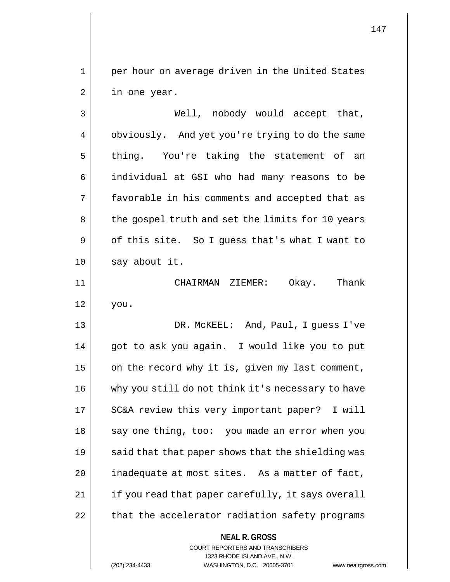1 || per hour on average driven in the United States 2 || in one year.

3 Well, nobody would accept that, 4 | obviously. And yet you're trying to do the same 5 || thing. You're taking the statement of an 6 | individual at GSI who had many reasons to be 7 favorable in his comments and accepted that as 8 || the gospel truth and set the limits for 10 years  $9 \parallel$  of this site. So I guess that's what I want to  $10$  | say about it.

11 CHAIRMAN ZIEMER: Okay. Thank  $12 \parallel$  you.

13 DR. McKEEL: And, Paul, I guess I've 14 || got to ask you again. I would like you to put 15  $\parallel$  on the record why it is, given my last comment, 16 || why you still do not think it's necessary to have 17 || SC&A review this very important paper? I will 18 || say one thing, too: you made an error when you 19  $\parallel$  said that that paper shows that the shielding was  $20$  || inadequate at most sites. As a matter of fact, 21 || if you read that paper carefully, it says overall 22 | that the accelerator radiation safety programs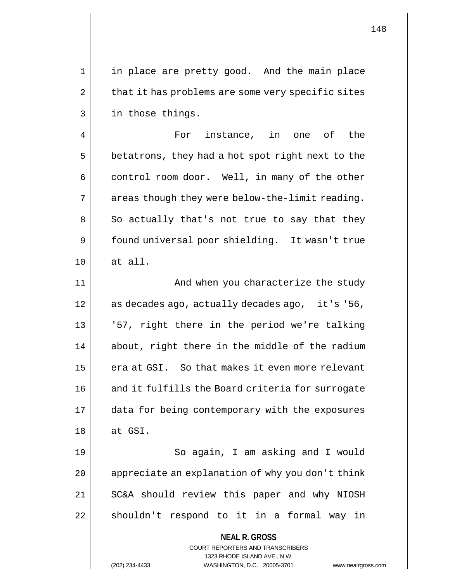1 || in place are pretty good. And the main place  $2 \parallel$  that it has problems are some very specific sites 3 || in those things.

4 For instance, in one of the  $5 \parallel$  betatrons, they had a hot spot right next to the  $6 \parallel$  control room door. Well, in many of the other  $7 \parallel$  areas though they were below-the-limit reading.  $8 \parallel$  So actually that's not true to say that they 9 | found universal poor shielding. It wasn't true 10 at all.

11 || And when you characterize the study 12 || as decades ago, actually decades ago, it's '56, 13 '57, right there in the period we're talking 14 || about, right there in the middle of the radium 15 || era at GSI. So that makes it even more relevant 16 || and it fulfills the Board criteria for surrogate 17 data for being contemporary with the exposures  $18 \parallel$  at GSI.

19 || So again, I am asking and I would  $20$  | appreciate an explanation of why you don't think 21 || SC&A should review this paper and why NIOSH 22 || shouldn't respond to it in a formal way in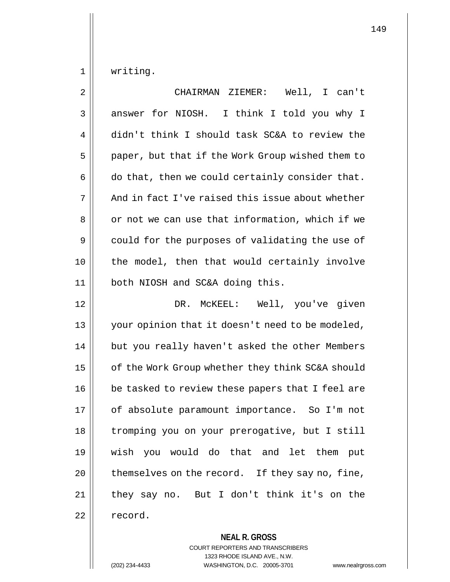1 | writing.

| 2  | CHAIRMAN ZIEMER: Well, I can't                   |
|----|--------------------------------------------------|
| 3  | answer for NIOSH. I think I told you why I       |
| 4  | didn't think I should task SC&A to review the    |
| 5  | paper, but that if the Work Group wished them to |
| 6  | do that, then we could certainly consider that.  |
| 7  | And in fact I've raised this issue about whether |
| 8  | or not we can use that information, which if we  |
| 9  | could for the purposes of validating the use of  |
| 10 | the model, then that would certainly involve     |
| 11 | both NIOSH and SC&A doing this.                  |
| 12 | DR. MCKEEL: Well, you've given                   |
| 13 | your opinion that it doesn't need to be modeled, |
| 14 | but you really haven't asked the other Members   |
| 15 | of the Work Group whether they think SC&A should |
| 16 | be tasked to review these papers that I feel are |
| 17 | of absolute paramount importance. So I'm not     |
| 18 | tromping you on your prerogative, but I still    |
| 19 | wish you would do that and let them put          |
| 20 | themselves on the record. If they say no, fine,  |
| 21 | they say no. But I don't think it's on the       |
| 22 | record.                                          |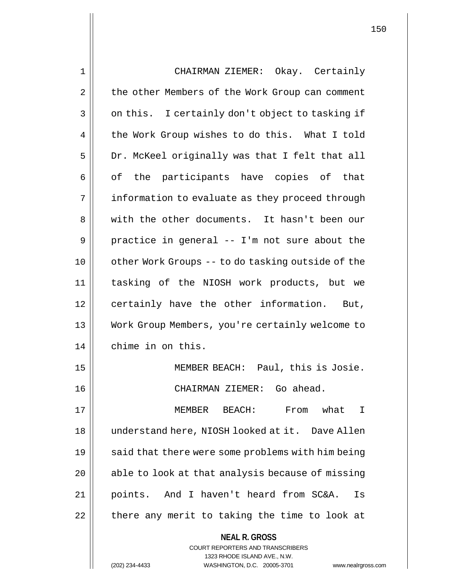**NEAL R. GROSS** COURT REPORTERS AND TRANSCRIBERS 1 CHAIRMAN ZIEMER: Okay. Certainly 2 | the other Members of the Work Group can comment  $3 \parallel$  on this. I certainly don't object to tasking if 4 the Work Group wishes to do this. What I told  $5 \parallel$  Dr. McKeel originally was that I felt that all  $6 \parallel$  of the participants have copies of that 7 | information to evaluate as they proceed through 8 We with the other documents. It hasn't been our  $9 \parallel$  practice in general -- I'm not sure about the 10 || other Work Groups -- to do tasking outside of the 11 tasking of the NIOSH work products, but we 12 certainly have the other information. But, 13 Work Group Members, you're certainly welcome to 14 | chime in on this. 15 || MEMBER BEACH: Paul, this is Josie. 16 CHAIRMAN ZIEMER: Go ahead. 17 MEMBER BEACH: From what I 18 understand here, NIOSH looked at it. Dave Allen 19  $\parallel$  said that there were some problems with him being  $20$  || able to look at that analysis because of missing 21 || points. And I haven't heard from SC&A. Is  $22$  || there any merit to taking the time to look at

1323 RHODE ISLAND AVE., N.W.

(202) 234-4433 WASHINGTON, D.C. 20005-3701 www.nealrgross.com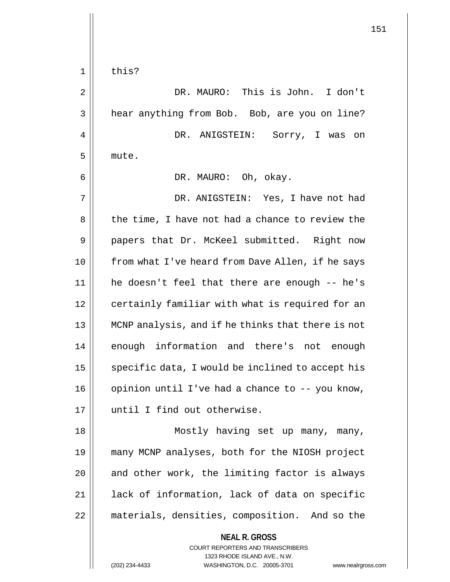$1 \parallel$  this? DR. MAURO: This is John. I don't 3 | hear anything from Bob. Bob, are you on line? DR. ANIGSTEIN: Sorry, I was on 5 mute. DR. MAURO: Oh, okay. DR. ANIGSTEIN: Yes, I have not had 8 || the time, I have not had a chance to review the 9 || papers that Dr. McKeel submitted. Right now from what I've heard from Dave Allen, if he says he doesn't feel that there are enough -- he's 12 | certainly familiar with what is required for an MCNP analysis, and if he thinks that there is not 14 || enough information and there's not enough  $\parallel$  specific data, I would be inclined to accept his | opinion until I've had a chance to  $-$ - you know, until I find out otherwise. Mostly having set up many, many, many MCNP analyses, both for the NIOSH project | and other work, the limiting factor is always 21 || lack of information, lack of data on specific materials, densities, composition. And so the

> **NEAL R. GROSS** COURT REPORTERS AND TRANSCRIBERS 1323 RHODE ISLAND AVE., N.W.

(202) 234-4433 WASHINGTON, D.C. 20005-3701 www.nealrgross.com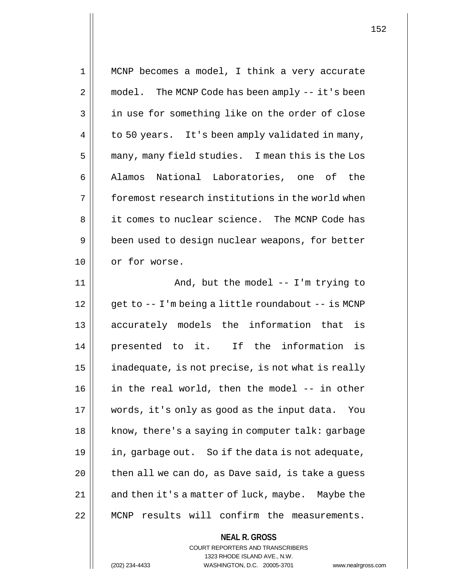| 1  | MCNP becomes a model, I think a very accurate      |
|----|----------------------------------------------------|
| 2  | model. The MCNP Code has been amply -- it's been   |
| 3  | in use for something like on the order of close    |
| 4  | to 50 years. It's been amply validated in many,    |
| 5  | many, many field studies. I mean this is the Los   |
| 6  | Alamos National Laboratories, one of the           |
| 7  | foremost research institutions in the world when   |
| 8  | it comes to nuclear science. The MCNP Code has     |
| 9  | been used to design nuclear weapons, for better    |
| 10 | or for worse.                                      |
| 11 | And, but the model -- I'm trying to                |
| 12 | get to -- I'm being a little roundabout -- is MCNP |
| 13 | accurately models the information that is          |
| 14 | presented to it. If the information is             |
| 15 | inadequate, is not precise, is not what is really  |
| 16 | in the real world, then the model -- in other      |
| 17 | words, it's only as good as the input data.<br>You |
| 18 | know, there's a saying in computer talk: garbage   |
| 19 | in, garbage out. So if the data is not adequate,   |
| 20 | then all we can do, as Dave said, is take a guess  |
| 21 | and then it's a matter of luck, maybe. Maybe the   |
| 22 | results will confirm the measurements.<br>MCNP     |
|    | <b>NEAL R. GROSS</b>                               |

COURT REPORTERS AND TRANSCRIBERS 1323 RHODE ISLAND AVE., N.W.

(202) 234-4433 WASHINGTON, D.C. 20005-3701 www.nealrgross.com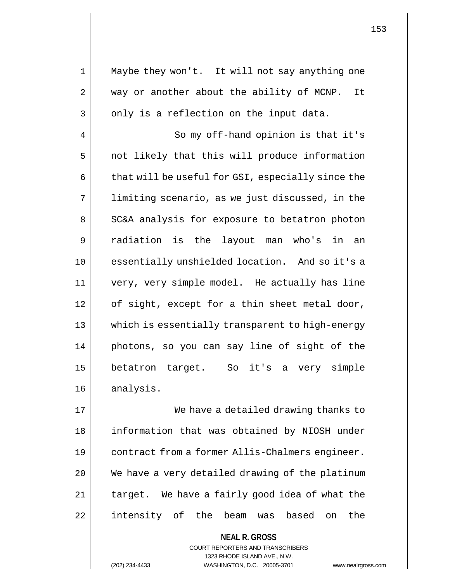1 || Maybe they won't. It will not say anything one 2 | way or another about the ability of MCNP. It  $3 \parallel$  only is a reflection on the input data. 4 || So my off-hand opinion is that it's  $5$  | not likely that this will produce information  $6 \parallel$  that will be useful for GSI, especially since the 7 || limiting scenario, as we just discussed, in the 8 || SC&A analysis for exposure to betatron photon 9 radiation is the layout man who's in an 10 || essentially unshielded location. And so it's a 11 very, very simple model. He actually has line 12 || of sight, except for a thin sheet metal door, 13 which is essentially transparent to high-energy 14 photons, so you can say line of sight of the 15 betatron target. So it's a very simple

16 analysis.

17 We have a detailed drawing thanks to 18 || information that was obtained by NIOSH under 19 | contract from a former Allis-Chalmers engineer.  $20$   $\vert$  We have a very detailed drawing of the platinum  $21$  | target. We have a fairly good idea of what the 22 || intensity of the beam was based on the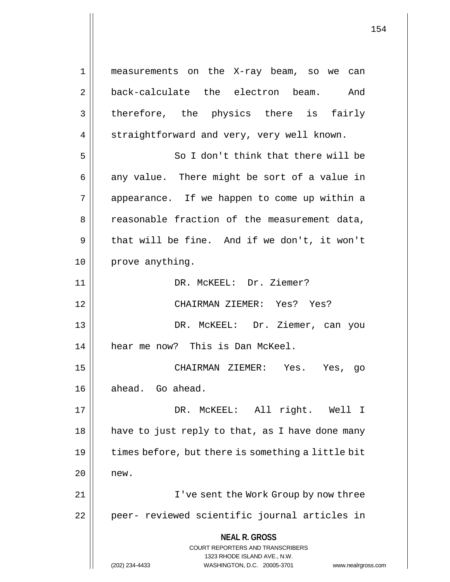**NEAL R. GROSS** COURT REPORTERS AND TRANSCRIBERS 1323 RHODE ISLAND AVE., N.W. 1 measurements on the X-ray beam, so we can 2 back-calculate the electron beam. And 3 || therefore, the physics there is fairly 4 | straightforward and very, very well known. 5 So I don't think that there will be  $6 \parallel$  any value. There might be sort of a value in 7 || appearance. If we happen to come up within a 8 Teasonable fraction of the measurement data,  $9 \parallel$  that will be fine. And if we don't, it won't 10 || prove anything. 11 || DR. McKEEL: Dr. Ziemer? 12 CHAIRMAN ZIEMER: Yes? Yes? 13 DR. McKEEL: Dr. Ziemer, can you 14 || hear me now? This is Dan McKeel. 15 CHAIRMAN ZIEMER: Yes. Yes, go 16 || ahead. Go ahead. 17 DR. McKEEL: All right. Well I  $18$  || have to just reply to that, as I have done many  $19$  | times before, but there is something a little bit  $20$  | new. 21 || I've sent the Work Group by now three 22 || peer- reviewed scientific journal articles in

(202) 234-4433 WASHINGTON, D.C. 20005-3701 www.nealrgross.com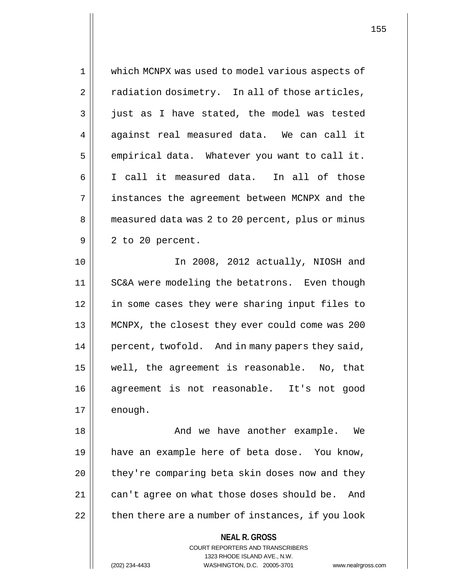**NEAL R. GROSS** COURT REPORTERS AND TRANSCRIBERS 1 which MCNPX was used to model various aspects of  $2 \parallel$  radiation dosimetry. In all of those articles, 3 just as I have stated, the model was tested  $4 \parallel$  against real measured data. We can call it  $5 \parallel$  empirical data. Whatever you want to call it. 6 I call it measured data. In all of those 7 instances the agreement between MCNPX and the 8 | measured data was 2 to 20 percent, plus or minus  $9 \parallel 2$  to 20 percent. 10 In 2008, 2012 actually, NIOSH and 11 | SC&A were modeling the betatrons. Even though 12 in some cases they were sharing input files to 13 MCNPX, the closest they ever could come was 200 14 || percent, twofold. And in many papers they said, 15 well, the agreement is reasonable. No, that 16 agreement is not reasonable. It's not good  $17 \parallel$  enough. 18 And we have another example. We 19 have an example here of beta dose. You know,  $20$  | they're comparing beta skin doses now and they 21 | can't agree on what those doses should be. And  $22$  | then there are a number of instances, if you look

1323 RHODE ISLAND AVE., N.W.

(202) 234-4433 WASHINGTON, D.C. 20005-3701 www.nealrgross.com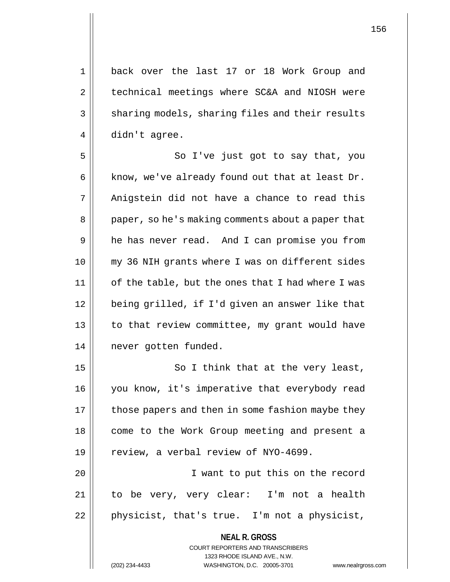1 back over the last 17 or 18 Work Group and 2 | technical meetings where SC&A and NIOSH were 3 || sharing models, sharing files and their results 4 didn't agree.

5 || So I've just got to say that, you  $6$  | know, we've already found out that at least Dr.  $7 \parallel$  Anigstein did not have a chance to read this 8 || paper, so he's making comments about a paper that 9 || he has never read. And I can promise you from 10 my 36 NIH grants where I was on different sides  $11$  | of the table, but the ones that I had where I was 12 || being grilled, if I'd given an answer like that 13 || to that review committee, my grant would have 14 | never gotten funded.

 $15$   $\parallel$  So I think that at the very least, 16 || you know, it's imperative that everybody read 17 || those papers and then in some fashion maybe they 18 || come to the Work Group meeting and present a 19  $\parallel$  review, a verbal review of NYO-4699. 20 I want to put this on the record 21 to be very, very clear: I'm not a health

 $22$  || physicist, that's true. I'm not a physicist,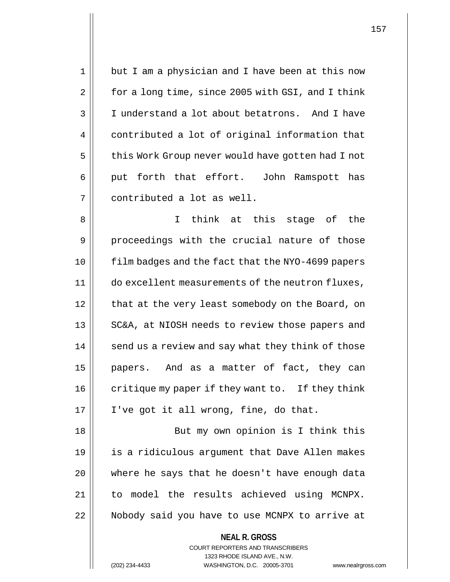1 || but I am a physician and I have been at this now  $2 \parallel$  for a long time, since 2005 with GSI, and I think 3 | I understand a lot about betatrons. And I have 4 contributed a lot of original information that 5 | this Work Group never would have gotten had I not  $6 \parallel$  put forth that effort. John Ramspott has 7 contributed a lot as well.

8 || I think at this stage of the 9 proceedings with the crucial nature of those 10 film badges and the fact that the NYO-4699 papers 11 do excellent measurements of the neutron fluxes, 12 || that at the very least somebody on the Board, on 13 || SC&A, at NIOSH needs to review those papers and 14 || send us a review and say what they think of those 15 papers. And as a matter of fact, they can  $16$  || critique my paper if they want to. If they think  $17 \parallel$  I've got it all wrong, fine, do that.

18 || But my own opinion is I think this 19 is a ridiculous argument that Dave Allen makes 20 || where he says that he doesn't have enough data 21 to model the results achieved using MCNPX. 22 | Nobody said you have to use MCNPX to arrive at

> COURT REPORTERS AND TRANSCRIBERS 1323 RHODE ISLAND AVE., N.W. (202) 234-4433 WASHINGTON, D.C. 20005-3701 www.nealrgross.com

**NEAL R. GROSS**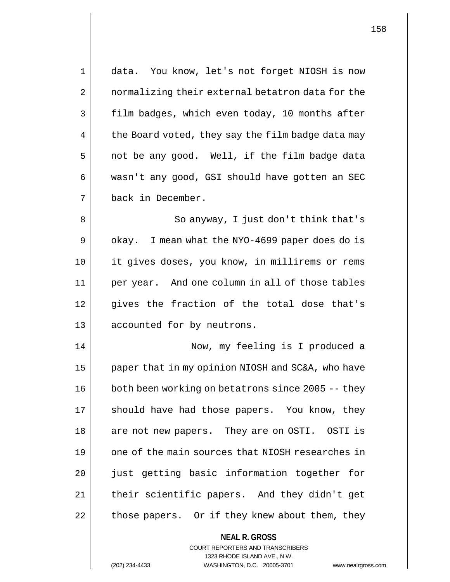| 1  | data. You know, let's not forget NIOSH is now            |
|----|----------------------------------------------------------|
| 2  | normalizing their external betatron data for the         |
| 3  | film badges, which even today, 10 months after           |
| 4  | the Board voted, they say the film badge data may        |
| 5  | not be any good. Well, if the film badge data            |
| 6  | wasn't any good, GSI should have gotten an SEC           |
| 7  | back in December.                                        |
| 8  | So anyway, I just don't think that's                     |
| 9  | okay. I mean what the NYO-4699 paper does do is          |
| 10 | it gives doses, you know, in millirems or rems           |
| 11 | per year. And one column in all of those tables          |
| 12 | gives the fraction of the total dose that's              |
| 13 | accounted for by neutrons.                               |
| 14 | Now, my feeling is I produced a                          |
| 15 | paper that in my opinion NIOSH and SC&A, who have        |
| 16 | both been working on betatrons since 2005 -- they        |
| 17 | should have had those papers. You know, they             |
| 18 | are not new papers. They are on OSTI. OSTI is            |
| 19 | one of the main sources that NIOSH researches in         |
| 20 | just getting basic information together for              |
| 21 | their scientific papers. And they didn't get             |
| 22 | those papers. Or if they knew about them, they           |
|    | <b>NEAL R. GROSS</b><br>COURT REPORTERS AND TRANSCRIBERS |

1323 RHODE ISLAND AVE., N.W.

 $\prod$ 

(202) 234-4433 WASHINGTON, D.C. 20005-3701 www.nealrgross.com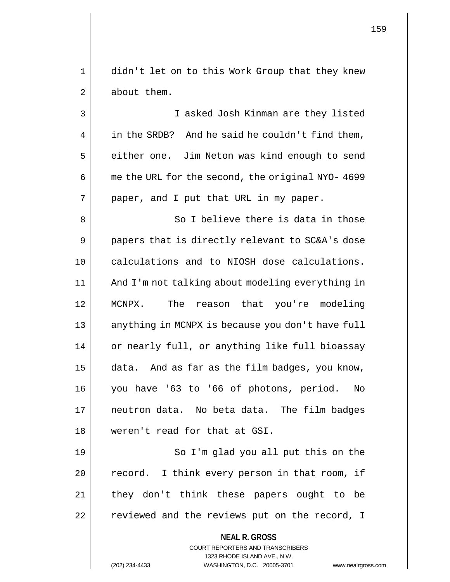1 || didn't let on to this Work Group that they knew 2 | about them.

3 I asked Josh Kinman are they listed  $4 \parallel$  in the SRDB? And he said he couldn't find them, 5 | either one. Jim Neton was kind enough to send  $6 \parallel$  me the URL for the second, the original NYO- 4699  $7 \parallel$  paper, and I put that URL in my paper.

8 || So I believe there is data in those  $9 \parallel$  papers that is directly relevant to SC&A's dose calculations and to NIOSH dose calculations. And I'm not talking about modeling everything in MCNPX. The reason that you're modeling 13 || anything in MCNPX is because you don't have full 14 || or nearly full, or anything like full bioassay  $\parallel$  data. And as far as the film badges, you know, you have '63 to '66 of photons, period. No neutron data. No beta data. The film badges weren't read for that at GSI.

19 || So I'm glad you all put this on the 20 || record. I think every person in that room, if 21 || they don't think these papers ought to be 22 || reviewed and the reviews put on the record, I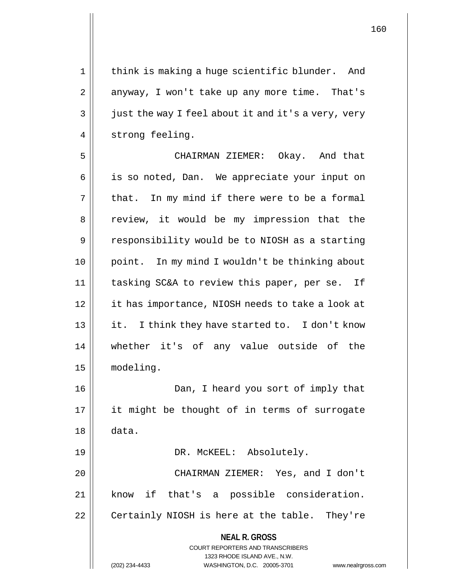1 || think is making a huge scientific blunder. And  $2 \parallel$  anyway, I won't take up any more time. That's  $3 \parallel$  just the way I feel about it and it's a very, very 4 | strong feeling.

5 CHAIRMAN ZIEMER: Okay. And that 6 || is so noted, Dan. We appreciate your input on  $7 \parallel$  that. In my mind if there were to be a formal 8 || review, it would be my impression that the 9 | responsibility would be to NIOSH as a starting 10 point. In my mind I wouldn't be thinking about 11 tasking SC&A to review this paper, per se. If 12 it has importance, NIOSH needs to take a look at 13 || it. I think they have started to. I don't know 14 whether it's of any value outside of the 15 modeling. 16 Dan, I heard you sort of imply that 17 || it might be thought of in terms of surrogate 18 data. 19 || DR. McKEEL: Absolutely. 20 CHAIRMAN ZIEMER: Yes, and I don't

21 know if that's a possible consideration.

22 | Certainly NIOSH is here at the table. They're

# **NEAL R. GROSS**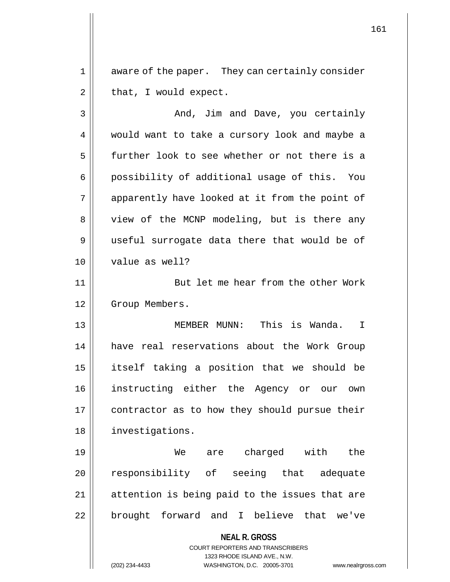1 || aware of the paper. They can certainly consider  $2 \parallel$  that, I would expect.

3 | Robert And, Jim and Dave, you certainly 4 || would want to take a cursory look and maybe a 5 further look to see whether or not there is a 6 || possibility of additional usage of this. You 7 || apparently have looked at it from the point of 8 || view of the MCNP modeling, but is there any 9 || useful surrogate data there that would be of 10 value as well? 11 || But let me hear from the other Work 12 | Group Members. 13 MEMBER MUNN: This is Wanda. I 14 have real reservations about the Work Group 15 itself taking a position that we should be 16 instructing either the Agency or our own 17 | contractor as to how they should pursue their 18 investigations. 19 We are charged with the 20 || responsibility of seeing that adequate  $21$  | attention is being paid to the issues that are 22 || brought forward and I believe that we've

> **NEAL R. GROSS** COURT REPORTERS AND TRANSCRIBERS 1323 RHODE ISLAND AVE., N.W.

(202) 234-4433 WASHINGTON, D.C. 20005-3701 www.nealrgross.com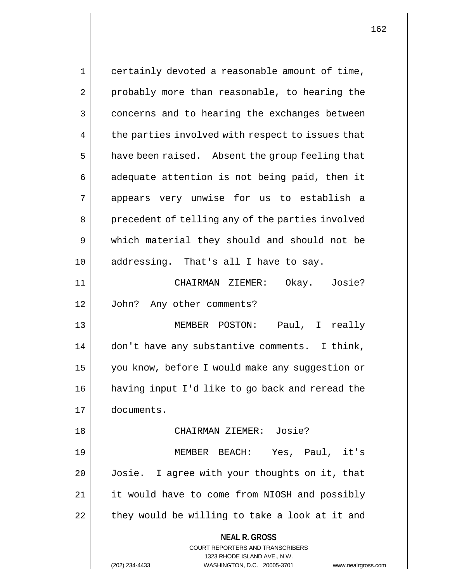**NEAL R. GROSS** COURT REPORTERS AND TRANSCRIBERS 1323 RHODE ISLAND AVE., N.W. 1 || certainly devoted a reasonable amount of time, 2 || probably more than reasonable, to hearing the 3 concerns and to hearing the exchanges between  $4 \parallel$  the parties involved with respect to issues that  $5 \parallel$  have been raised. Absent the group feeling that  $6 \parallel$  adequate attention is not being paid, then it 7 appears very unwise for us to establish a 8 || precedent of telling any of the parties involved 9 which material they should and should not be 10 || addressing. That's all I have to say. 11 CHAIRMAN ZIEMER: Okay. Josie? 12 John? Any other comments? 13 MEMBER POSTON: Paul, I really 14 | don't have any substantive comments. I think, 15 | you know, before I would make any suggestion or 16 having input I'd like to go back and reread the 17 documents. 18 CHAIRMAN ZIEMER: Josie? 19 MEMBER BEACH: Yes, Paul, it's 20 Josie. I agree with your thoughts on it, that 21 || it would have to come from NIOSH and possibly  $22$  | they would be willing to take a look at it and

(202) 234-4433 WASHINGTON, D.C. 20005-3701 www.nealrgross.com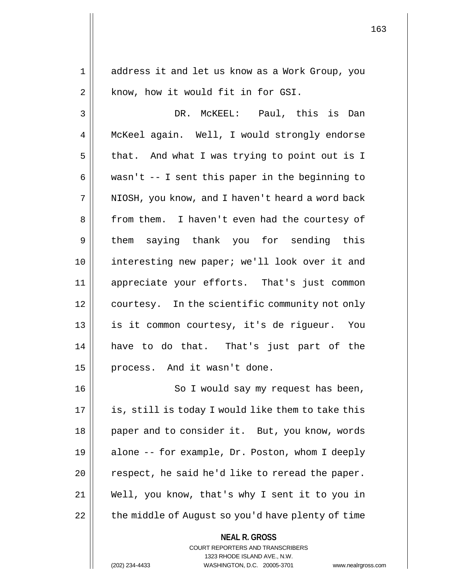1 address it and let us know as a Work Group, you  $2 \parallel$  know, how it would fit in for GSI.

3 DR. McKEEL: Paul, this is Dan 4 | McKeel again. Well, I would strongly endorse  $5 \parallel$  that. And what I was trying to point out is I 6 || wasn't -- I sent this paper in the beginning to  $7$  | NIOSH, you know, and I haven't heard a word back 8 || from them. I haven't even had the courtesy of 9 || them saying thank you for sending this 10 interesting new paper; we'll look over it and 11 appreciate your efforts. That's just common 12 | courtesy. In the scientific community not only 13 is it common courtesy, it's de rigueur. You 14 have to do that. That's just part of the 15 || process. And it wasn't done.

16 || So I would say my request has been,  $17$  || is, still is today I would like them to take this 18 || paper and to consider it. But, you know, words 19 alone -- for example, Dr. Poston, whom I deeply  $20$  || respect, he said he'd like to reread the paper. 21 Well, you know, that's why I sent it to you in 22 | the middle of August so you'd have plenty of time

COURT REPORTERS AND TRANSCRIBERS

**NEAL R. GROSS**

1323 RHODE ISLAND AVE., N.W.

(202) 234-4433 WASHINGTON, D.C. 20005-3701 www.nealrgross.com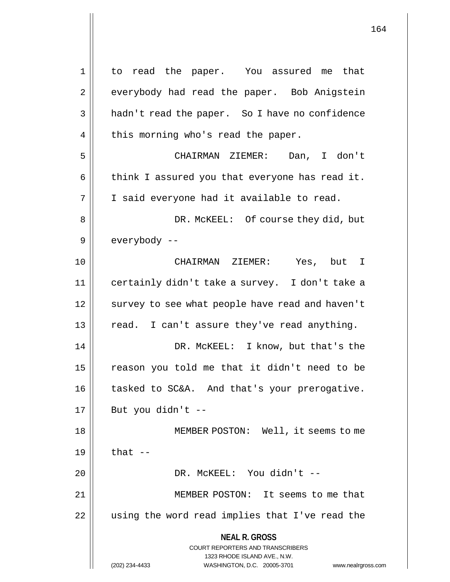**NEAL R. GROSS** COURT REPORTERS AND TRANSCRIBERS 1323 RHODE ISLAND AVE., N.W. (202) 234-4433 WASHINGTON, D.C. 20005-3701 www.nealrgross.com 1 to read the paper. You assured me that 2 | everybody had read the paper. Bob Anigstein 3 | hadn't read the paper. So I have no confidence  $4 \parallel$  this morning who's read the paper. 5 CHAIRMAN ZIEMER: Dan, I don't 6  $\parallel$  think I assured you that everyone has read it.  $7 \parallel$  I said everyone had it available to read. 8 DR. McKEEL: Of course they did, but  $9 \parallel$  everybody --10 CHAIRMAN ZIEMER: Yes, but I 11 certainly didn't take a survey. I don't take a 12 || survey to see what people have read and haven't 13 || read. I can't assure they've read anything. 14 DR. McKEEL: I know, but that's the 15 || reason you told me that it didn't need to be 16 || tasked to SC&A. And that's your prerogative.  $17 \parallel$  But you didn't --18 || MEMBER POSTON: Well, it seems to me  $19$   $\parallel$  that  $-$ 20 DR. McKEEL: You didn't -- 21 MEMBER POSTON: It seems to me that 22 || using the word read implies that I've read the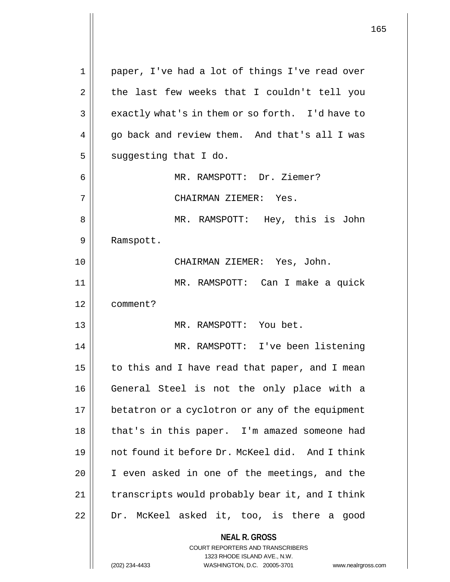**NEAL R. GROSS** COURT REPORTERS AND TRANSCRIBERS 1323 RHODE ISLAND AVE., N.W. 1 || paper, I've had a lot of things I've read over  $2 \parallel$  the last few weeks that I couldn't tell you  $3 \parallel$  exactly what's in them or so forth. I'd have to  $4 \parallel$  go back and review them. And that's all I was  $5 \parallel$  suggesting that I do. 6 || MR. RAMSPOTT: Dr. Ziemer? 7 CHAIRMAN ZIEMER: Yes. 8 MR. RAMSPOTT: Hey, this is John 9 | Ramspott. 10 CHAIRMAN ZIEMER: Yes, John. 11 MR. RAMSPOTT: Can I make a quick 12 comment? 13 MR. RAMSPOTT: You bet. 14 MR. RAMSPOTT: I've been listening 15  $\parallel$  to this and I have read that paper, and I mean 16 || General Steel is not the only place with a 17 | betatron or a cyclotron or any of the equipment 18 || that's in this paper. I'm amazed someone had 19 not found it before Dr. McKeel did. And I think 20 || I even asked in one of the meetings, and the 21 | transcripts would probably bear it, and I think  $22$  | Dr. McKeel asked it, too, is there a good

(202) 234-4433 WASHINGTON, D.C. 20005-3701 www.nealrgross.com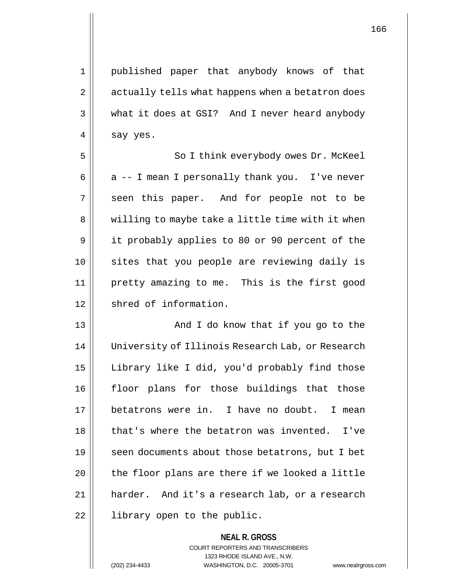1 published paper that anybody knows of that 2 | actually tells what happens when a betatron does 3 what it does at GSI? And I never heard anybody  $4 \parallel$  say yes.

5 || So I think everybody owes Dr. McKeel 6 |  $\alpha$  -- I mean I personally thank you. I've never 7 || seen this paper. And for people not to be 8 || willing to maybe take a little time with it when 9 || it probably applies to 80 or 90 percent of the 10 sites that you people are reviewing daily is 11 pretty amazing to me. This is the first good 12 | shred of information.

13 And I do know that if you go to the 14 | University of Illinois Research Lab, or Research 15 | Library like I did, you'd probably find those 16 floor plans for those buildings that those 17 betatrons were in. I have no doubt. I mean  $18$  | that's where the betatron was invented. I've 19 || seen documents about those betatrons, but I bet  $20$  || the floor plans are there if we looked a little 21 harder. And it's a research lab, or a research 22 || library open to the public.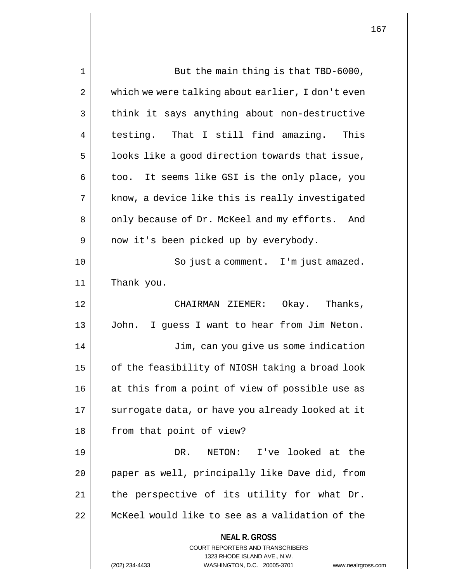| 1  | But the main thing is that TBD-6000,                                    |
|----|-------------------------------------------------------------------------|
| 2  | which we were talking about earlier, I don't even                       |
| 3  | think it says anything about non-destructive                            |
| 4  | testing. That I still find amazing. This                                |
| 5  | looks like a good direction towards that issue,                         |
| 6  | too. It seems like GSI is the only place, you                           |
| 7  | know, a device like this is really investigated                         |
| 8  | only because of Dr. McKeel and my efforts. And                          |
| 9  | now it's been picked up by everybody.                                   |
| 10 | So just a comment. I'm just amazed.                                     |
| 11 | Thank you.                                                              |
| 12 | CHAIRMAN ZIEMER: Okay. Thanks,                                          |
| 13 | John.<br>I guess I want to hear from Jim Neton.                         |
| 14 | Jim, can you give us some indication                                    |
| 15 | of the feasibility of NIOSH taking a broad look                         |
| 16 | at this from a point of view of possible use as                         |
| 17 | surrogate data, or have you already looked at it                        |
| 18 | from that point of view?                                                |
| 19 | I've looked at the<br>DR.<br>NETON:                                     |
| 20 | paper as well, principally like Dave did, from                          |
| 21 | the perspective of its utility for what Dr.                             |
| 22 | McKeel would like to see as a validation of the                         |
|    | <b>NEAL R. GROSS</b>                                                    |
|    | <b>COURT REPORTERS AND TRANSCRIBERS</b><br>1323 RHODE ISLAND AVE., N.W. |
|    | WASHINGTON, D.C. 20005-3701<br>(202) 234-4433<br>www.nealrgross.com     |

 $\mathsf{l}\mathsf{l}$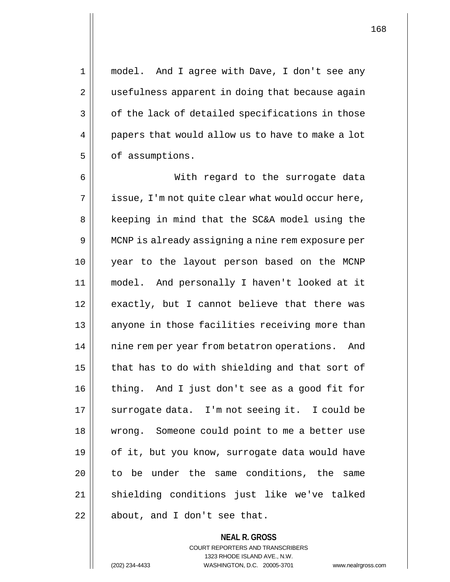1 model. And I agree with Dave, I don't see any 2 || usefulness apparent in doing that because again  $3 \parallel$  of the lack of detailed specifications in those 4 | papers that would allow us to have to make a lot 5 | of assumptions.

6 With regard to the surrogate data  $7 \parallel$  issue, I'm not quite clear what would occur here, 8 || keeping in mind that the SC&A model using the 9 MCNP is already assigning a nine rem exposure per 10 year to the layout person based on the MCNP 11 model. And personally I haven't looked at it 12 || exactly, but I cannot believe that there was 13 || anyone in those facilities receiving more than 14 || nine rem per year from betatron operations. And  $15$  | that has to do with shielding and that sort of 16 || thing. And I just don't see as a good fit for 17 || surrogate data. I'm not seeing it. I could be 18 wrong. Someone could point to me a better use 19 || of it, but you know, surrogate data would have 20 || to be under the same conditions, the same 21 || shielding conditions just like we've talked  $22$  || about, and I don't see that.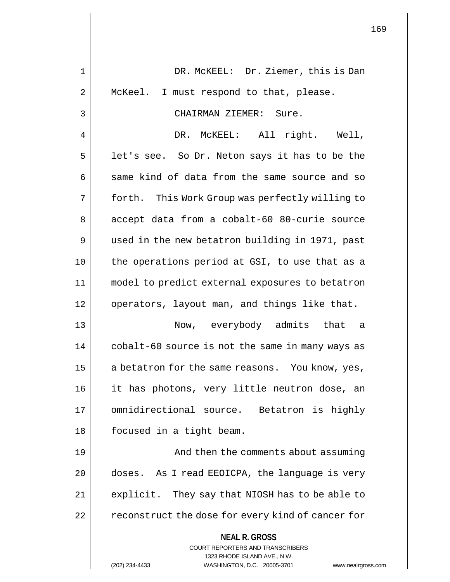| 1  | DR. MCKEEL: Dr. Ziemer, this is Dan                                 |
|----|---------------------------------------------------------------------|
| 2  | McKeel. I must respond to that, please.                             |
| 3  | CHAIRMAN ZIEMER: Sure.                                              |
| 4  | DR. MCKEEL: All right. Well,                                        |
| 5  | let's see. So Dr. Neton says it has to be the                       |
| 6  | same kind of data from the same source and so                       |
| 7  | forth. This Work Group was perfectly willing to                     |
| 8  | accept data from a cobalt-60 80-curie source                        |
| 9  | used in the new betatron building in 1971, past                     |
| 10 | the operations period at GSI, to use that as a                      |
| 11 | model to predict external exposures to betatron                     |
| 12 | operators, layout man, and things like that.                        |
| 13 | Now, everybody admits that a                                        |
| 14 | cobalt-60 source is not the same in many ways as                    |
| 15 | a betatron for the same reasons. You know, yes,                     |
| 16 | it has photons, very little neutron dose, an                        |
| 17 | omnidirectional source. Betatron is highly                          |
| 18 | focused in a tight beam.                                            |
| 19 | And then the comments about assuming                                |
| 20 | doses. As I read EEOICPA, the language is very                      |
| 21 | explicit. They say that NIOSH has to be able to                     |
| 22 | reconstruct the dose for every kind of cancer for                   |
|    | <b>NEAL R. GROSS</b><br><b>COURT REPORTERS AND TRANSCRIBERS</b>     |
|    | 1323 RHODE ISLAND AVE., N.W.                                        |
|    | (202) 234-4433<br>WASHINGTON, D.C. 20005-3701<br>www.nealrgross.com |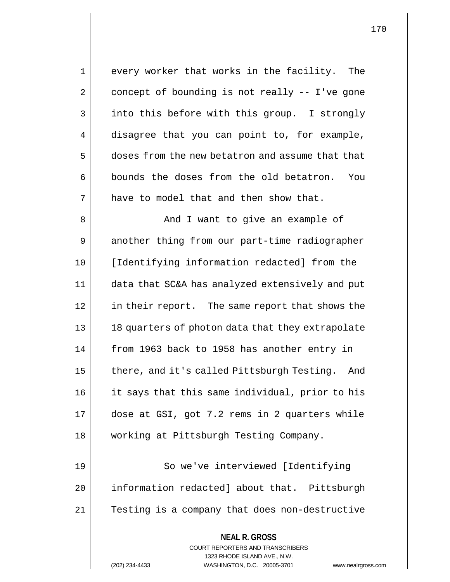1 || every worker that works in the facility. The  $2 \parallel$  concept of bounding is not really -- I've gone 3 || into this before with this group. I strongly 4 disagree that you can point to, for example, 5 doses from the new betatron and assume that that  $6 \parallel$  bounds the doses from the old betatron. You  $7$  || have to model that and then show that. 8 And I want to give an example of 9 another thing from our part-time radiographer 10 [Identifying information redacted] from the 11 data that SC&A has analyzed extensively and put 12 in their report. The same report that shows the 13 || 18 quarters of photon data that they extrapolate 14 || from 1963 back to 1958 has another entry in 15 || there, and it's called Pittsburgh Testing. And 16 it says that this same individual, prior to his 17 dose at GSI, got 7.2 rems in 2 quarters while 18 working at Pittsburgh Testing Company. 19 || So we've interviewed [Identifying

20 | information redacted] about that. Pittsburgh 21 || Testing is a company that does non-destructive

COURT REPORTERS AND TRANSCRIBERS

**NEAL R. GROSS**

1323 RHODE ISLAND AVE., N.W.

(202) 234-4433 WASHINGTON, D.C. 20005-3701 www.nealrgross.com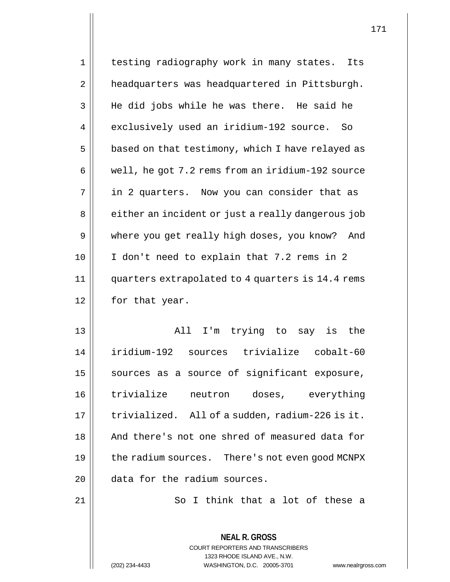| 1              | testing radiography work in many states. Its                                                   |  |  |  |
|----------------|------------------------------------------------------------------------------------------------|--|--|--|
| $\overline{2}$ | headquarters was headquartered in Pittsburgh.                                                  |  |  |  |
| 3              | He did jobs while he was there. He said he                                                     |  |  |  |
| 4              | exclusively used an iridium-192 source. So                                                     |  |  |  |
| 5              | based on that testimony, which I have relayed as                                               |  |  |  |
| 6              | well, he got 7.2 rems from an iridium-192 source                                               |  |  |  |
| 7              | in 2 quarters. Now you can consider that as                                                    |  |  |  |
| 8              | either an incident or just a really dangerous job                                              |  |  |  |
| 9              | where you get really high doses, you know? And                                                 |  |  |  |
| 10             | I don't need to explain that 7.2 rems in 2                                                     |  |  |  |
| 11             | quarters extrapolated to 4 quarters is 14.4 rems                                               |  |  |  |
| 12             | for that year.                                                                                 |  |  |  |
| 13             | All<br>I'm trying to say is<br>the                                                             |  |  |  |
| 14             | iridium-192 sources trivialize cobalt-60                                                       |  |  |  |
| 15             | sources as a source of significant exposure,                                                   |  |  |  |
| 16             | trivialize<br>neutron doses, everything                                                        |  |  |  |
| 17             | trivialized. All of a sudden, radium-226 is it.                                                |  |  |  |
| 18             | And there's not one shred of measured data for                                                 |  |  |  |
| 19             | the radium sources. There's not even good MCNPX                                                |  |  |  |
| 20             | data for the radium sources.                                                                   |  |  |  |
| 21             | So I think that a lot of these a                                                               |  |  |  |
|                |                                                                                                |  |  |  |
|                | <b>NEAL R. GROSS</b>                                                                           |  |  |  |
|                | COURT REPORTERS AND TRANSCRIBERS                                                               |  |  |  |
|                | 1323 RHODE ISLAND AVE., N.W.<br>(202) 234-4433<br>WASHINGTON, D.C. 20005-3701<br>www.nealrgros |  |  |  |
|                |                                                                                                |  |  |  |

 $\mathbf{I}$ 

(202) 234-4433 WASHINGTON, D.C. 20005-3701 www.nealrgross.com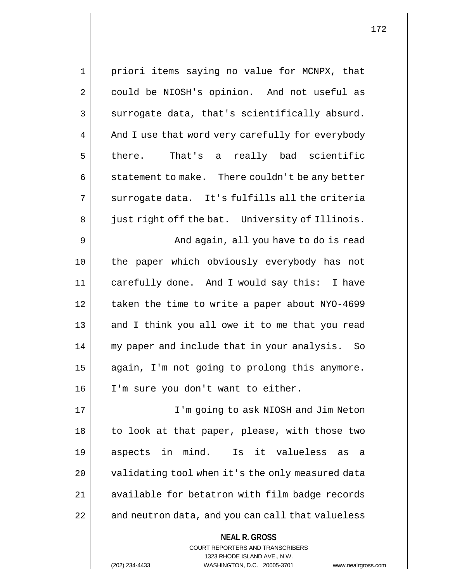| $\mathbf 1$ | priori items saying no value for MCNPX, that        |
|-------------|-----------------------------------------------------|
| 2           | could be NIOSH's opinion. And not useful as         |
| 3           | surrogate data, that's scientifically absurd.       |
| 4           | And I use that word very carefully for everybody    |
| 5           | That's a really bad scientific<br>there.            |
| 6           | statement to make. There couldn't be any better     |
| 7           | surrogate data. It's fulfills all the criteria      |
| 8           | just right off the bat. University of Illinois.     |
| 9           | And again, all you have to do is read               |
| 10          | the paper which obviously everybody has not         |
| 11          | carefully done. And I would say this: I have        |
| 12          | taken the time to write a paper about NYO-4699      |
| 13          | and I think you all owe it to me that you read      |
| 14          | my paper and include that in your analysis.<br>- So |
| 15          | again, I'm not going to prolong this anymore.       |
| 16          | I'm sure you don't want to either.                  |
| 17          | I'm going to ask NIOSH and Jim Neton                |
| 18          | to look at that paper, please, with those two       |
| 19          | aspects in mind.<br>Is it valueless<br>as<br>- a    |
| 20          | validating tool when it's the only measured data    |
| 21          | available for betatron with film badge records      |
| 22          | and neutron data, and you can call that valueless   |
|             | <b>NEAL R. GROSS</b>                                |

COURT REPORTERS AND TRANSCRIBERS 1323 RHODE ISLAND AVE., N.W.

(202) 234-4433 WASHINGTON, D.C. 20005-3701 www.nealrgross.com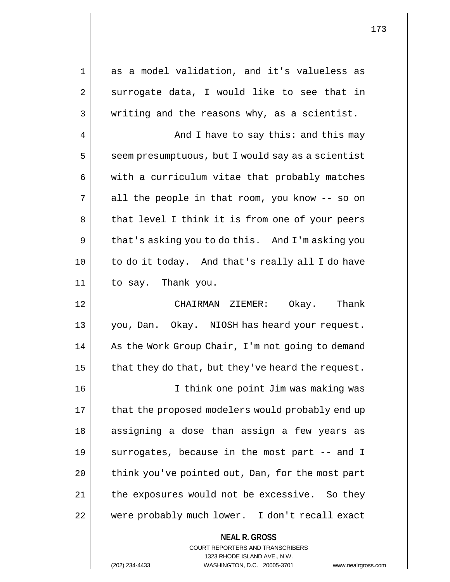1 as a model validation, and it's valueless as  $2 \parallel$  surrogate data, I would like to see that in  $3 \parallel$  writing and the reasons why, as a scientist. 4 And I have to say this: and this may  $5 \parallel$  seem presumptuous, but I would say as a scientist  $6 \parallel$  with a curriculum vitae that probably matches  $7 \parallel$  all the people in that room, you know -- so on 8 || that level I think it is from one of your peers 9 | that's asking you to do this. And I'm asking you 10 to do it today. And that's really all I do have 11 to say. Thank you. 12 CHAIRMAN ZIEMER: Okay. Thank 13 you, Dan. Okay. NIOSH has heard your request. 14 || As the Work Group Chair, I'm not going to demand 15  $\parallel$  that they do that, but they've heard the request. 16 I think one point Jim was making was 17 | that the proposed modelers would probably end up 18 || assigning a dose than assign a few years as 19 || surrogates, because in the most part -- and I

20 || think you've pointed out, Dan, for the most part 21 | the exposures would not be excessive. So they 22 were probably much lower. I don't recall exact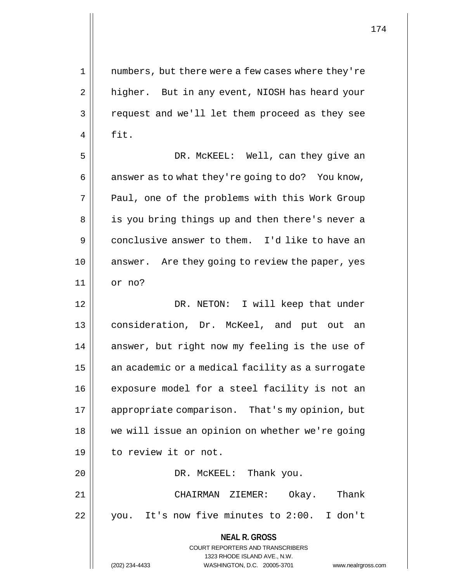1 || numbers, but there were a few cases where they're 2 | higher. But in any event, NIOSH has heard your 3 || request and we'll let them proceed as they see  $4 \parallel$  fit.

5 DR. McKEEL: Well, can they give an  $6 \parallel$  answer as to what they're going to do? You know, 7 || Paul, one of the problems with this Work Group 8 || is you bring things up and then there's never a 9 conclusive answer to them. I'd like to have an 10 || answer. Are they going to review the paper, yes 11 or no?

**NEAL R. GROSS** 12 DR. NETON: I will keep that under 13 consideration, Dr. McKeel, and put out an 14 || answer, but right now my feeling is the use of 15 | an academic or a medical facility as a surrogate 16 | exposure model for a steel facility is not an 17 appropriate comparison. That's my opinion, but 18 || we will issue an opinion on whether we're going 19 | to review it or not. 20 DR. McKEEL: Thank you. 21 CHAIRMAN ZIEMER: Okay. Thank 22 || you. It's now five minutes to 2:00. I don't

> COURT REPORTERS AND TRANSCRIBERS 1323 RHODE ISLAND AVE., N.W.

(202) 234-4433 WASHINGTON, D.C. 20005-3701 www.nealrgross.com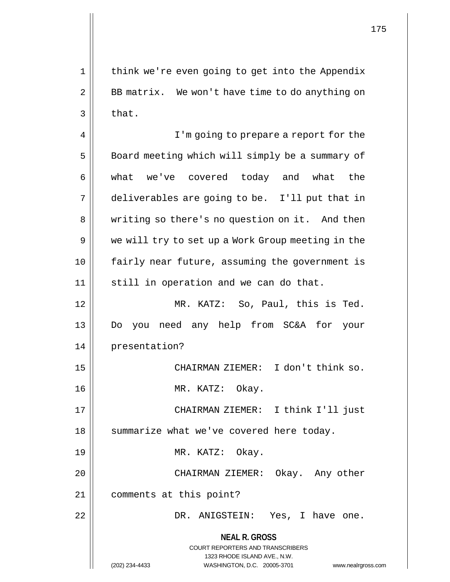1 || think we're even going to get into the Appendix 2 || BB matrix. We won't have time to do anything on  $3 \parallel$  that. 4 || I'm going to prepare a report for the 5 | Board meeting which will simply be a summary of 6 what we've covered today and what the 7 deliverables are going to be. I'll put that in 8 | writing so there's no question on it. And then 9 || we will try to set up a Work Group meeting in the 10 fairly near future, assuming the government is 11 || still in operation and we can do that. 12 MR. KATZ: So, Paul, this is Ted. 13 Do you need any help from SC&A for your 14 presentation? 15 CHAIRMAN ZIEMER: I don't think so. 16 MR. KATZ: Okay. 17 || CHAIRMAN ZIEMER: I think I'll just

18 | summarize what we've covered here today.

19 || MR. KATZ: Okay.

20 CHAIRMAN ZIEMER: Okay. Any other 21 comments at this point?

22 DR. ANIGSTEIN: Yes, I have one.

## **NEAL R. GROSS** COURT REPORTERS AND TRANSCRIBERS 1323 RHODE ISLAND AVE., N.W. (202) 234-4433 WASHINGTON, D.C. 20005-3701 www.nealrgross.com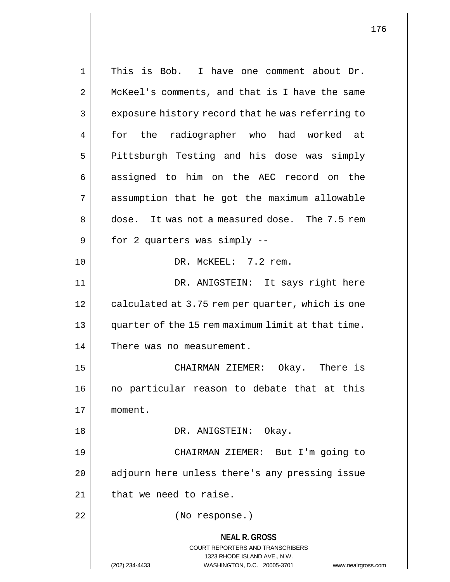**NEAL R. GROSS** COURT REPORTERS AND TRANSCRIBERS 1323 RHODE ISLAND AVE., N.W. (202) 234-4433 WASHINGTON, D.C. 20005-3701 www.nealrgross.com 1 This is Bob. I have one comment about Dr. 2 | McKeel's comments, and that is I have the same 3 | exposure history record that he was referring to 4 for the radiographer who had worked at 5 | Pittsburgh Testing and his dose was simply 6 assigned to him on the AEC record on the 7 assumption that he got the maximum allowable 8 dose. It was not a measured dose. The 7.5 rem  $9 \parallel$  for 2 quarters was simply  $-$ 10 DR. McKEEL: 7.2 rem. 11 DR. ANIGSTEIN: It says right here  $12$  | calculated at 3.75 rem per quarter, which is one 13 || quarter of the 15 rem maximum limit at that time. 14 || There was no measurement. 15 CHAIRMAN ZIEMER: Okay. There is 16 || no particular reason to debate that at this 17 moment. 18 DR. ANIGSTEIN: Okay. 19 CHAIRMAN ZIEMER: But I'm going to  $20$  | adjourn here unless there's any pressing issue  $21$  | that we need to raise. 22 (No response.)